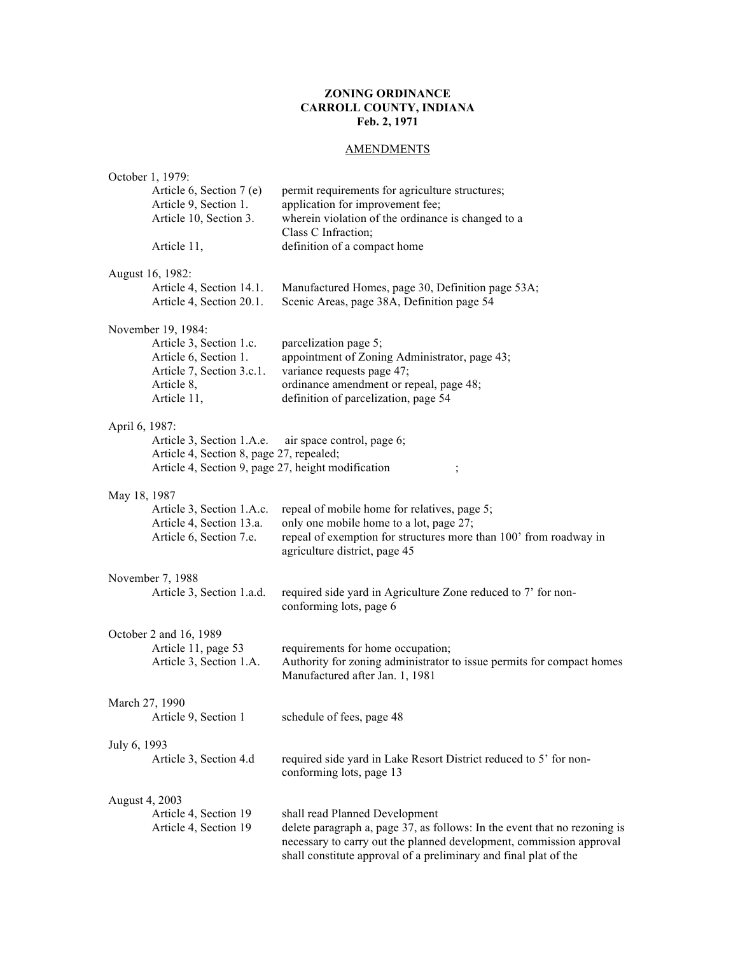# **ZONING ORDINANCE CARROLL COUNTY, INDIANA Feb. 2, 1971**

# **AMENDMENTS**

|                | October 1, 1979:                                                                                                                 |                                                                                                                                                                                                                                                        |
|----------------|----------------------------------------------------------------------------------------------------------------------------------|--------------------------------------------------------------------------------------------------------------------------------------------------------------------------------------------------------------------------------------------------------|
|                | Article 6, Section 7 (e)<br>Article 9, Section 1.<br>Article 10, Section 3.                                                      | permit requirements for agriculture structures;<br>application for improvement fee;<br>wherein violation of the ordinance is changed to a                                                                                                              |
|                | Article 11,                                                                                                                      | Class C Infraction;<br>definition of a compact home                                                                                                                                                                                                    |
|                | August 16, 1982:<br>Article 4, Section 14.1.<br>Article 4, Section 20.1.                                                         | Manufactured Homes, page 30, Definition page 53A;<br>Scenic Areas, page 38A, Definition page 54                                                                                                                                                        |
|                | November 19, 1984:<br>Article 3, Section 1.c.<br>Article 6, Section 1.<br>Article 7, Section 3.c.1.<br>Article 8,<br>Article 11, | parcelization page 5;<br>appointment of Zoning Administrator, page 43;<br>variance requests page 47;<br>ordinance amendment or repeal, page 48;<br>definition of parcelization, page 54                                                                |
| April 6, 1987: | Article 3, Section 1.A.e.<br>Article 4, Section 8, page 27, repealed;<br>Article 4, Section 9, page 27, height modification      | air space control, page 6;                                                                                                                                                                                                                             |
| May 18, 1987   | Article 3, Section 1.A.c.<br>Article 4, Section 13.a.                                                                            | repeal of mobile home for relatives, page 5;<br>only one mobile home to a lot, page 27;                                                                                                                                                                |
|                | Article 6, Section 7.e.                                                                                                          | repeal of exemption for structures more than 100' from roadway in<br>agriculture district, page 45                                                                                                                                                     |
|                | November 7, 1988                                                                                                                 |                                                                                                                                                                                                                                                        |
|                | Article 3, Section 1.a.d.                                                                                                        | required side yard in Agriculture Zone reduced to 7' for non-<br>conforming lots, page 6                                                                                                                                                               |
|                | October 2 and 16, 1989                                                                                                           |                                                                                                                                                                                                                                                        |
|                | Article 11, page 53<br>Article 3, Section 1.A.                                                                                   | requirements for home occupation;<br>Authority for zoning administrator to issue permits for compact homes<br>Manufactured after Jan. 1, 1981                                                                                                          |
| March 27, 1990 |                                                                                                                                  |                                                                                                                                                                                                                                                        |
|                | Article 9, Section 1                                                                                                             | schedule of fees, page 48                                                                                                                                                                                                                              |
| July 6, 1993   |                                                                                                                                  |                                                                                                                                                                                                                                                        |
|                | Article 3, Section 4.d                                                                                                           | required side yard in Lake Resort District reduced to 5' for non-<br>conforming lots, page 13                                                                                                                                                          |
| August 4, 2003 |                                                                                                                                  |                                                                                                                                                                                                                                                        |
|                | Article 4, Section 19<br>Article 4, Section 19                                                                                   | shall read Planned Development<br>delete paragraph a, page 37, as follows: In the event that no rezoning is<br>necessary to carry out the planned development, commission approval<br>shall constitute approval of a preliminary and final plat of the |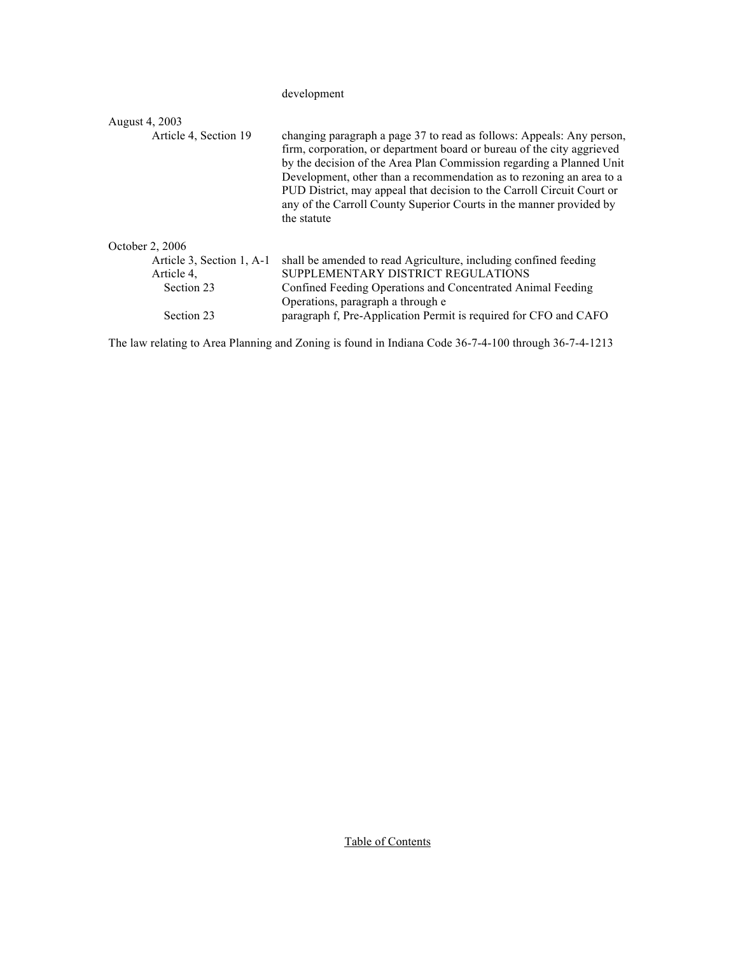development

| August 4, 2003            |                                                                                                                                                                                                                                                                                                                                                                                                                                                                 |
|---------------------------|-----------------------------------------------------------------------------------------------------------------------------------------------------------------------------------------------------------------------------------------------------------------------------------------------------------------------------------------------------------------------------------------------------------------------------------------------------------------|
| Article 4, Section 19     | changing paragraph a page 37 to read as follows: Appeals: Any person,<br>firm, corporation, or department board or bureau of the city aggrieved<br>by the decision of the Area Plan Commission regarding a Planned Unit<br>Development, other than a recommendation as to rezoning an area to a<br>PUD District, may appeal that decision to the Carroll Circuit Court or<br>any of the Carroll County Superior Courts in the manner provided by<br>the statute |
| October 2, 2006           |                                                                                                                                                                                                                                                                                                                                                                                                                                                                 |
| Article 3, Section 1, A-1 | shall be amended to read Agriculture, including confined feeding                                                                                                                                                                                                                                                                                                                                                                                                |
| Article 4,                | SUPPLEMENTARY DISTRICT REGULATIONS                                                                                                                                                                                                                                                                                                                                                                                                                              |
| Section 23                | Confined Feeding Operations and Concentrated Animal Feeding<br>Operations, paragraph a through e                                                                                                                                                                                                                                                                                                                                                                |
| Section 23                | paragraph f, Pre-Application Permit is required for CFO and CAFO                                                                                                                                                                                                                                                                                                                                                                                                |

The law relating to Area Planning and Zoning is found in Indiana Code 36-7-4-100 through 36-7-4-1213

Table of Contents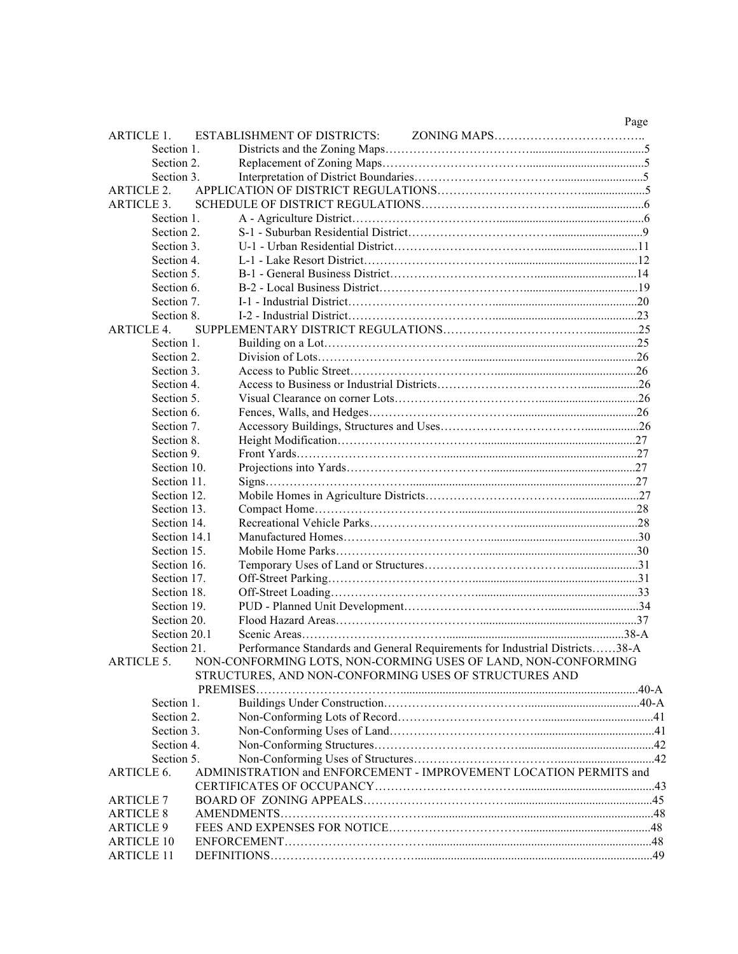|                   |                                    |                                                                             | Page |
|-------------------|------------------------------------|-----------------------------------------------------------------------------|------|
| <b>ARTICLE 1.</b> | <b>ESTABLISHMENT OF DISTRICTS:</b> |                                                                             |      |
| Section 1.        |                                    |                                                                             |      |
| Section 2.        |                                    |                                                                             |      |
| Section 3.        |                                    |                                                                             |      |
| <b>ARTICLE 2.</b> |                                    |                                                                             |      |
| <b>ARTICLE 3.</b> |                                    |                                                                             |      |
| Section 1.        |                                    |                                                                             |      |
| Section 2.        |                                    |                                                                             |      |
| Section 3.        |                                    |                                                                             |      |
| Section 4.        |                                    |                                                                             |      |
| Section 5.        |                                    |                                                                             |      |
| Section 6.        |                                    |                                                                             |      |
| Section 7.        |                                    |                                                                             |      |
| Section 8.        |                                    |                                                                             |      |
| <b>ARTICLE 4.</b> |                                    |                                                                             |      |
| Section 1.        |                                    |                                                                             |      |
| Section 2.        |                                    |                                                                             |      |
| Section 3.        |                                    |                                                                             |      |
| Section 4.        |                                    |                                                                             |      |
| Section 5.        |                                    |                                                                             |      |
| Section 6.        |                                    |                                                                             |      |
| Section 7.        |                                    |                                                                             |      |
| Section 8.        |                                    |                                                                             |      |
| Section 9.        |                                    |                                                                             |      |
| Section 10.       |                                    |                                                                             |      |
| Section 11.       |                                    |                                                                             |      |
| Section 12.       |                                    |                                                                             |      |
| Section 13.       |                                    |                                                                             |      |
| Section 14.       |                                    |                                                                             |      |
| Section 14.1      |                                    |                                                                             |      |
| Section 15.       |                                    |                                                                             |      |
| Section 16.       |                                    |                                                                             |      |
| Section 17.       |                                    |                                                                             |      |
| Section 18.       |                                    |                                                                             |      |
| Section 19.       |                                    |                                                                             |      |
| Section 20.       |                                    |                                                                             |      |
| Section 20.1      |                                    |                                                                             |      |
| Section 21.       |                                    | Performance Standards and General Requirements for Industrial Districts38-A |      |
| <b>ARTICLE 5.</b> |                                    | NON-CONFORMING LOTS, NON-CORMING USES OF LAND, NON-CONFORMING               |      |
|                   |                                    | STRUCTURES, AND NON-CONFORMING USES OF STRUCTURES AND                       |      |
|                   |                                    |                                                                             |      |
| Section 1.        |                                    |                                                                             |      |
| Section 2.        |                                    |                                                                             |      |
| Section 3.        |                                    |                                                                             |      |
| Section 4.        |                                    |                                                                             |      |
| Section 5.        |                                    |                                                                             |      |
| ARTICLE 6.        |                                    | ADMINISTRATION and ENFORCEMENT - IMPROVEMENT LOCATION PERMITS and           |      |
|                   |                                    |                                                                             |      |
| <b>ARTICLE 7</b>  |                                    |                                                                             |      |
| <b>ARTICLE 8</b>  |                                    |                                                                             |      |
| <b>ARTICLE 9</b>  |                                    |                                                                             |      |
| <b>ARTICLE 10</b> |                                    |                                                                             |      |
| <b>ARTICLE 11</b> |                                    |                                                                             |      |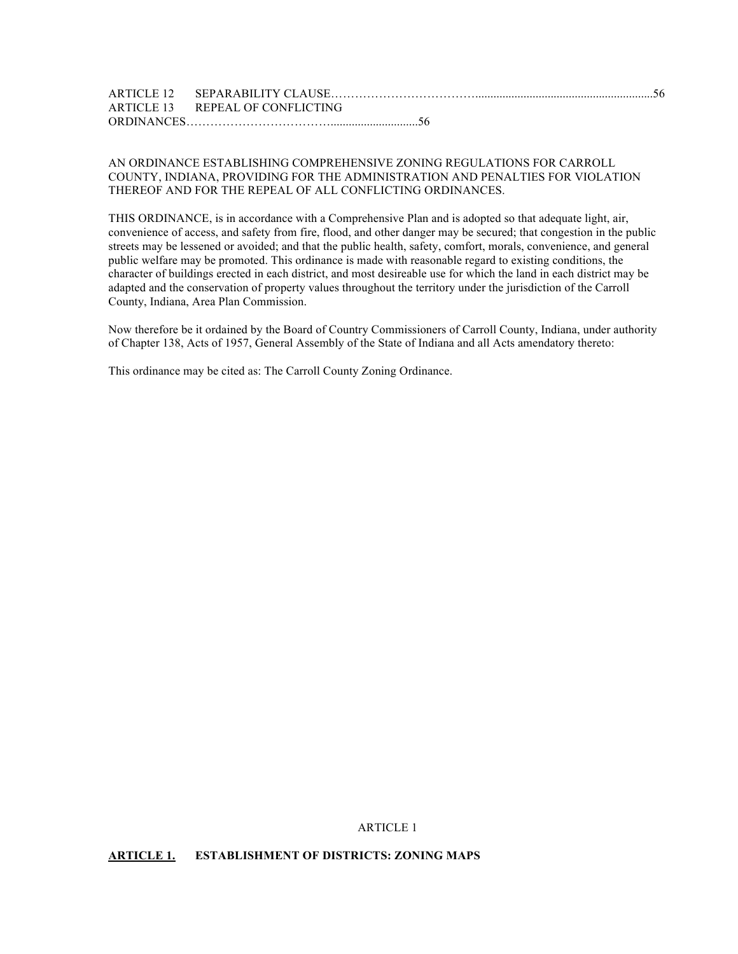| ARTICLE 13 REPEAL OF CONFLICTING |
|----------------------------------|
|                                  |

## AN ORDINANCE ESTABLISHING COMPREHENSIVE ZONING REGULATIONS FOR CARROLL COUNTY, INDIANA, PROVIDING FOR THE ADMINISTRATION AND PENALTIES FOR VIOLATION THEREOF AND FOR THE REPEAL OF ALL CONFLICTING ORDINANCES.

THIS ORDINANCE, is in accordance with a Comprehensive Plan and is adopted so that adequate light, air, convenience of access, and safety from fire, flood, and other danger may be secured; that congestion in the public streets may be lessened or avoided; and that the public health, safety, comfort, morals, convenience, and general public welfare may be promoted. This ordinance is made with reasonable regard to existing conditions, the character of buildings erected in each district, and most desireable use for which the land in each district may be adapted and the conservation of property values throughout the territory under the jurisdiction of the Carroll County, Indiana, Area Plan Commission.

Now therefore be it ordained by the Board of Country Commissioners of Carroll County, Indiana, under authority of Chapter 138, Acts of 1957, General Assembly of the State of Indiana and all Acts amendatory thereto:

This ordinance may be cited as: The Carroll County Zoning Ordinance.

ARTICLE 1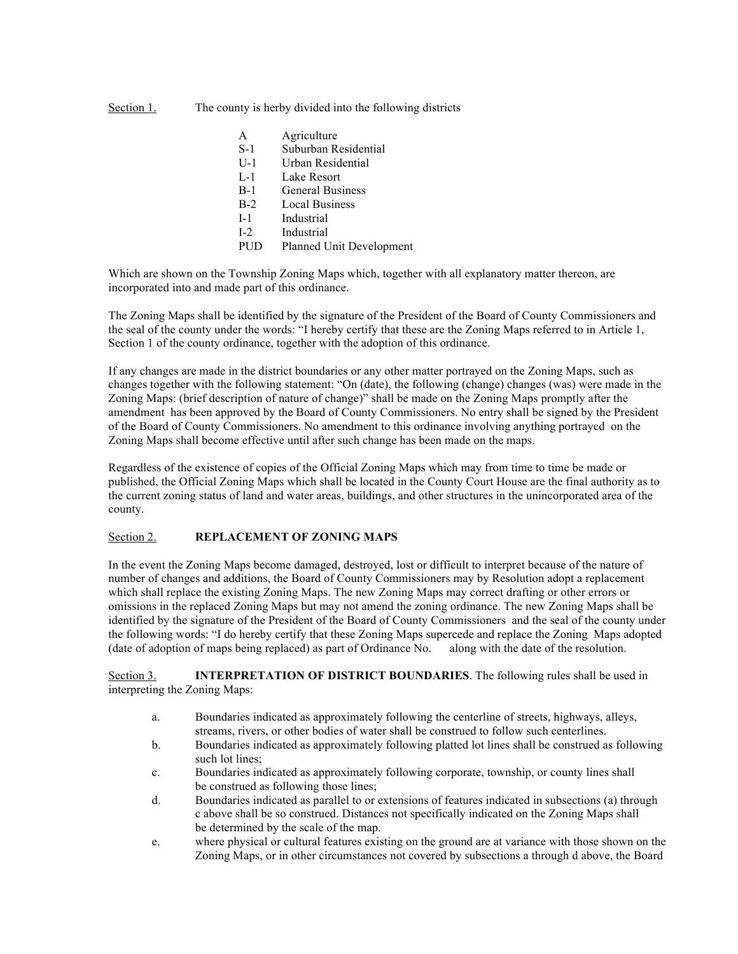## Section 1. The county is herby divided into the following districts

- A Agriculture
- S-1 Suburban Residential
- U-1 Urban Residential
- L-1 Lake Resort
- B-1 General Business
- B-2 Local Business
- I-1 Industrial
- I-2 Industrial
- PUD Planned Unit Development

Which are shown on the Township Zoning Maps which, together with all explanatory matter thereon, are incorporated into and made part of this ordinance.

The Zoning Maps shall be identified by the signature of the President of the Board of County Commissioners and the seal of the county under the words: "I hereby certify that these are the Zoning Maps referred to in Article 1, Section 1 of the county ordinance, together with the adoption of this ordinance.

If any changes are made in the district boundaries or any other matter portrayed on the Zoning Maps, such as changes together with the following statement: "On (date), the following (change) changes (was) were made in the Zoning Maps: (brief description of nature of change)" shall be made on the Zoning Maps promptly after the amendment has been approved by the Board of County Commissioners. No entry shall be signed by the President of the Board of County Commissioners. No amendment to this ordinance involving anything portrayed on the Zoning Maps shall become effective until after such change has been made on the maps.

Regardless of the existence of copies of the Official Zoning Maps which may from time to time be made or published, the Official Zoning Maps which shall be located in the County Court House are the final authority as to the current zoning status of land and water areas, buildings, and other structures in the unincorporated area of the county.

## Section 2. **REPLACEMENT OF ZONING MAPS**

In the event the Zoning Maps become damaged, destroyed, lost or difficult to interpret because of the nature of number of changes and additions, the Board of County Commissioners may by Resolution adopt a replacement which shall replace the existing Zoning Maps. The new Zoning Maps may correct drafting or other errors or omissions in the replaced Zoning Maps but may not amend the zoning ordinance. The new Zoning Maps shall be identified by the signature of the President of the Board of County Commissioners and the seal of the county under the following words: "I do hereby certify that these Zoning Maps supercede and replace the Zoning Maps adopted (date of adoption of maps being replaced) as part of Ordinance No. along with the date of the resolution.

Section 3. **INTERPRETATION OF DISTRICT BOUNDARIES**. The following rules shall be used in interpreting the Zoning Maps:

- a. Boundaries indicated as approximately following the centerline of streets, highways, alleys, streams, rivers, or other bodies of water shall be construed to follow such centerlines.
- b. Boundaries indicated as approximately following platted lot lines shall be construed as following such lot lines;
- c. Boundaries indicated as approximately following corporate, township, or county lines shall be construed as following those lines;
- d. Boundaries indicated as parallel to or extensions of features indicated in subsections (a) through c above shall be so construed. Distances not specifically indicated on the Zoning Maps shall be determined by the scale of the map.
- e. where physical or cultural features existing on the ground are at variance with those shown on the Zoning Maps, or in other circumstances not covered by subsections a through d above, the Board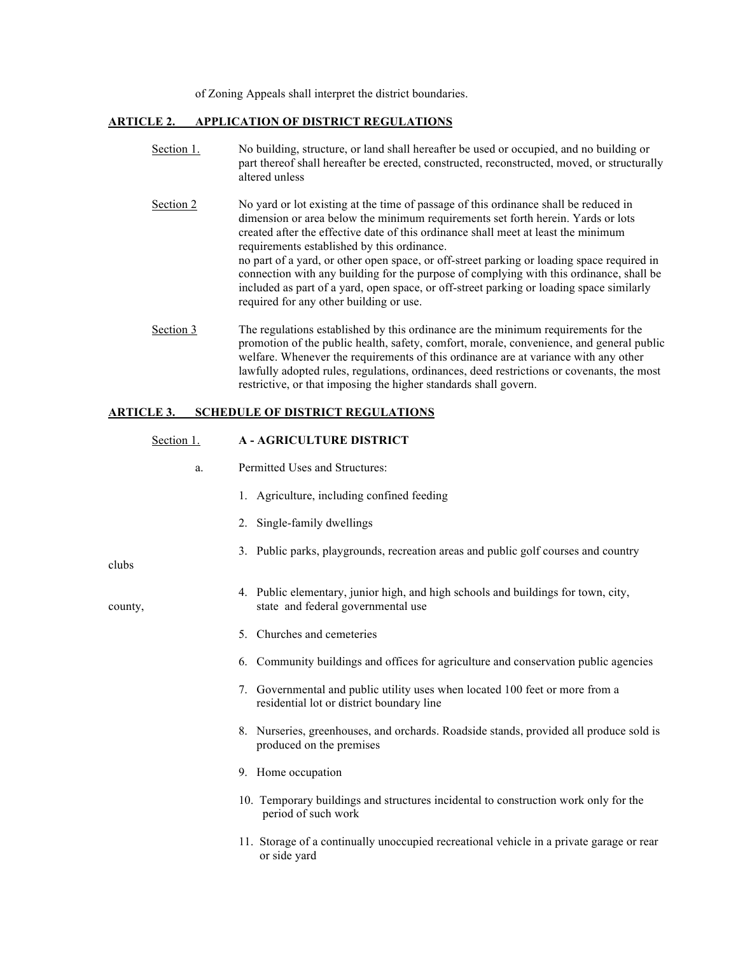of Zoning Appeals shall interpret the district boundaries.

## **ARTICLE 2. APPLICATION OF DISTRICT REGULATIONS**

Section 1. No building, structure, or land shall hereafter be used or occupied, and no building or part thereof shall hereafter be erected, constructed, reconstructed, moved, or structurally altered unless Section 2 No yard or lot existing at the time of passage of this ordinance shall be reduced in dimension or area below the minimum requirements set forth herein. Yards or lots created after the effective date of this ordinance shall meet at least the minimum requirements established by this ordinance. no part of a yard, or other open space, or off-street parking or loading space required in connection with any building for the purpose of complying with this ordinance, shall be included as part of a yard, open space, or off-street parking or loading space similarly required for any other building or use. Section 3 The regulations established by this ordinance are the minimum requirements for the promotion of the public health, safety, comfort, morale, convenience, and general public welfare. Whenever the requirements of this ordinance are at variance with any other lawfully adopted rules, regulations, ordinances, deed restrictions or covenants, the most

restrictive, or that imposing the higher standards shall govern.

## **ARTICLE 3. SCHEDULE OF DISTRICT REGULATIONS**

| Section 1. | <b>A - AGRICULTURE DISTRICT</b>                                                                                           |
|------------|---------------------------------------------------------------------------------------------------------------------------|
| a.         | Permitted Uses and Structures:                                                                                            |
|            | 1. Agriculture, including confined feeding                                                                                |
|            | 2. Single-family dwellings                                                                                                |
| clubs      | 3. Public parks, playgrounds, recreation areas and public golf courses and country                                        |
| county,    | 4. Public elementary, junior high, and high schools and buildings for town, city,<br>state and federal governmental use   |
|            | 5. Churches and cemeteries                                                                                                |
|            | 6. Community buildings and offices for agriculture and conservation public agencies                                       |
|            | 7. Governmental and public utility uses when located 100 feet or more from a<br>residential lot or district boundary line |
|            | 8. Nurseries, greenhouses, and orchards. Roadside stands, provided all produce sold is<br>produced on the premises        |
|            | 9. Home occupation                                                                                                        |
|            | 10. Temporary buildings and structures incidental to construction work only for the<br>period of such work                |
|            | 11. Storage of a continually unoccupied recreational vehicle in a private garage or rear<br>or side yard                  |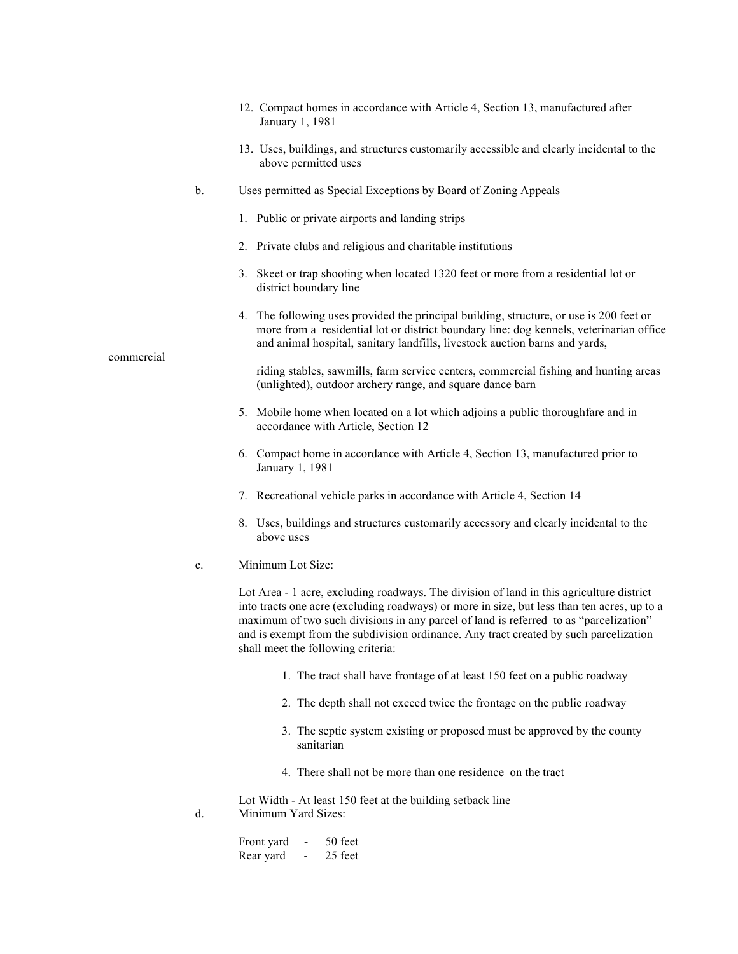- 12. Compact homes in accordance with Article 4, Section 13, manufactured after January 1, 1981
- 13. Uses, buildings, and structures customarily accessible and clearly incidental to the above permitted uses
- b. Uses permitted as Special Exceptions by Board of Zoning Appeals
	- 1. Public or private airports and landing strips
	- 2. Private clubs and religious and charitable institutions
	- 3. Skeet or trap shooting when located 1320 feet or more from a residential lot or district boundary line
	- 4. The following uses provided the principal building, structure, or use is 200 feet or more from a residential lot or district boundary line: dog kennels, veterinarian office and animal hospital, sanitary landfills, livestock auction barns and yards,

 riding stables, sawmills, farm service centers, commercial fishing and hunting areas (unlighted), outdoor archery range, and square dance barn

- 5. Mobile home when located on a lot which adjoins a public thoroughfare and in accordance with Article, Section 12
- 6. Compact home in accordance with Article 4, Section 13, manufactured prior to January 1, 1981
- 7. Recreational vehicle parks in accordance with Article 4, Section 14
- 8. Uses, buildings and structures customarily accessory and clearly incidental to the above uses
- c. Minimum Lot Size:

Lot Area - 1 acre, excluding roadways. The division of land in this agriculture district into tracts one acre (excluding roadways) or more in size, but less than ten acres, up to a maximum of two such divisions in any parcel of land is referred to as "parcelization" and is exempt from the subdivision ordinance. Any tract created by such parcelization shall meet the following criteria:

- 1. The tract shall have frontage of at least 150 feet on a public roadway
- 2. The depth shall not exceed twice the frontage on the public roadway
- 3. The septic system existing or proposed must be approved by the county sanitarian
- 4. There shall not be more than one residence on the tract

Lot Width - At least 150 feet at the building setback line d. Minimum Yard Sizes:

| Front yard | - | 50 feet |
|------------|---|---------|
| Rear yard  | - | 25 feet |

commercial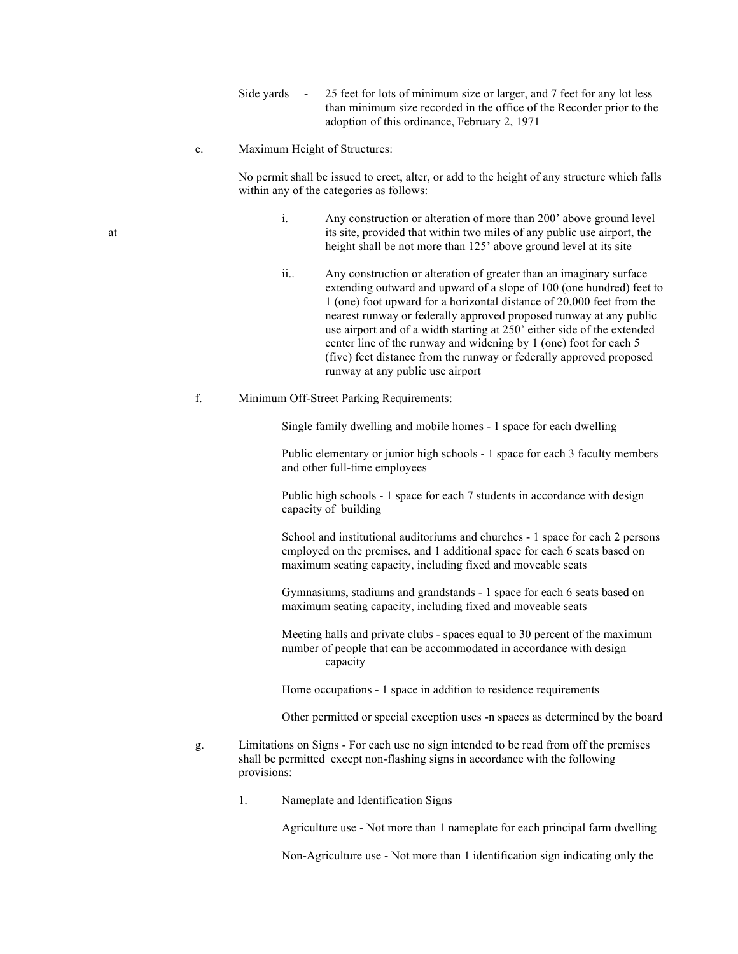- Side yards 25 feet for lots of minimum size or larger, and 7 feet for any lot less than minimum size recorded in the office of the Recorder prior to the adoption of this ordinance, February 2, 1971
- e. Maximum Height of Structures:

No permit shall be issued to erect, alter, or add to the height of any structure which falls within any of the categories as follows:

- i. Any construction or alteration of more than 200' above ground level at its site, provided that within two miles of any public use airport, the height shall be not more than 125' above ground level at its site
	- ii.. Any construction or alteration of greater than an imaginary surface extending outward and upward of a slope of 100 (one hundred) feet to 1 (one) foot upward for a horizontal distance of 20,000 feet from the nearest runway or federally approved proposed runway at any public use airport and of a width starting at 250' either side of the extended center line of the runway and widening by 1 (one) foot for each 5 (five) feet distance from the runway or federally approved proposed runway at any public use airport

## f. Minimum Off-Street Parking Requirements:

Single family dwelling and mobile homes - 1 space for each dwelling

Public elementary or junior high schools - 1 space for each 3 faculty members and other full-time employees

Public high schools - 1 space for each 7 students in accordance with design capacity of building

School and institutional auditoriums and churches - 1 space for each 2 persons employed on the premises, and 1 additional space for each 6 seats based on maximum seating capacity, including fixed and moveable seats

Gymnasiums, stadiums and grandstands - 1 space for each 6 seats based on maximum seating capacity, including fixed and moveable seats

Meeting halls and private clubs - spaces equal to 30 percent of the maximum number of people that can be accommodated in accordance with design capacity

Home occupations - 1 space in addition to residence requirements

Other permitted or special exception uses -n spaces as determined by the board

- g. Limitations on Signs For each use no sign intended to be read from off the premises shall be permitted except non-flashing signs in accordance with the following provisions:
	- 1. Nameplate and Identification Signs

Agriculture use - Not more than 1 nameplate for each principal farm dwelling

Non-Agriculture use - Not more than 1 identification sign indicating only the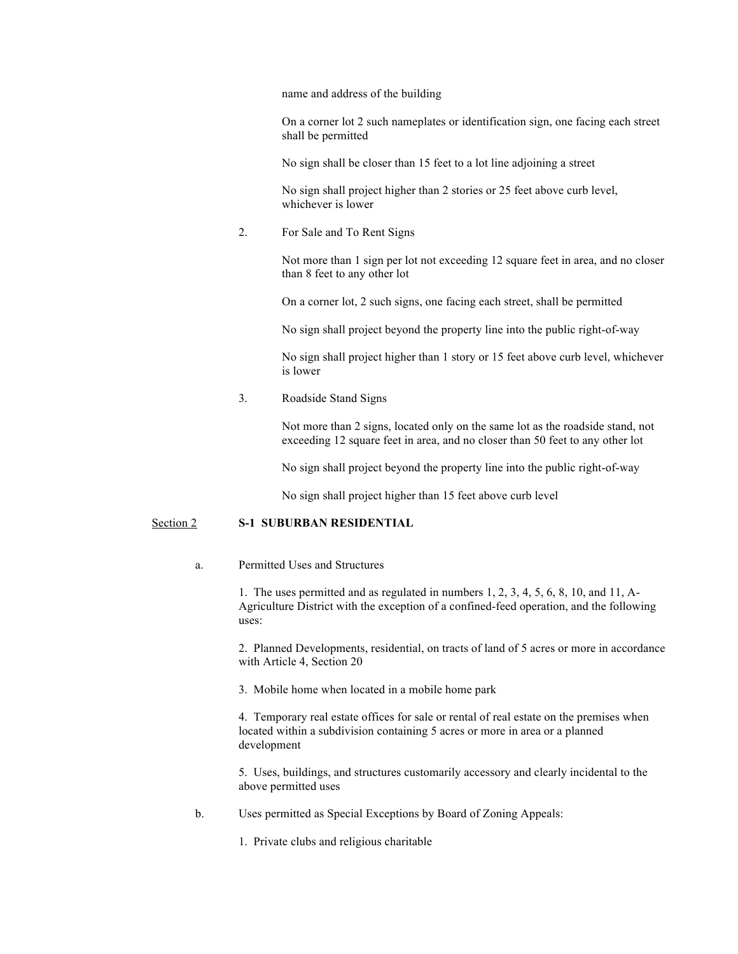name and address of the building

On a corner lot 2 such nameplates or identification sign, one facing each street shall be permitted

No sign shall be closer than 15 feet to a lot line adjoining a street

No sign shall project higher than 2 stories or 25 feet above curb level, whichever is lower

2. For Sale and To Rent Signs

Not more than 1 sign per lot not exceeding 12 square feet in area, and no closer than 8 feet to any other lot

On a corner lot, 2 such signs, one facing each street, shall be permitted

No sign shall project beyond the property line into the public right-of-way

No sign shall project higher than 1 story or 15 feet above curb level, whichever is lower

3. Roadside Stand Signs

Not more than 2 signs, located only on the same lot as the roadside stand, not exceeding 12 square feet in area, and no closer than 50 feet to any other lot

No sign shall project beyond the property line into the public right-of-way

No sign shall project higher than 15 feet above curb level

## Section 2 **S-1 SUBURBAN RESIDENTIAL**

a. Permitted Uses and Structures

1. The uses permitted and as regulated in numbers 1, 2, 3, 4, 5, 6, 8, 10, and 11, A-Agriculture District with the exception of a confined-feed operation, and the following uses:

2. Planned Developments, residential, on tracts of land of 5 acres or more in accordance with Article 4, Section 20

3. Mobile home when located in a mobile home park

4. Temporary real estate offices for sale or rental of real estate on the premises when located within a subdivision containing 5 acres or more in area or a planned development

5. Uses, buildings, and structures customarily accessory and clearly incidental to the above permitted uses

b. Uses permitted as Special Exceptions by Board of Zoning Appeals:

1. Private clubs and religious charitable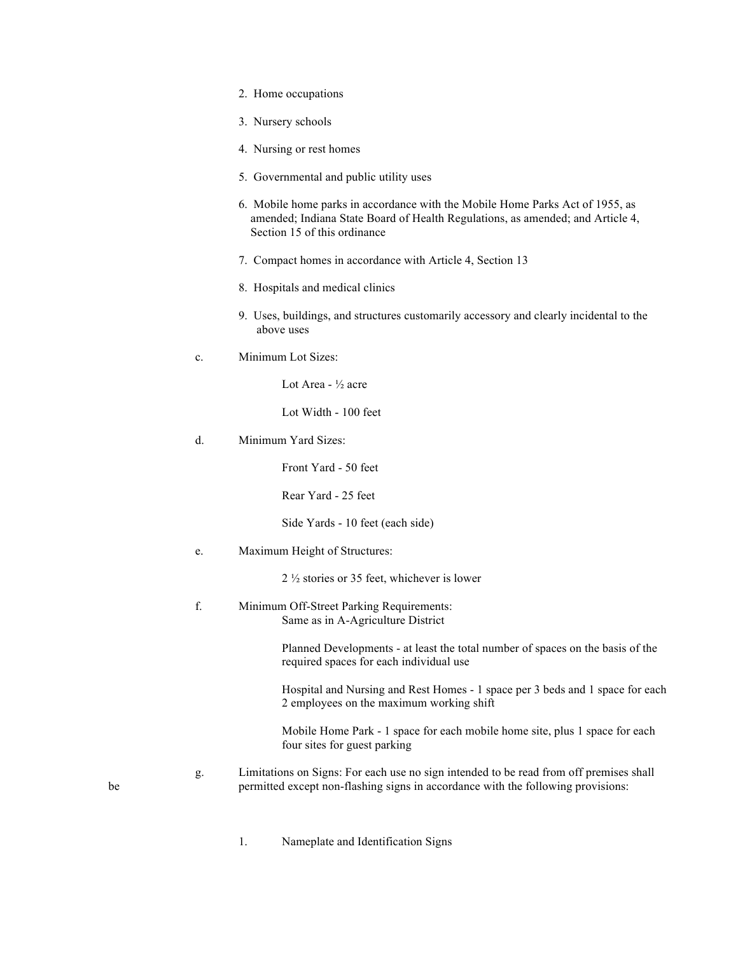- 2. Home occupations
- 3. Nursery schools
- 4. Nursing or rest homes
- 5. Governmental and public utility uses
- 6. Mobile home parks in accordance with the Mobile Home Parks Act of 1955, as amended; Indiana State Board of Health Regulations, as amended; and Article 4, Section 15 of this ordinance
- 7. Compact homes in accordance with Article 4, Section 13
- 8. Hospitals and medical clinics
- 9. Uses, buildings, and structures customarily accessory and clearly incidental to the above uses
- c. Minimum Lot Sizes:

Lot Area - ½ acre

Lot Width - 100 feet

d. Minimum Yard Sizes:

Front Yard - 50 feet

Rear Yard - 25 feet

Side Yards - 10 feet (each side)

e. Maximum Height of Structures:

2 ½ stories or 35 feet, whichever is lower

f. Minimum Off-Street Parking Requirements: Same as in A-Agriculture District

> Planned Developments - at least the total number of spaces on the basis of the required spaces for each individual use

Hospital and Nursing and Rest Homes - 1 space per 3 beds and 1 space for each 2 employees on the maximum working shift

Mobile Home Park - 1 space for each mobile home site, plus 1 space for each four sites for guest parking

- g. Limitations on Signs: For each use no sign intended to be read from off premises shall be permitted except non-flashing signs in accordance with the following provisions:
	- 1. Nameplate and Identification Signs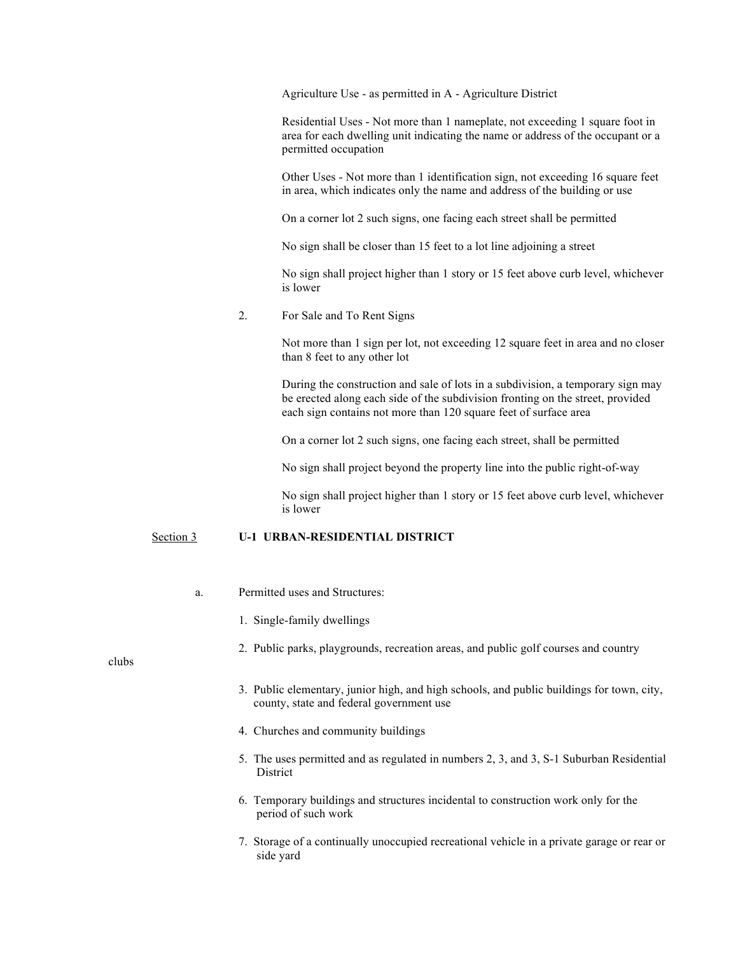Agriculture Use - as permitted in A - Agriculture District

Residential Uses - Not more than 1 nameplate, not exceeding 1 square foot in area for each dwelling unit indicating the name or address of the occupant or a permitted occupation

Other Uses - Not more than 1 identification sign, not exceeding 16 square feet in area, which indicates only the name and address of the building or use

On a corner lot 2 such signs, one facing each street shall be permitted

No sign shall be closer than 15 feet to a lot line adjoining a street

No sign shall project higher than 1 story or 15 feet above curb level, whichever is lower

2. For Sale and To Rent Signs

Not more than 1 sign per lot, not exceeding 12 square feet in area and no closer than 8 feet to any other lot

During the construction and sale of lots in a subdivision, a temporary sign may be erected along each side of the subdivision fronting on the street, provided each sign contains not more than 120 square feet of surface area

On a corner lot 2 such signs, one facing each street, shall be permitted

No sign shall project beyond the property line into the public right-of-way

No sign shall project higher than 1 story or 15 feet above curb level, whichever is lower

## Section 3 **U-1 URBAN-RESIDENTIAL DISTRICT**

- a. Permitted uses and Structures:
	- 1. Single-family dwellings
	- 2. Public parks, playgrounds, recreation areas, and public golf courses and country

clubs

- 3. Public elementary, junior high, and high schools, and public buildings for town, city, county, state and federal government use
- 4. Churches and community buildings
- 5. The uses permitted and as regulated in numbers 2, 3, and 3, S-1 Suburban Residential District
- 6. Temporary buildings and structures incidental to construction work only for the period of such work
- 7. Storage of a continually unoccupied recreational vehicle in a private garage or rear or side yard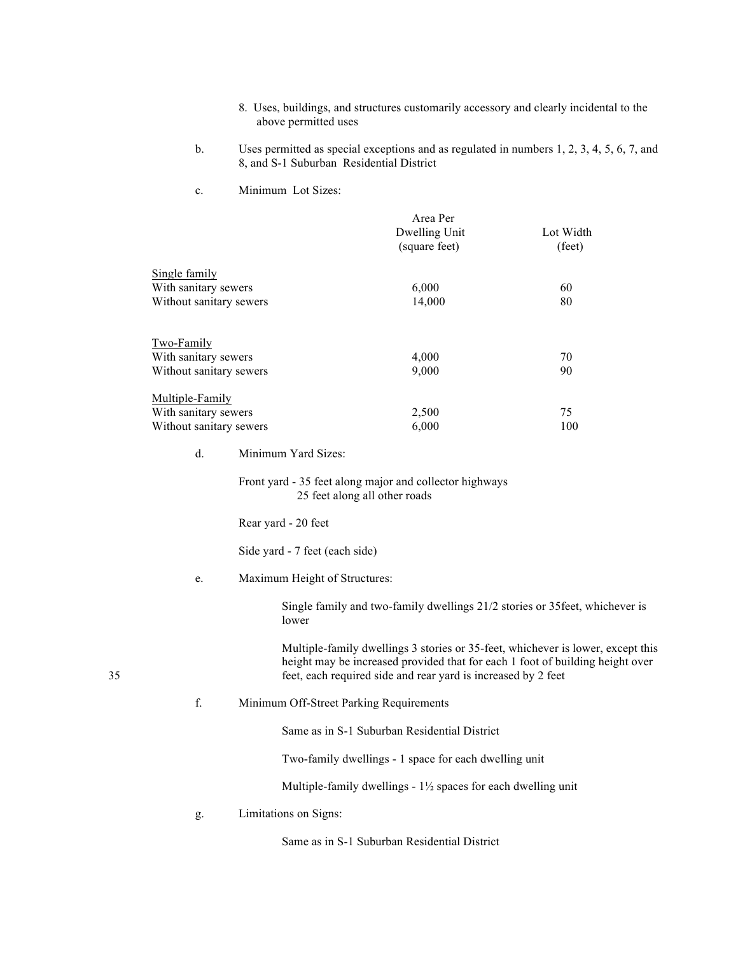- 8. Uses, buildings, and structures customarily accessory and clearly incidental to the above permitted uses
- b. Uses permitted as special exceptions and as regulated in numbers 1, 2, 3, 4, 5, 6, 7, and 8, and S-1 Suburban Residential District
- c. Minimum Lot Sizes:

|                         | Area Per      |           |
|-------------------------|---------------|-----------|
|                         | Dwelling Unit | Lot Width |
|                         | (square feet) | (feet)    |
| Single family           |               |           |
| With sanitary sewers    | 6,000         | 60        |
| Without sanitary sewers | 14,000        | 80        |
| <u>Two-Family</u>       |               |           |
| With sanitary sewers    | 4,000         | 70        |
| Without sanitary sewers | 9,000         | 90        |
| Multiple-Family         |               |           |
| With sanitary sewers    | 2,500         | 75        |
| Without sanitary sewers | 6,000         | 100       |

d. Minimum Yard Sizes:

Front yard - 35 feet along major and collector highways 25 feet along all other roads

Rear yard - 20 feet

Side yard - 7 feet (each side)

e. Maximum Height of Structures:

Single family and two-family dwellings 21/2 stories or 35feet, whichever is lower

Multiple-family dwellings 3 stories or 35-feet, whichever is lower, except this height may be increased provided that for each 1 foot of building height over 35 feet, each required side and rear yard is increased by 2 feet

f. Minimum Off-Street Parking Requirements

Same as in S-1 Suburban Residential District

Two-family dwellings - 1 space for each dwelling unit

Multiple-family dwellings - 1½ spaces for each dwelling unit

g. Limitations on Signs:

Same as in S-1 Suburban Residential District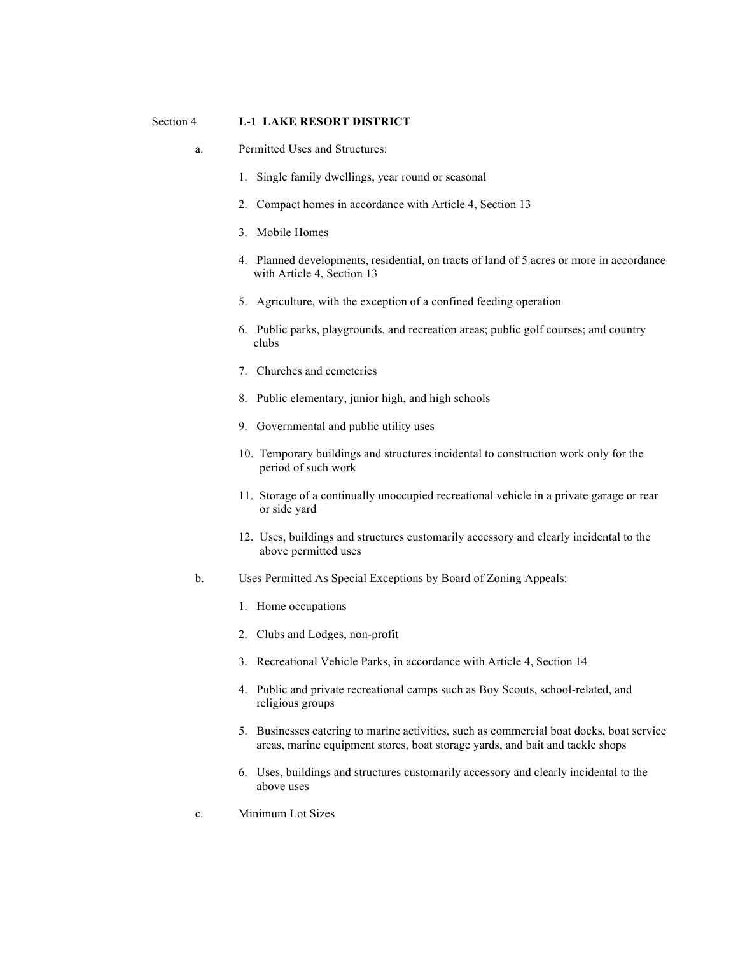#### Section 4 **L-1 LAKE RESORT DISTRICT**

- a. Permitted Uses and Structures:
	- 1. Single family dwellings, year round or seasonal
	- 2. Compact homes in accordance with Article 4, Section 13
	- 3. Mobile Homes
	- 4. Planned developments, residential, on tracts of land of 5 acres or more in accordance with Article 4, Section 13
	- 5. Agriculture, with the exception of a confined feeding operation
	- 6. Public parks, playgrounds, and recreation areas; public golf courses; and country clubs
	- 7. Churches and cemeteries
	- 8. Public elementary, junior high, and high schools
	- 9. Governmental and public utility uses
	- 10. Temporary buildings and structures incidental to construction work only for the period of such work
	- 11. Storage of a continually unoccupied recreational vehicle in a private garage or rear or side yard
	- 12. Uses, buildings and structures customarily accessory and clearly incidental to the above permitted uses
- b. Uses Permitted As Special Exceptions by Board of Zoning Appeals:
	- 1. Home occupations
	- 2. Clubs and Lodges, non-profit
	- 3. Recreational Vehicle Parks, in accordance with Article 4, Section 14
	- 4. Public and private recreational camps such as Boy Scouts, school-related, and religious groups
	- 5. Businesses catering to marine activities, such as commercial boat docks, boat service areas, marine equipment stores, boat storage yards, and bait and tackle shops
	- 6. Uses, buildings and structures customarily accessory and clearly incidental to the above uses
- c. Minimum Lot Sizes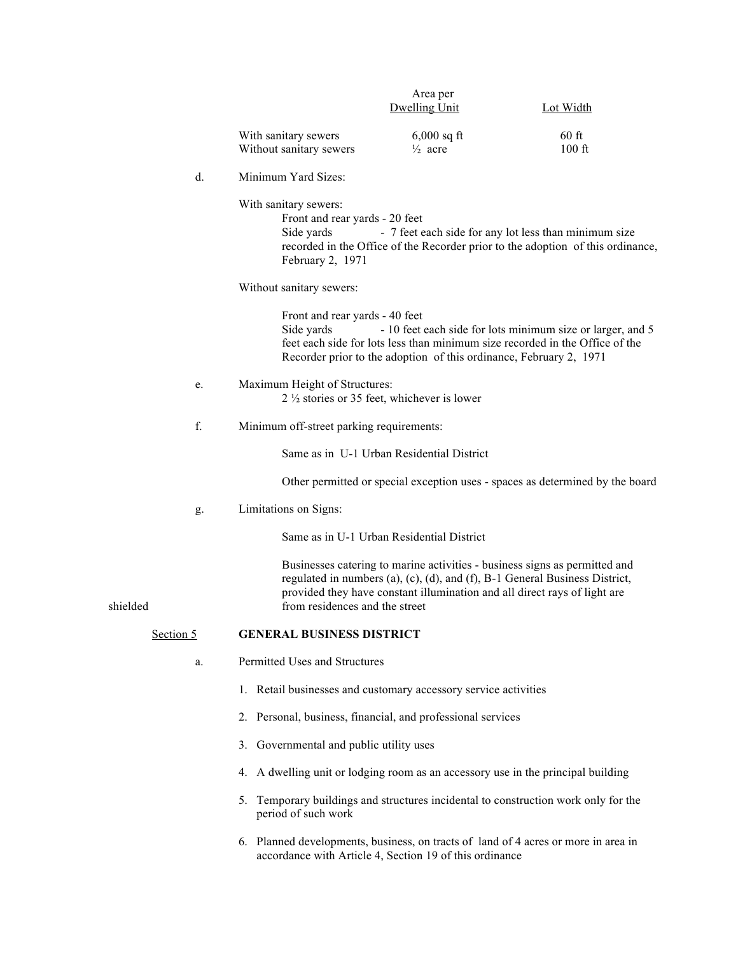|           |    |                                                                                           | Area per<br><b>Dwelling Unit</b>                                          | <b>Lot Width</b>                                                                                                                                          |
|-----------|----|-------------------------------------------------------------------------------------------|---------------------------------------------------------------------------|-----------------------------------------------------------------------------------------------------------------------------------------------------------|
|           |    | With sanitary sewers<br>Without sanitary sewers                                           | $6,000$ sq ft<br>$\frac{1}{2}$ acre                                       | $60$ ft<br>$100$ ft                                                                                                                                       |
|           | d. | Minimum Yard Sizes:                                                                       |                                                                           |                                                                                                                                                           |
|           |    | With sanitary sewers:<br>Front and rear yards - 20 feet<br>Side yards<br>February 2, 1971 |                                                                           | - 7 feet each side for any lot less than minimum size<br>recorded in the Office of the Recorder prior to the adoption of this ordinance,                  |
|           |    | Without sanitary sewers:                                                                  |                                                                           |                                                                                                                                                           |
|           |    | Front and rear yards - 40 feet<br>Side yards                                              | Recorder prior to the adoption of this ordinance, February 2, 1971        | - 10 feet each side for lots minimum size or larger, and 5<br>feet each side for lots less than minimum size recorded in the Office of the                |
|           | e. | Maximum Height of Structures:                                                             | $2\frac{1}{2}$ stories or 35 feet, whichever is lower                     |                                                                                                                                                           |
|           | f. | Minimum off-street parking requirements:                                                  |                                                                           |                                                                                                                                                           |
|           |    |                                                                                           | Same as in U-1 Urban Residential District                                 |                                                                                                                                                           |
|           |    |                                                                                           |                                                                           | Other permitted or special exception uses - spaces as determined by the board                                                                             |
|           | g. | Limitations on Signs:                                                                     |                                                                           |                                                                                                                                                           |
|           |    |                                                                                           | Same as in U-1 Urban Residential District                                 |                                                                                                                                                           |
| shielded  |    | from residences and the street                                                            | provided they have constant illumination and all direct rays of light are | Businesses catering to marine activities - business signs as permitted and<br>regulated in numbers (a), (c), (d), and (f), B-1 General Business District, |
| Section 5 |    | <b>GENERAL BUSINESS DISTRICT</b>                                                          |                                                                           |                                                                                                                                                           |
|           | a. | Permitted Uses and Structures                                                             |                                                                           |                                                                                                                                                           |
|           |    | 1. Retail businesses and customary accessory service activities                           |                                                                           |                                                                                                                                                           |
|           |    | 2. Personal, business, financial, and professional services                               |                                                                           |                                                                                                                                                           |
|           |    | 3. Governmental and public utility uses                                                   |                                                                           |                                                                                                                                                           |
|           |    | 4. A dwelling unit or lodging room as an accessory use in the principal building          |                                                                           |                                                                                                                                                           |
|           |    | period of such work                                                                       |                                                                           | 5. Temporary buildings and structures incidental to construction work only for the                                                                        |
|           |    |                                                                                           | accordance with Article 4, Section 19 of this ordinance                   | 6. Planned developments, business, on tracts of land of 4 acres or more in area in                                                                        |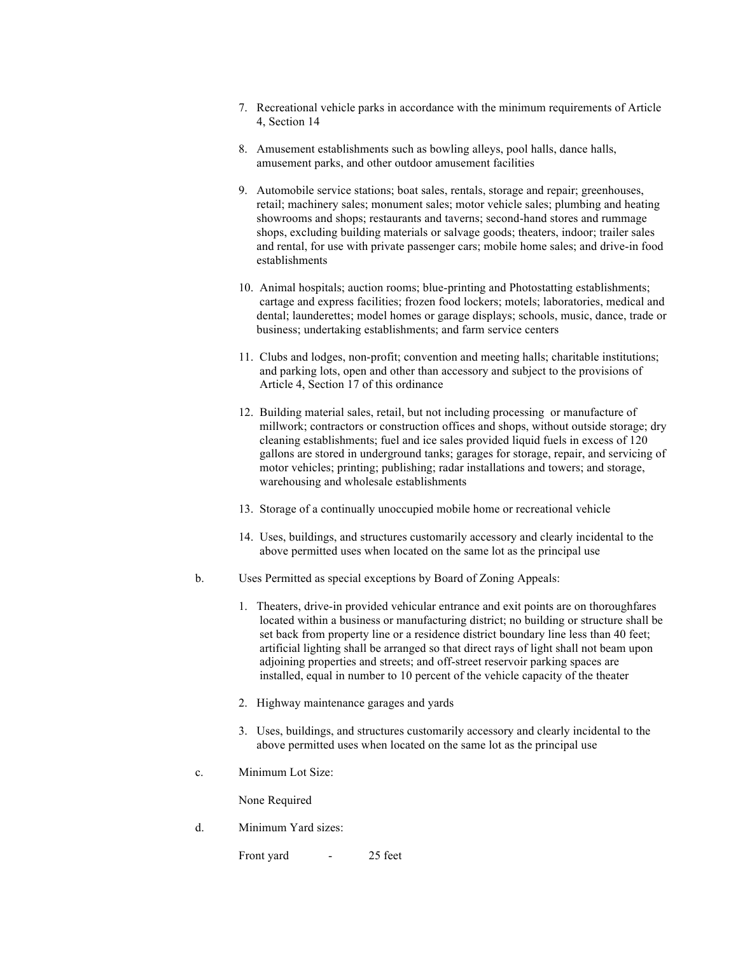- 7. Recreational vehicle parks in accordance with the minimum requirements of Article 4, Section 14
- 8. Amusement establishments such as bowling alleys, pool halls, dance halls, amusement parks, and other outdoor amusement facilities
- 9. Automobile service stations; boat sales, rentals, storage and repair; greenhouses, retail; machinery sales; monument sales; motor vehicle sales; plumbing and heating showrooms and shops; restaurants and taverns; second-hand stores and rummage shops, excluding building materials or salvage goods; theaters, indoor; trailer sales and rental, for use with private passenger cars; mobile home sales; and drive-in food establishments
- 10. Animal hospitals; auction rooms; blue-printing and Photostatting establishments; cartage and express facilities; frozen food lockers; motels; laboratories, medical and dental; launderettes; model homes or garage displays; schools, music, dance, trade or business; undertaking establishments; and farm service centers
- 11. Clubs and lodges, non-profit; convention and meeting halls; charitable institutions; and parking lots, open and other than accessory and subject to the provisions of Article 4, Section 17 of this ordinance
- 12. Building material sales, retail, but not including processing or manufacture of millwork; contractors or construction offices and shops, without outside storage; dry cleaning establishments; fuel and ice sales provided liquid fuels in excess of 120 gallons are stored in underground tanks; garages for storage, repair, and servicing of motor vehicles; printing; publishing; radar installations and towers; and storage, warehousing and wholesale establishments
- 13. Storage of a continually unoccupied mobile home or recreational vehicle
- 14. Uses, buildings, and structures customarily accessory and clearly incidental to the above permitted uses when located on the same lot as the principal use
- b. Uses Permitted as special exceptions by Board of Zoning Appeals:
	- 1. Theaters, drive-in provided vehicular entrance and exit points are on thoroughfares located within a business or manufacturing district; no building or structure shall be set back from property line or a residence district boundary line less than 40 feet; artificial lighting shall be arranged so that direct rays of light shall not beam upon adjoining properties and streets; and off-street reservoir parking spaces are installed, equal in number to 10 percent of the vehicle capacity of the theater
	- 2. Highway maintenance garages and yards
	- 3. Uses, buildings, and structures customarily accessory and clearly incidental to the above permitted uses when located on the same lot as the principal use
- c. Minimum Lot Size:

None Required

d. Minimum Yard sizes:

Front yard - 25 feet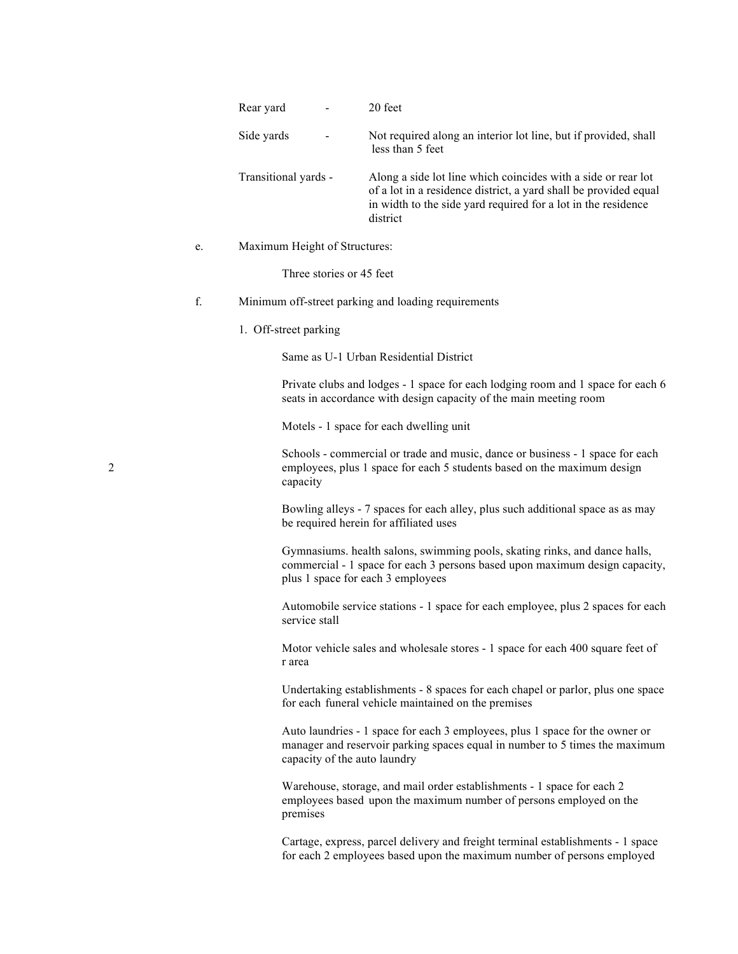|   |             | Rear yard                     | 20 feet                                                                                                                                                                                                        |
|---|-------------|-------------------------------|----------------------------------------------------------------------------------------------------------------------------------------------------------------------------------------------------------------|
|   |             | Side yards                    | Not required along an interior lot line, but if provided, shall<br>less than 5 feet                                                                                                                            |
|   |             | Transitional yards -          | Along a side lot line which coincides with a side or rear lot<br>of a lot in a residence district, a yard shall be provided equal<br>in width to the side yard required for a lot in the residence<br>district |
|   | e.          | Maximum Height of Structures: |                                                                                                                                                                                                                |
|   |             | Three stories or 45 feet      |                                                                                                                                                                                                                |
|   | $\mathbf f$ |                               | Minimum off-street parking and loading requirements                                                                                                                                                            |
|   |             | 1. Off-street parking         |                                                                                                                                                                                                                |
|   |             |                               | Same as U-1 Urban Residential District                                                                                                                                                                         |
|   |             |                               | Private clubs and lodges - 1 space for each lodging room and 1 space for each 6<br>seats in accordance with design capacity of the main meeting room                                                           |
|   |             |                               | Motels - 1 space for each dwelling unit                                                                                                                                                                        |
| 2 |             | capacity                      | Schools - commercial or trade and music, dance or business - 1 space for each<br>employees, plus 1 space for each 5 students based on the maximum design                                                       |
|   |             |                               | Bowling alleys - 7 spaces for each alley, plus such additional space as as may<br>be required herein for affiliated uses                                                                                       |
|   |             |                               | Gymnasiums. health salons, swimming pools, skating rinks, and dance halls,<br>commercial - 1 space for each 3 persons based upon maximum design capacity,<br>plus 1 space for each 3 employees                 |
|   |             | service stall                 | Automobile service stations - 1 space for each employee, plus 2 spaces for each                                                                                                                                |
|   |             | r area                        | Motor vehicle sales and wholesale stores - 1 space for each 400 square feet of                                                                                                                                 |
|   |             |                               | Undertaking establishments - 8 spaces for each chapel or parlor, plus one space<br>for each funeral vehicle maintained on the premises                                                                         |
|   |             | capacity of the auto laundry  | Auto laundries - 1 space for each 3 employees, plus 1 space for the owner or<br>manager and reservoir parking spaces equal in number to 5 times the maximum                                                    |
|   |             | premises                      | Warehouse, storage, and mail order establishments - 1 space for each 2<br>employees based upon the maximum number of persons employed on the                                                                   |
|   |             |                               | Cartage, express, parcel delivery and freight terminal establishments - 1 space<br>for each 2 employees based upon the maximum number of persons employed                                                      |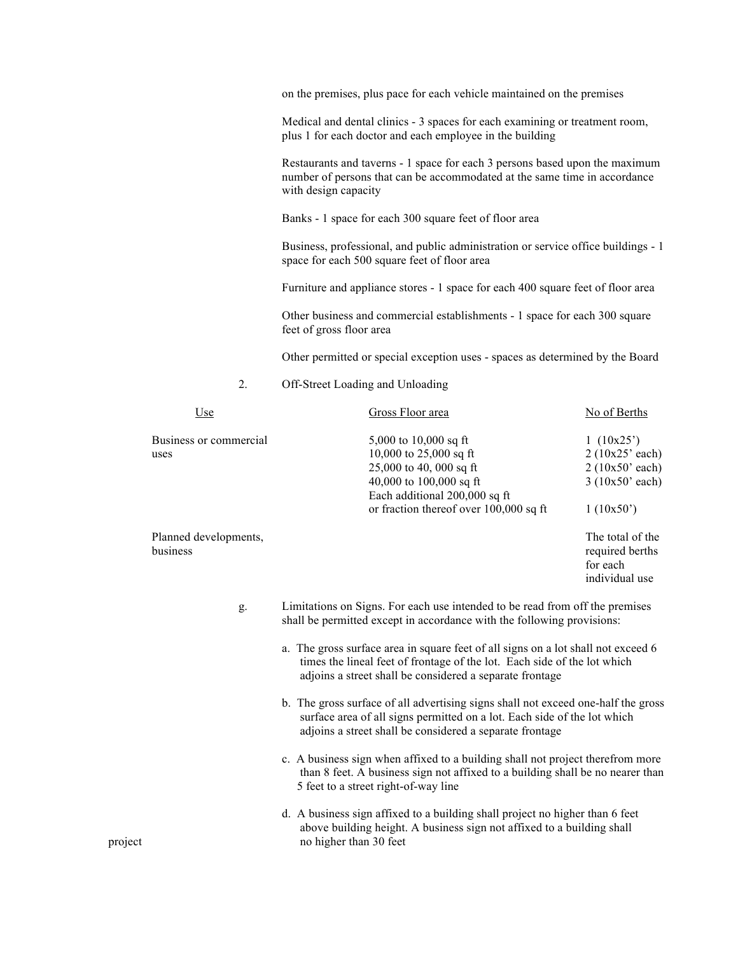on the premises, plus pace for each vehicle maintained on the premises

Medical and dental clinics - 3 spaces for each examining or treatment room, plus 1 for each doctor and each employee in the building

Restaurants and taverns - 1 space for each 3 persons based upon the maximum number of persons that can be accommodated at the same time in accordance with design capacity

Banks - 1 space for each 300 square feet of floor area

Business, professional, and public administration or service office buildings - 1 space for each 500 square feet of floor area

Furniture and appliance stores - 1 space for each 400 square feet of floor area

Other business and commercial establishments - 1 space for each 300 square feet of gross floor area

Other permitted or special exception uses - spaces as determined by the Board

# 2. Off-Street Loading and Unloading

| Use                               | Gross Floor area                                                                                                                                                                                                          | No of Berths                                                               |
|-----------------------------------|---------------------------------------------------------------------------------------------------------------------------------------------------------------------------------------------------------------------------|----------------------------------------------------------------------------|
| Business or commercial<br>uses    | 5,000 to $10,000$ sq ft<br>10,000 to 25,000 sq ft<br>25,000 to 40, 000 sq ft<br>40,000 to 100,000 sq ft<br>Each additional 200,000 sq ft<br>or fraction thereof over 100,000 sq ft                                        | 1(10x25)<br>2(10x25' each)<br>2(10x50' each)<br>3(10x50' each)<br>1(10x50) |
| Planned developments,<br>business |                                                                                                                                                                                                                           | The total of the<br>required berths<br>for each<br>individual use          |
| g.                                | Limitations on Signs. For each use intended to be read from off the premises<br>shall be permitted except in accordance with the following provisions:                                                                    |                                                                            |
|                                   | a. The gross surface area in square feet of all signs on a lot shall not exceed 6<br>times the lineal feet of frontage of the lot. Each side of the lot which<br>adjoins a street shall be considered a separate frontage |                                                                            |
|                                   | b. The gross surface of all advertising signs shall not exceed one-half the gross<br>surface area of all signs permitted on a lot. Each side of the lot which<br>adjoins a street shall be considered a separate frontage |                                                                            |
|                                   | c. A business sign when affixed to a building shall not project therefrom more<br>than 8 feet. A business sign not affixed to a building shall be no nearer than<br>5 feet to a street right-of-way line                  |                                                                            |

d. A business sign affixed to a building shall project no higher than 6 feet above building height. A business sign not affixed to a building shall project no higher than 30 feet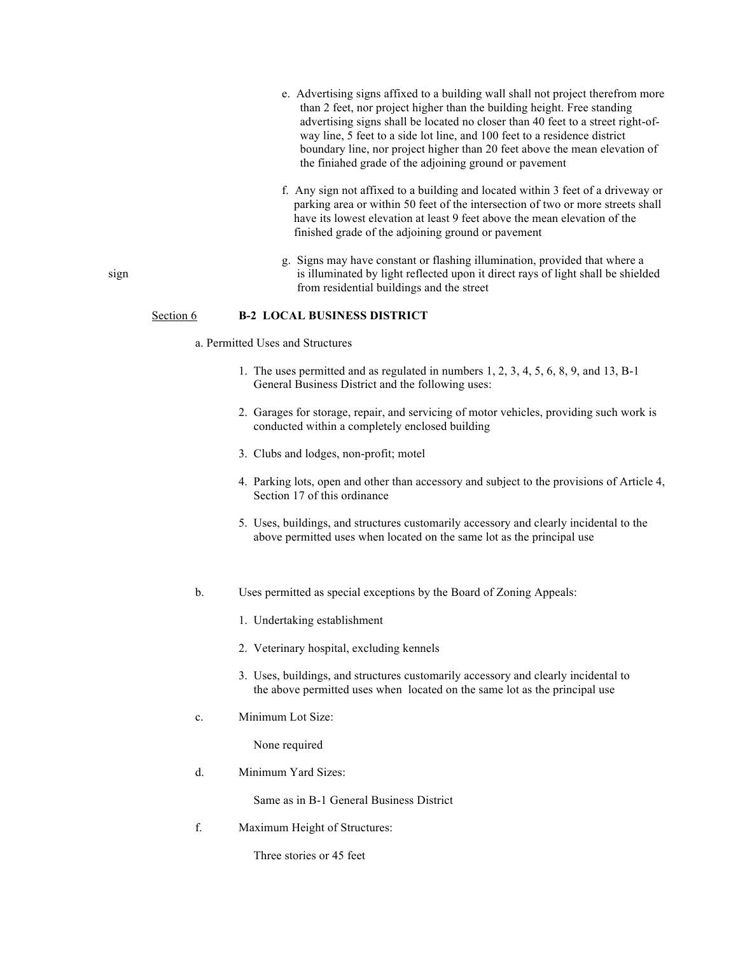- e. Advertising signs affixed to a building wall shall not project therefrom more than 2 feet, nor project higher than the building height. Free standing advertising signs shall be located no closer than 40 feet to a street right-of way line, 5 feet to a side lot line, and 100 feet to a residence district boundary line, nor project higher than 20 feet above the mean elevation of the finiahed grade of the adjoining ground or pavement
- f. Any sign not affixed to a building and located within 3 feet of a driveway or parking area or within 50 feet of the intersection of two or more streets shall have its lowest elevation at least 9 feet above the mean elevation of the finished grade of the adjoining ground or pavement
- g. Signs may have constant or flashing illumination, provided that where a sign is illuminated by light reflected upon it direct rays of light shall be shielded from residential buildings and the street

#### Section 6 **B-2 LOCAL BUSINESS DISTRICT**

- a. Permitted Uses and Structures
	- 1. The uses permitted and as regulated in numbers 1, 2, 3, 4, 5, 6, 8, 9, and 13, B-1 General Business District and the following uses:
	- 2. Garages for storage, repair, and servicing of motor vehicles, providing such work is conducted within a completely enclosed building
	- 3. Clubs and lodges, non-profit; motel
	- 4. Parking lots, open and other than accessory and subject to the provisions of Article 4, Section 17 of this ordinance
	- 5. Uses, buildings, and structures customarily accessory and clearly incidental to the above permitted uses when located on the same lot as the principal use
- b. Uses permitted as special exceptions by the Board of Zoning Appeals:
	- 1. Undertaking establishment
	- 2. Veterinary hospital, excluding kennels
	- 3. Uses, buildings, and structures customarily accessory and clearly incidental to the above permitted uses when located on the same lot as the principal use
- c. Minimum Lot Size:

None required

d. Minimum Yard Sizes:

Same as in B-1 General Business District

f. Maximum Height of Structures:

Three stories or 45 feet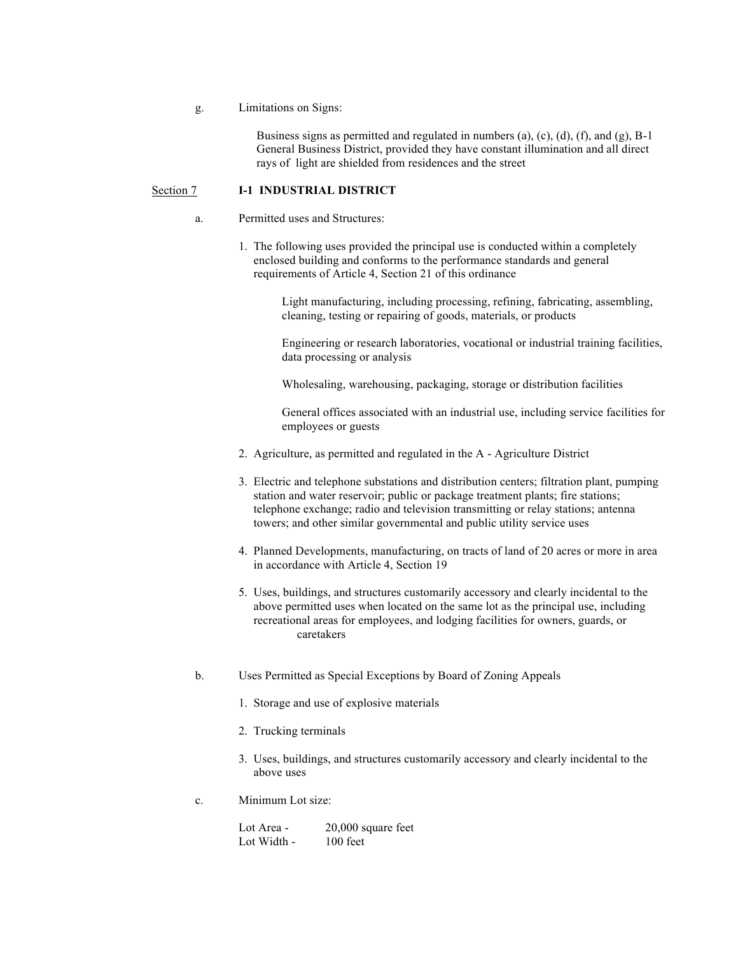#### g. Limitations on Signs:

 Business signs as permitted and regulated in numbers (a), (c), (d), (f), and (g), B-1 General Business District, provided they have constant illumination and all direct rays of light are shielded from residences and the street

#### Section 7 **I-1 INDUSTRIAL DISTRICT**

### a. Permitted uses and Structures:

1. The following uses provided the principal use is conducted within a completely enclosed building and conforms to the performance standards and general requirements of Article 4, Section 21 of this ordinance

> Light manufacturing, including processing, refining, fabricating, assembling, cleaning, testing or repairing of goods, materials, or products

Engineering or research laboratories, vocational or industrial training facilities, data processing or analysis

Wholesaling, warehousing, packaging, storage or distribution facilities

General offices associated with an industrial use, including service facilities for employees or guests

- 2. Agriculture, as permitted and regulated in the A Agriculture District
- 3. Electric and telephone substations and distribution centers; filtration plant, pumping station and water reservoir; public or package treatment plants; fire stations; telephone exchange; radio and television transmitting or relay stations; antenna towers; and other similar governmental and public utility service uses
- 4. Planned Developments, manufacturing, on tracts of land of 20 acres or more in area in accordance with Article 4, Section 19
- 5. Uses, buildings, and structures customarily accessory and clearly incidental to the above permitted uses when located on the same lot as the principal use, including recreational areas for employees, and lodging facilities for owners, guards, or caretakers
- b. Uses Permitted as Special Exceptions by Board of Zoning Appeals
	- 1. Storage and use of explosive materials
	- 2. Trucking terminals
	- 3. Uses, buildings, and structures customarily accessory and clearly incidental to the above uses
- c. Minimum Lot size:

| Lot Area -  | $20,000$ square feet |
|-------------|----------------------|
| Lot Width - | $100$ feet           |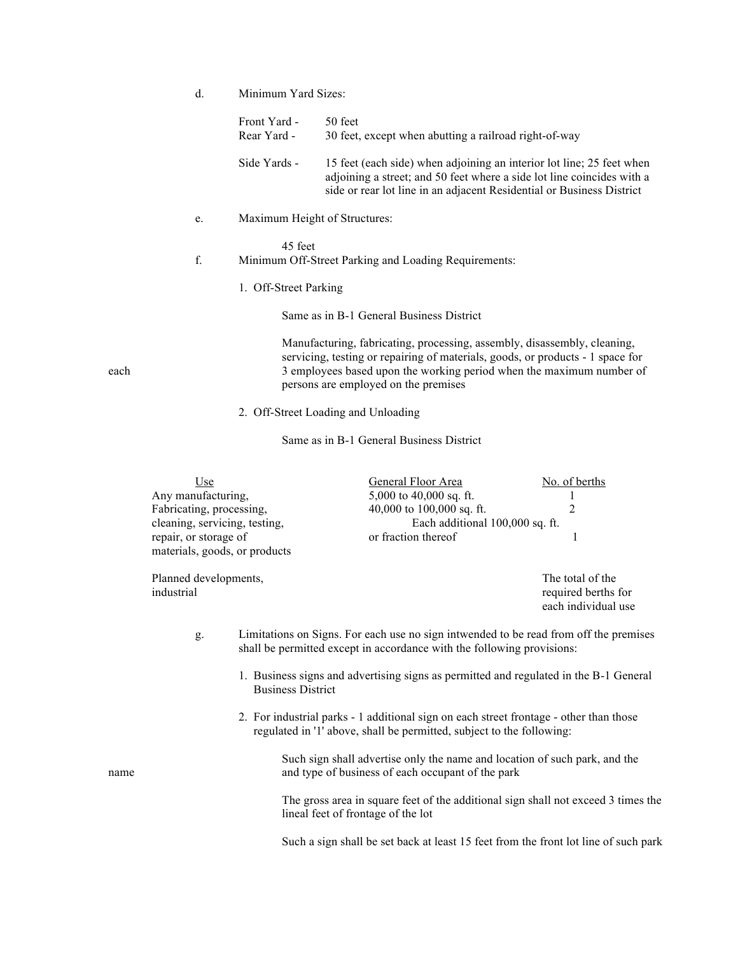|      | d. | Minimum Yard Sizes:         |                                                                                                                                                                                                                                                                            |
|------|----|-----------------------------|----------------------------------------------------------------------------------------------------------------------------------------------------------------------------------------------------------------------------------------------------------------------------|
|      |    | Front Yard -<br>Rear Yard - | 50 feet<br>30 feet, except when abutting a railroad right-of-way                                                                                                                                                                                                           |
|      |    | Side Yards -                | 15 feet (each side) when adjoining an interior lot line; 25 feet when<br>adjoining a street; and 50 feet where a side lot line coincides with a<br>side or rear lot line in an adjacent Residential or Business District                                                   |
|      | e. |                             | Maximum Height of Structures:                                                                                                                                                                                                                                              |
|      | f. | 45 feet                     | Minimum Off-Street Parking and Loading Requirements:                                                                                                                                                                                                                       |
|      |    | 1. Off-Street Parking       |                                                                                                                                                                                                                                                                            |
|      |    |                             | Same as in B-1 General Business District                                                                                                                                                                                                                                   |
| each |    |                             | Manufacturing, fabricating, processing, assembly, disassembly, cleaning,<br>servicing, testing or repairing of materials, goods, or products - 1 space for<br>3 employees based upon the working period when the maximum number of<br>persons are employed on the premises |

2. Off-Street Loading and Unloading

Same as in B-1 General Business District

|      | <u>Use</u><br>Any manufacturing,<br>Fabricating, processing,<br>cleaning, servicing, testing,<br>repair, or storage of<br>materials, goods, or products |                                    | General Floor Area<br>5,000 to 40,000 sq. ft.<br>40,000 to 100,000 sq. ft.<br>Each additional 100,000 sq. ft.<br>or fraction thereof                            | No. of berths<br>$\bf{l}$<br>$\overline{2}$<br>1                                      |
|------|---------------------------------------------------------------------------------------------------------------------------------------------------------|------------------------------------|-----------------------------------------------------------------------------------------------------------------------------------------------------------------|---------------------------------------------------------------------------------------|
|      | Planned developments,<br>industrial                                                                                                                     |                                    |                                                                                                                                                                 | The total of the<br>required berths for<br>each individual use                        |
|      | g.                                                                                                                                                      |                                    | shall be permitted except in accordance with the following provisions:                                                                                          | Limitations on Signs. For each use no sign intwended to be read from off the premises |
|      |                                                                                                                                                         | <b>Business District</b>           |                                                                                                                                                                 | 1. Business signs and advertising signs as permitted and regulated in the B-1 General |
|      |                                                                                                                                                         |                                    | 2. For industrial parks - 1 additional sign on each street frontage - other than those<br>regulated in '1' above, shall be permitted, subject to the following: |                                                                                       |
| name |                                                                                                                                                         |                                    | Such sign shall advertise only the name and location of such park, and the<br>and type of business of each occupant of the park                                 |                                                                                       |
|      |                                                                                                                                                         | lineal feet of frontage of the lot |                                                                                                                                                                 | The gross area in square feet of the additional sign shall not exceed 3 times the     |

Such a sign shall be set back at least 15 feet from the front lot line of such park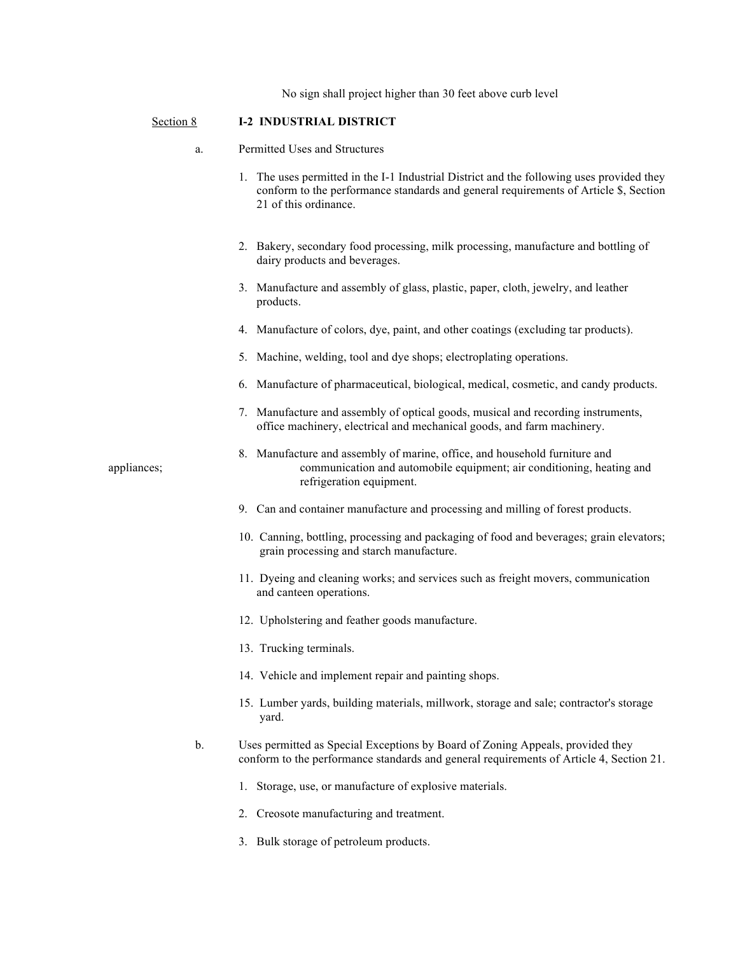No sign shall project higher than 30 feet above curb level

## Section 8 **I-2 INDUSTRIAL DISTRICT**

- a. Permitted Uses and Structures
	- 1. The uses permitted in the I-1 Industrial District and the following uses provided they conform to the performance standards and general requirements of Article \$, Section 21 of this ordinance.
	- 2. Bakery, secondary food processing, milk processing, manufacture and bottling of dairy products and beverages.
	- 3. Manufacture and assembly of glass, plastic, paper, cloth, jewelry, and leather products.
	- 4. Manufacture of colors, dye, paint, and other coatings (excluding tar products).
	- 5. Machine, welding, tool and dye shops; electroplating operations.
	- 6. Manufacture of pharmaceutical, biological, medical, cosmetic, and candy products.
	- 7. Manufacture and assembly of optical goods, musical and recording instruments, office machinery, electrical and mechanical goods, and farm machinery.
- 8. Manufacture and assembly of marine, office, and household furniture and appliances; communication and automobile equipment; air conditioning, heating and refrigeration equipment.
	- 9. Can and container manufacture and processing and milling of forest products.
	- 10. Canning, bottling, processing and packaging of food and beverages; grain elevators; grain processing and starch manufacture.
	- 11. Dyeing and cleaning works; and services such as freight movers, communication and canteen operations.
	- 12. Upholstering and feather goods manufacture.
	- 13. Trucking terminals.
	- 14. Vehicle and implement repair and painting shops.
	- 15. Lumber yards, building materials, millwork, storage and sale; contractor's storage yard.

#### b. Uses permitted as Special Exceptions by Board of Zoning Appeals, provided they conform to the performance standards and general requirements of Article 4, Section 21.

- 1. Storage, use, or manufacture of explosive materials.
- 2. Creosote manufacturing and treatment.
- 3. Bulk storage of petroleum products.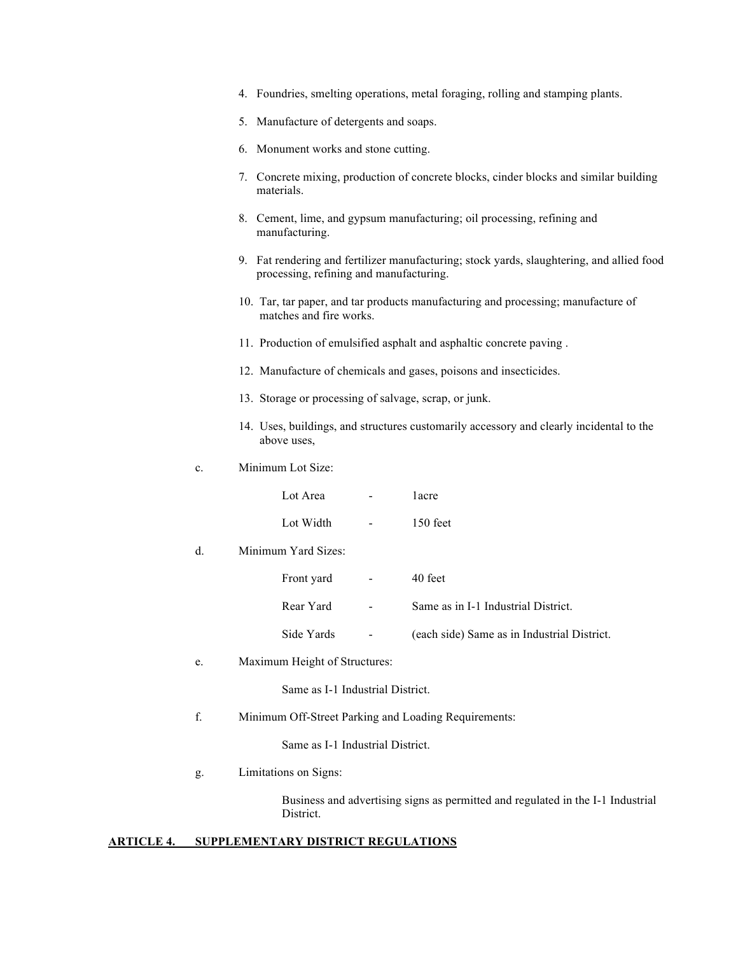- 4. Foundries, smelting operations, metal foraging, rolling and stamping plants.
- 5. Manufacture of detergents and soaps.
- 6. Monument works and stone cutting.
- 7. Concrete mixing, production of concrete blocks, cinder blocks and similar building materials.
- 8. Cement, lime, and gypsum manufacturing; oil processing, refining and manufacturing.
- 9. Fat rendering and fertilizer manufacturing; stock yards, slaughtering, and allied food processing, refining and manufacturing.
- 10. Tar, tar paper, and tar products manufacturing and processing; manufacture of matches and fire works.
- 11. Production of emulsified asphalt and asphaltic concrete paving .
- 12. Manufacture of chemicals and gases, poisons and insecticides.
- 13. Storage or processing of salvage, scrap, or junk.
- 14. Uses, buildings, and structures customarily accessory and clearly incidental to the above uses,
- c. Minimum Lot Size:

Lot Area - 1acre Lot Width - 150 feet

d. Minimum Yard Sizes:

| Front vard | $\sim$ | 40 feet                                     |
|------------|--------|---------------------------------------------|
| Rear Yard  | $\sim$ | Same as in I-1 Industrial District.         |
| Side Yards |        | (each side) Same as in Industrial District. |

e. Maximum Height of Structures:

Same as I-1 Industrial District.

f. Minimum Off-Street Parking and Loading Requirements:

Same as I-1 Industrial District.

g. Limitations on Signs:

Business and advertising signs as permitted and regulated in the I-1 Industrial District.

## **ARTICLE 4. SUPPLEMENTARY DISTRICT REGULATIONS**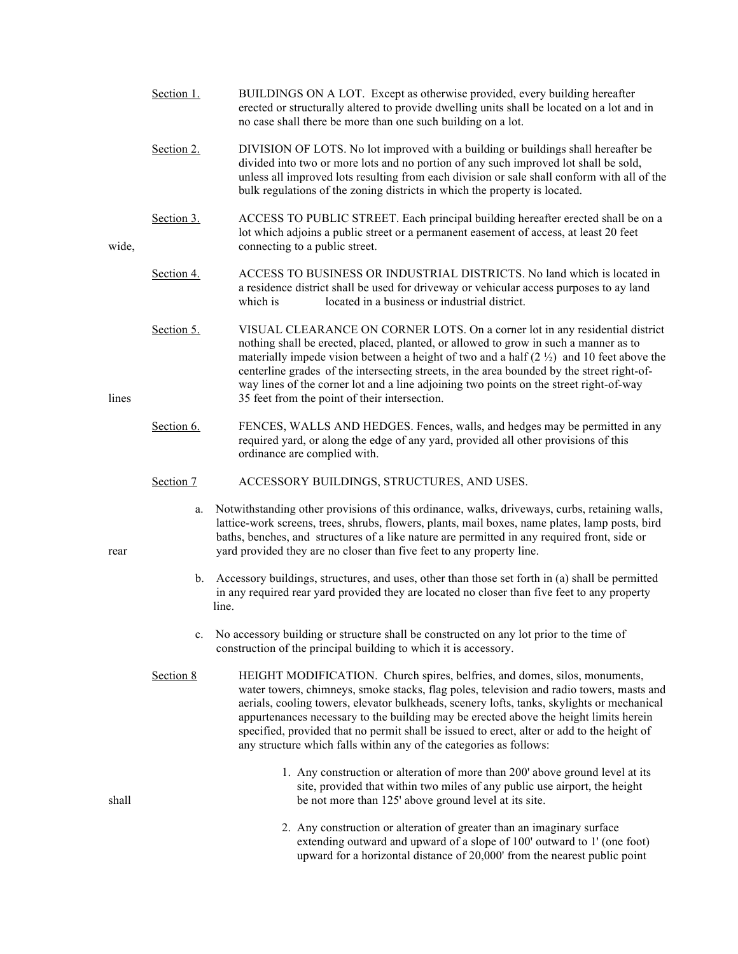- Section 1. BUILDINGS ON A LOT. Except as otherwise provided, every building hereafter erected or structurally altered to provide dwelling units shall be located on a lot and in no case shall there be more than one such building on a lot.
- Section 2. DIVISION OF LOTS. No lot improved with a building or buildings shall hereafter be divided into two or more lots and no portion of any such improved lot shall be sold, unless all improved lots resulting from each division or sale shall conform with all of the bulk regulations of the zoning districts in which the property is located.
- Section 3. ACCESS TO PUBLIC STREET. Each principal building hereafter erected shall be on a lot which adjoins a public street or a permanent easement of access, at least 20 feet wide, connecting to a public street.
	- Section 4. ACCESS TO BUSINESS OR INDUSTRIAL DISTRICTS. No land which is located in a residence district shall be used for driveway or vehicular access purposes to ay land which is located in a business or industrial district.
- Section 5. VISUAL CLEARANCE ON CORNER LOTS. On a corner lot in any residential district nothing shall be erected, placed, planted, or allowed to grow in such a manner as to materially impede vision between a height of two and a half  $(2 \frac{1}{2})$  and 10 feet above the centerline grades of the intersecting streets, in the area bounded by the street right-ofway lines of the corner lot and a line adjoining two points on the street right-of-way lines 35 feet from the point of their intersection.
	- Section 6. FENCES, WALLS AND HEDGES. Fences, walls, and hedges may be permitted in any required yard, or along the edge of any yard, provided all other provisions of this ordinance are complied with.
	- Section 7 ACCESSORY BUILDINGS, STRUCTURES, AND USES.
- a. Notwithstanding other provisions of this ordinance, walks, driveways, curbs, retaining walls, lattice-work screens, trees, shrubs, flowers, plants, mail boxes, name plates, lamp posts, bird baths, benches, and structures of a like nature are permitted in any required front, side or rear yard provided they are no closer than five feet to any property line.
	- b. Accessory buildings, structures, and uses, other than those set forth in (a) shall be permitted in any required rear yard provided they are located no closer than five feet to any property line.
	- c. No accessory building or structure shall be constructed on any lot prior to the time of construction of the principal building to which it is accessory.
	- Section 8 HEIGHT MODIFICATION. Church spires, belfries, and domes, silos, monuments, water towers, chimneys, smoke stacks, flag poles, television and radio towers, masts and aerials, cooling towers, elevator bulkheads, scenery lofts, tanks, skylights or mechanical appurtenances necessary to the building may be erected above the height limits herein specified, provided that no permit shall be issued to erect, alter or add to the height of any structure which falls within any of the categories as follows:
- 1. Any construction or alteration of more than 200' above ground level at its site, provided that within two miles of any public use airport, the height shall be not more than 125' above ground level at its site.
	- 2. Any construction or alteration of greater than an imaginary surface extending outward and upward of a slope of 100' outward to 1' (one foot) upward for a horizontal distance of 20,000' from the nearest public point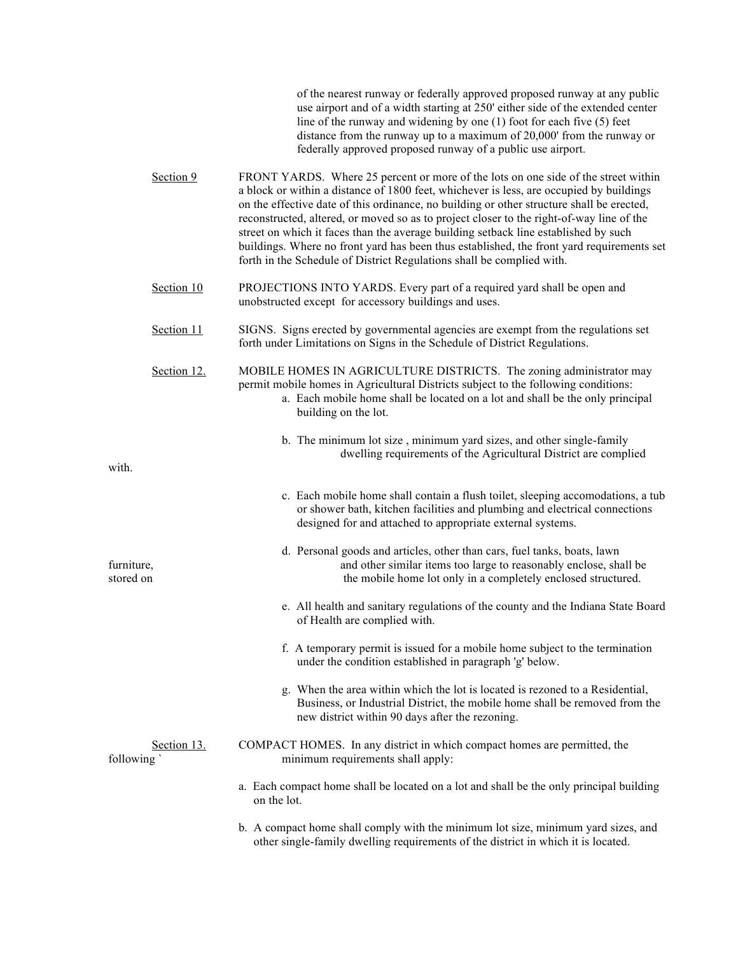of the nearest runway or federally approved proposed runway at any public use airport and of a width starting at 250' either side of the extended center line of the runway and widening by one (1) foot for each five (5) feet distance from the runway up to a maximum of 20,000' from the runway or federally approved proposed runway of a public use airport.

| Section 9                | FRONT YARDS. Where 25 percent or more of the lots on one side of the street within<br>a block or within a distance of 1800 feet, whichever is less, are occupied by buildings<br>on the effective date of this ordinance, no building or other structure shall be erected,<br>reconstructed, altered, or moved so as to project closer to the right-of-way line of the<br>street on which it faces than the average building setback line established by such<br>buildings. Where no front yard has been thus established, the front yard requirements set<br>forth in the Schedule of District Regulations shall be complied with. |
|--------------------------|-------------------------------------------------------------------------------------------------------------------------------------------------------------------------------------------------------------------------------------------------------------------------------------------------------------------------------------------------------------------------------------------------------------------------------------------------------------------------------------------------------------------------------------------------------------------------------------------------------------------------------------|
| Section 10               | PROJECTIONS INTO YARDS. Every part of a required yard shall be open and<br>unobstructed except for accessory buildings and uses.                                                                                                                                                                                                                                                                                                                                                                                                                                                                                                    |
| Section 11               | SIGNS. Signs erected by governmental agencies are exempt from the regulations set<br>forth under Limitations on Signs in the Schedule of District Regulations.                                                                                                                                                                                                                                                                                                                                                                                                                                                                      |
| Section 12.              | MOBILE HOMES IN AGRICULTURE DISTRICTS. The zoning administrator may<br>permit mobile homes in Agricultural Districts subject to the following conditions:<br>a. Each mobile home shall be located on a lot and shall be the only principal<br>building on the lot.                                                                                                                                                                                                                                                                                                                                                                  |
| with.                    | b. The minimum lot size, minimum yard sizes, and other single-family<br>dwelling requirements of the Agricultural District are complied                                                                                                                                                                                                                                                                                                                                                                                                                                                                                             |
|                          | c. Each mobile home shall contain a flush toilet, sleeping accomodations, a tub<br>or shower bath, kitchen facilities and plumbing and electrical connections<br>designed for and attached to appropriate external systems.                                                                                                                                                                                                                                                                                                                                                                                                         |
| furniture,<br>stored on  | d. Personal goods and articles, other than cars, fuel tanks, boats, lawn<br>and other similar items too large to reasonably enclose, shall be<br>the mobile home lot only in a completely enclosed structured.                                                                                                                                                                                                                                                                                                                                                                                                                      |
|                          | e. All health and sanitary regulations of the county and the Indiana State Board<br>of Health are complied with.                                                                                                                                                                                                                                                                                                                                                                                                                                                                                                                    |
|                          | f. A temporary permit is issued for a mobile home subject to the termination<br>under the condition established in paragraph 'g' below.                                                                                                                                                                                                                                                                                                                                                                                                                                                                                             |
|                          | g. When the area within which the lot is located is rezoned to a Residential,<br>Business, or Industrial District, the mobile home shall be removed from the<br>new district within 90 days after the rezoning.                                                                                                                                                                                                                                                                                                                                                                                                                     |
| Section 13.<br>following | COMPACT HOMES. In any district in which compact homes are permitted, the<br>minimum requirements shall apply:                                                                                                                                                                                                                                                                                                                                                                                                                                                                                                                       |
|                          | a. Each compact home shall be located on a lot and shall be the only principal building<br>on the lot.                                                                                                                                                                                                                                                                                                                                                                                                                                                                                                                              |
|                          | b. A compact home shall comply with the minimum lot size, minimum yard sizes, and<br>other single-family dwelling requirements of the district in which it is located.                                                                                                                                                                                                                                                                                                                                                                                                                                                              |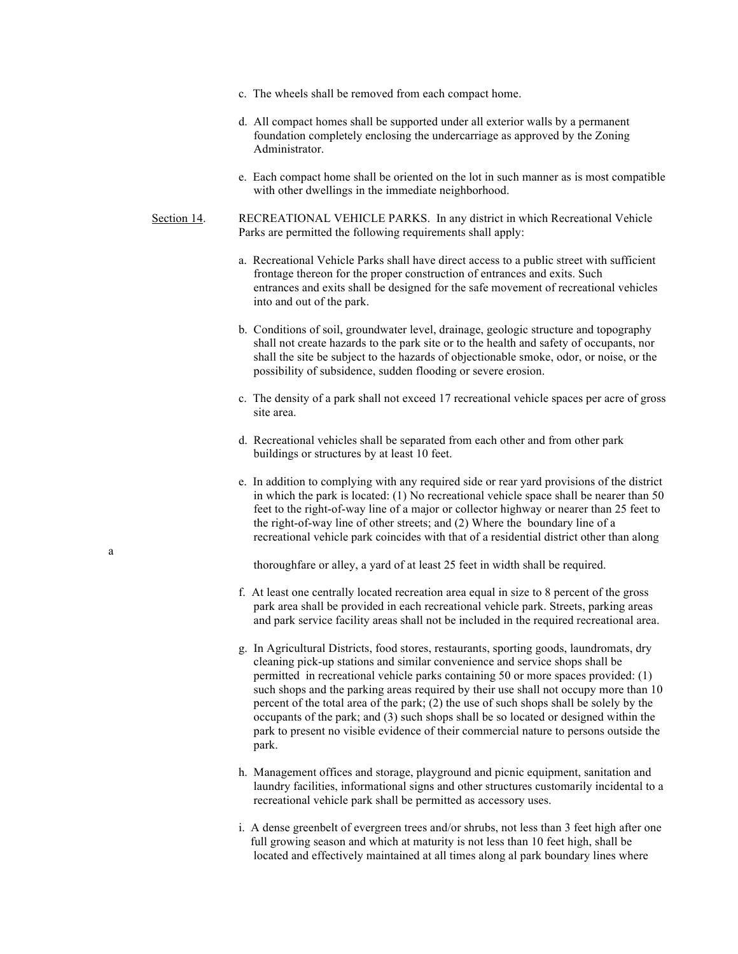- c. The wheels shall be removed from each compact home.
- d. All compact homes shall be supported under all exterior walls by a permanent foundation completely enclosing the undercarriage as approved by the Zoning Administrator.
- e. Each compact home shall be oriented on the lot in such manner as is most compatible with other dwellings in the immediate neighborhood.
- Section 14. RECREATIONAL VEHICLE PARKS. In any district in which Recreational Vehicle Parks are permitted the following requirements shall apply:
	- a. Recreational Vehicle Parks shall have direct access to a public street with sufficient frontage thereon for the proper construction of entrances and exits. Such entrances and exits shall be designed for the safe movement of recreational vehicles into and out of the park.
	- b. Conditions of soil, groundwater level, drainage, geologic structure and topography shall not create hazards to the park site or to the health and safety of occupants, nor shall the site be subject to the hazards of objectionable smoke, odor, or noise, or the possibility of subsidence, sudden flooding or severe erosion.
	- c. The density of a park shall not exceed 17 recreational vehicle spaces per acre of gross site area.
	- d. Recreational vehicles shall be separated from each other and from other park buildings or structures by at least 10 feet.
	- e. In addition to complying with any required side or rear yard provisions of the district in which the park is located: (1) No recreational vehicle space shall be nearer than 50 feet to the right-of-way line of a major or collector highway or nearer than 25 feet to the right-of-way line of other streets; and (2) Where the boundary line of a recreational vehicle park coincides with that of a residential district other than along

thoroughfare or alley, a yard of at least 25 feet in width shall be required.

- f. At least one centrally located recreation area equal in size to 8 percent of the gross park area shall be provided in each recreational vehicle park. Streets, parking areas and park service facility areas shall not be included in the required recreational area.
- g. In Agricultural Districts, food stores, restaurants, sporting goods, laundromats, dry cleaning pick-up stations and similar convenience and service shops shall be permitted in recreational vehicle parks containing 50 or more spaces provided: (1) such shops and the parking areas required by their use shall not occupy more than 10 percent of the total area of the park; (2) the use of such shops shall be solely by the occupants of the park; and (3) such shops shall be so located or designed within the park to present no visible evidence of their commercial nature to persons outside the park.
- h. Management offices and storage, playground and picnic equipment, sanitation and laundry facilities, informational signs and other structures customarily incidental to a recreational vehicle park shall be permitted as accessory uses.
- i. A dense greenbelt of evergreen trees and/or shrubs, not less than 3 feet high after one full growing season and which at maturity is not less than 10 feet high, shall be located and effectively maintained at all times along al park boundary lines where

a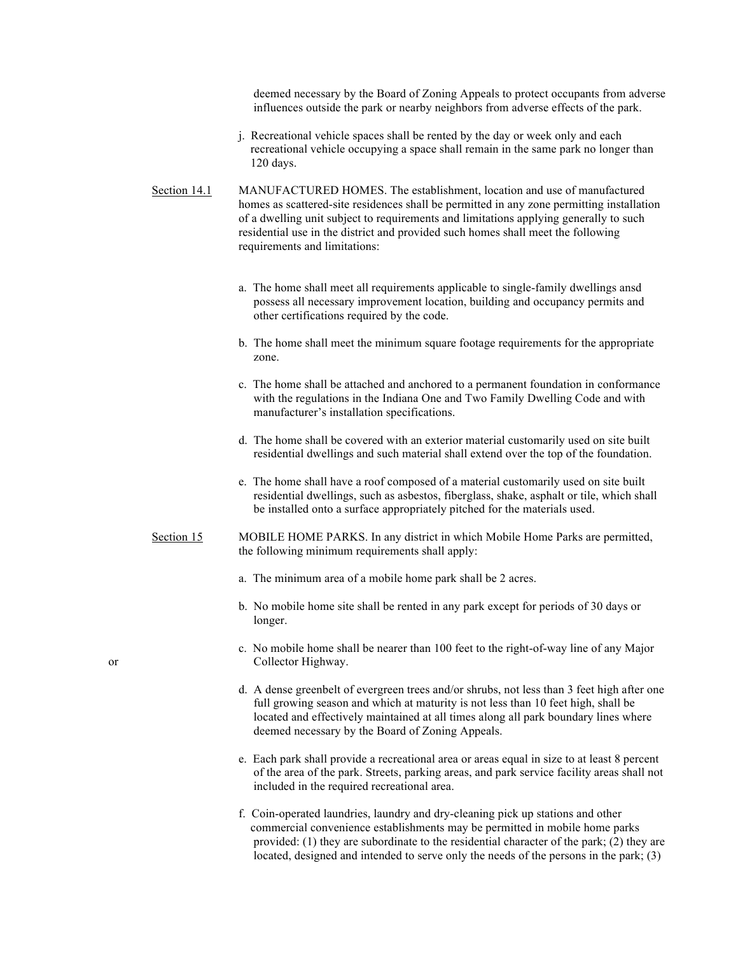deemed necessary by the Board of Zoning Appeals to protect occupants from adverse influences outside the park or nearby neighbors from adverse effects of the park.

- j. Recreational vehicle spaces shall be rented by the day or week only and each recreational vehicle occupying a space shall remain in the same park no longer than 120 days.
- Section 14.1 MANUFACTURED HOMES. The establishment, location and use of manufactured homes as scattered-site residences shall be permitted in any zone permitting installation of a dwelling unit subject to requirements and limitations applying generally to such residential use in the district and provided such homes shall meet the following requirements and limitations:
	- a. The home shall meet all requirements applicable to single-family dwellings ansd possess all necessary improvement location, building and occupancy permits and other certifications required by the code.
	- b. The home shall meet the minimum square footage requirements for the appropriate zone.
	- c. The home shall be attached and anchored to a permanent foundation in conformance with the regulations in the Indiana One and Two Family Dwelling Code and with manufacturer's installation specifications.
	- d. The home shall be covered with an exterior material customarily used on site built residential dwellings and such material shall extend over the top of the foundation.
	- e. The home shall have a roof composed of a material customarily used on site built residential dwellings, such as asbestos, fiberglass, shake, asphalt or tile, which shall be installed onto a surface appropriately pitched for the materials used.
- Section 15 MOBILE HOME PARKS. In any district in which Mobile Home Parks are permitted, the following minimum requirements shall apply:
	- a. The minimum area of a mobile home park shall be 2 acres.
	- b. No mobile home site shall be rented in any park except for periods of 30 days or longer.
- c. No mobile home shall be nearer than 100 feet to the right-of-way line of any Major or Collector Highway.
	- d. A dense greenbelt of evergreen trees and/or shrubs, not less than 3 feet high after one full growing season and which at maturity is not less than 10 feet high, shall be located and effectively maintained at all times along all park boundary lines where deemed necessary by the Board of Zoning Appeals.
	- e. Each park shall provide a recreational area or areas equal in size to at least 8 percent of the area of the park. Streets, parking areas, and park service facility areas shall not included in the required recreational area.
	- f. Coin-operated laundries, laundry and dry-cleaning pick up stations and other commercial convenience establishments may be permitted in mobile home parks provided: (1) they are subordinate to the residential character of the park; (2) they are located, designed and intended to serve only the needs of the persons in the park; (3)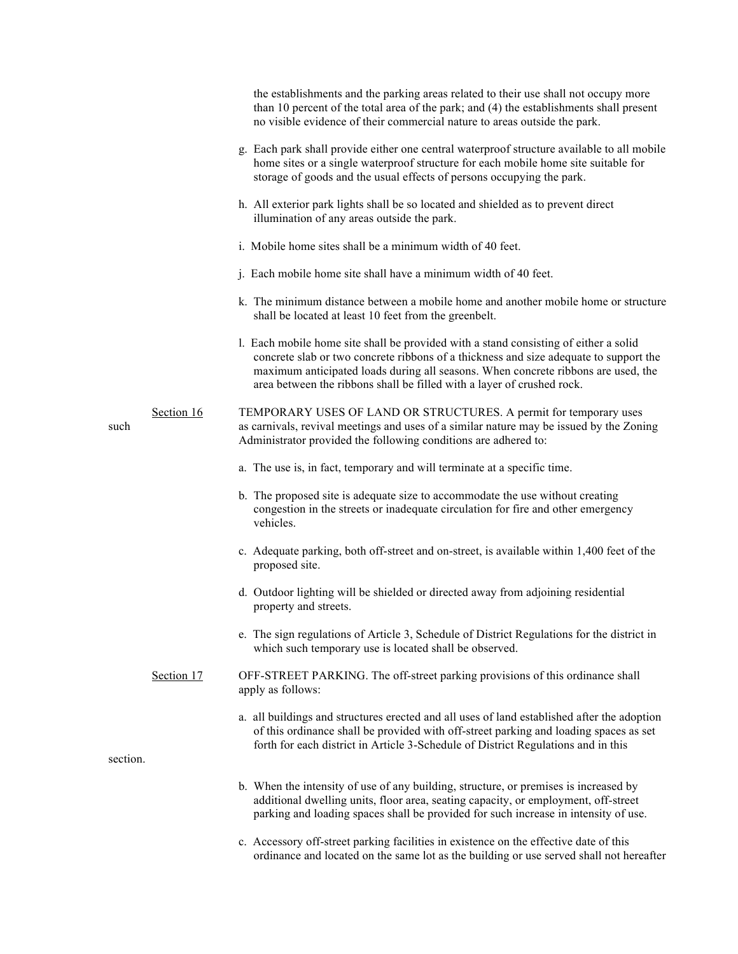|          |            | the establishments and the parking areas related to their use shall not occupy more<br>than 10 percent of the total area of the park; and (4) the establishments shall present<br>no visible evidence of their commercial nature to areas outside the park.                                                                                  |
|----------|------------|----------------------------------------------------------------------------------------------------------------------------------------------------------------------------------------------------------------------------------------------------------------------------------------------------------------------------------------------|
|          |            | g. Each park shall provide either one central waterproof structure available to all mobile<br>home sites or a single waterproof structure for each mobile home site suitable for<br>storage of goods and the usual effects of persons occupying the park.                                                                                    |
|          |            | h. All exterior park lights shall be so located and shielded as to prevent direct<br>illumination of any areas outside the park.                                                                                                                                                                                                             |
|          |            | i. Mobile home sites shall be a minimum width of 40 feet.                                                                                                                                                                                                                                                                                    |
|          |            | j. Each mobile home site shall have a minimum width of 40 feet.                                                                                                                                                                                                                                                                              |
|          |            | k. The minimum distance between a mobile home and another mobile home or structure<br>shall be located at least 10 feet from the greenbelt.                                                                                                                                                                                                  |
|          |            | 1. Each mobile home site shall be provided with a stand consisting of either a solid<br>concrete slab or two concrete ribbons of a thickness and size adequate to support the<br>maximum anticipated loads during all seasons. When concrete ribbons are used, the<br>area between the ribbons shall be filled with a layer of crushed rock. |
| such     | Section 16 | TEMPORARY USES OF LAND OR STRUCTURES. A permit for temporary uses<br>as carnivals, revival meetings and uses of a similar nature may be issued by the Zoning<br>Administrator provided the following conditions are adhered to:                                                                                                              |
|          |            | a. The use is, in fact, temporary and will terminate at a specific time.                                                                                                                                                                                                                                                                     |
|          |            | b. The proposed site is adequate size to accommodate the use without creating<br>congestion in the streets or inadequate circulation for fire and other emergency<br>vehicles.                                                                                                                                                               |
|          |            | c. Adequate parking, both off-street and on-street, is available within 1,400 feet of the<br>proposed site.                                                                                                                                                                                                                                  |
|          |            | d. Outdoor lighting will be shielded or directed away from adjoining residential<br>property and streets.                                                                                                                                                                                                                                    |
|          |            | e. The sign regulations of Article 3, Schedule of District Regulations for the district in<br>which such temporary use is located shall be observed.                                                                                                                                                                                         |
|          | Section 17 | OFF-STREET PARKING. The off-street parking provisions of this ordinance shall<br>apply as follows:                                                                                                                                                                                                                                           |
| section. |            | a. all buildings and structures erected and all uses of land established after the adoption<br>of this ordinance shall be provided with off-street parking and loading spaces as set<br>forth for each district in Article 3-Schedule of District Regulations and in this                                                                    |
|          |            | b. When the intensity of use of any building, structure, or premises is increased by<br>additional dwelling units, floor area, seating capacity, or employment, off-street<br>parking and loading spaces shall be provided for such increase in intensity of use.                                                                            |
|          |            | c. Accessory off-street parking facilities in existence on the effective date of this<br>ordinance and located on the same lot as the building or use served shall not hereafter                                                                                                                                                             |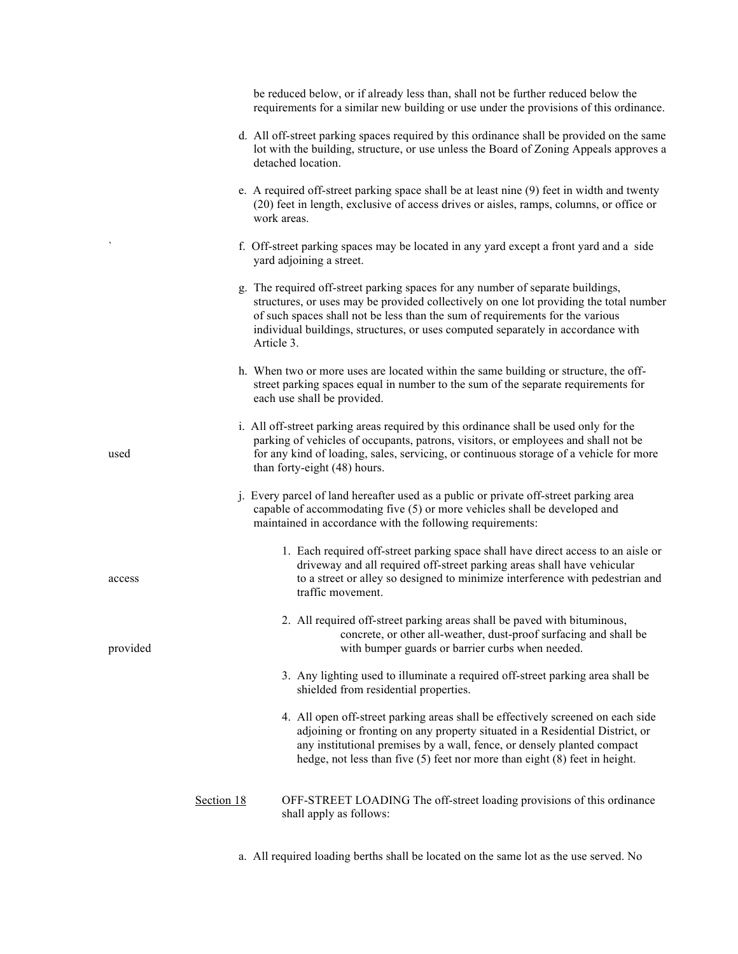|          |            | be reduced below, or if already less than, shall not be further reduced below the<br>requirements for a similar new building or use under the provisions of this ordinance.                                                                                                                                                                                  |
|----------|------------|--------------------------------------------------------------------------------------------------------------------------------------------------------------------------------------------------------------------------------------------------------------------------------------------------------------------------------------------------------------|
|          |            | d. All off-street parking spaces required by this ordinance shall be provided on the same<br>lot with the building, structure, or use unless the Board of Zoning Appeals approves a<br>detached location.                                                                                                                                                    |
|          |            | e. A required off-street parking space shall be at least nine (9) feet in width and twenty<br>(20) feet in length, exclusive of access drives or aisles, ramps, columns, or office or<br>work areas.                                                                                                                                                         |
|          |            | f. Off-street parking spaces may be located in any yard except a front yard and a side<br>yard adjoining a street.                                                                                                                                                                                                                                           |
|          |            | g. The required off-street parking spaces for any number of separate buildings,<br>structures, or uses may be provided collectively on one lot providing the total number<br>of such spaces shall not be less than the sum of requirements for the various<br>individual buildings, structures, or uses computed separately in accordance with<br>Article 3. |
|          |            | h. When two or more uses are located within the same building or structure, the off-<br>street parking spaces equal in number to the sum of the separate requirements for<br>each use shall be provided.                                                                                                                                                     |
| used     |            | i. All off-street parking areas required by this ordinance shall be used only for the<br>parking of vehicles of occupants, patrons, visitors, or employees and shall not be<br>for any kind of loading, sales, servicing, or continuous storage of a vehicle for more<br>than forty-eight (48) hours.                                                        |
|          |            | j. Every parcel of land hereafter used as a public or private off-street parking area<br>capable of accommodating five (5) or more vehicles shall be developed and<br>maintained in accordance with the following requirements:                                                                                                                              |
| access   |            | 1. Each required off-street parking space shall have direct access to an aisle or<br>driveway and all required off-street parking areas shall have vehicular<br>to a street or alley so designed to minimize interference with pedestrian and<br>traffic movement.                                                                                           |
| provided |            | 2. All required off-street parking areas shall be paved with bituminous,<br>concrete, or other all-weather, dust-proof surfacing and shall be<br>with bumper guards or barrier curbs when needed.                                                                                                                                                            |
|          |            | 3. Any lighting used to illuminate a required off-street parking area shall be<br>shielded from residential properties.                                                                                                                                                                                                                                      |
|          |            | 4. All open off-street parking areas shall be effectively screened on each side<br>adjoining or fronting on any property situated in a Residential District, or<br>any institutional premises by a wall, fence, or densely planted compact<br>hedge, not less than five $(5)$ feet nor more than eight $(8)$ feet in height.                                 |
|          | Section 18 | OFF-STREET LOADING The off-street loading provisions of this ordinance<br>shall apply as follows:                                                                                                                                                                                                                                                            |

a. All required loading berths shall be located on the same lot as the use served. No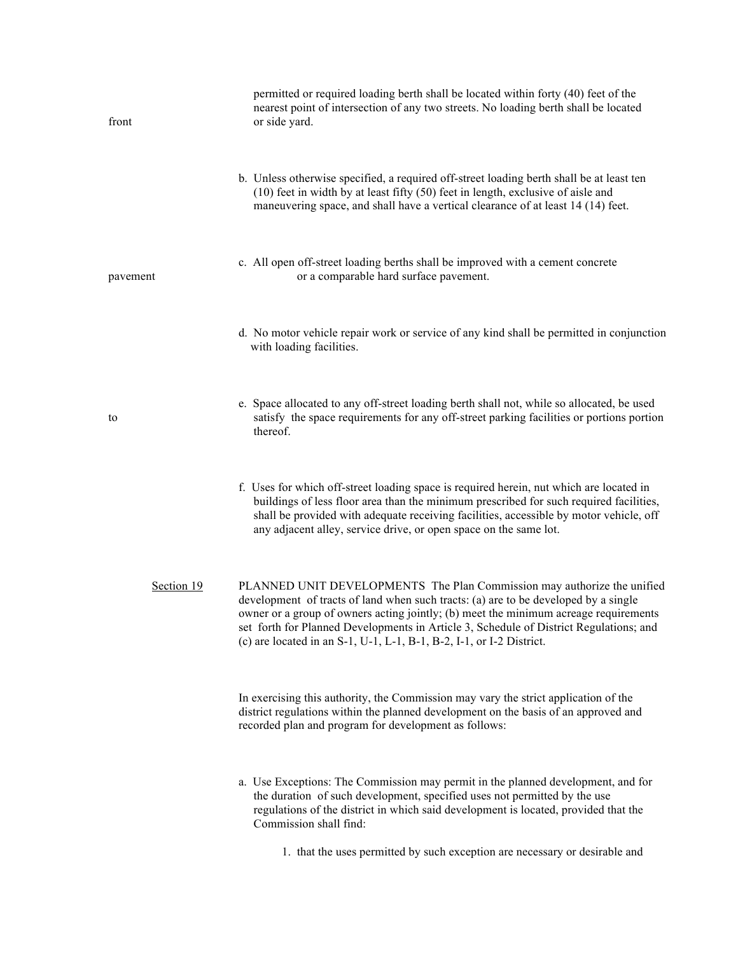| front      | permitted or required loading berth shall be located within forty (40) feet of the<br>nearest point of intersection of any two streets. No loading berth shall be located<br>or side yard.                                                                                                                                                                                                                               |
|------------|--------------------------------------------------------------------------------------------------------------------------------------------------------------------------------------------------------------------------------------------------------------------------------------------------------------------------------------------------------------------------------------------------------------------------|
|            | b. Unless otherwise specified, a required off-street loading berth shall be at least ten<br>$(10)$ feet in width by at least fifty $(50)$ feet in length, exclusive of aisle and<br>maneuvering space, and shall have a vertical clearance of at least 14 (14) feet.                                                                                                                                                     |
| pavement   | c. All open off-street loading berths shall be improved with a cement concrete<br>or a comparable hard surface pavement.                                                                                                                                                                                                                                                                                                 |
|            | d. No motor vehicle repair work or service of any kind shall be permitted in conjunction<br>with loading facilities.                                                                                                                                                                                                                                                                                                     |
| to         | e. Space allocated to any off-street loading berth shall not, while so allocated, be used<br>satisfy the space requirements for any off-street parking facilities or portions portion<br>thereof.                                                                                                                                                                                                                        |
|            | f. Uses for which off-street loading space is required herein, nut which are located in<br>buildings of less floor area than the minimum prescribed for such required facilities,<br>shall be provided with adequate receiving facilities, accessible by motor vehicle, off<br>any adjacent alley, service drive, or open space on the same lot.                                                                         |
| Section 19 | PLANNED UNIT DEVELOPMENTS The Plan Commission may authorize the unified<br>development of tracts of land when such tracts: (a) are to be developed by a single<br>owner or a group of owners acting jointly; (b) meet the minimum acreage requirements<br>set forth for Planned Developments in Article 3, Schedule of District Regulations; and<br>(c) are located in an S-1, U-1, L-1, B-1, B-2, I-1, or I-2 District. |
|            | In exercising this authority, the Commission may vary the strict application of the<br>district regulations within the planned development on the basis of an approved and<br>recorded plan and program for development as follows:                                                                                                                                                                                      |
|            | a. Use Exceptions: The Commission may permit in the planned development, and for<br>the duration of such development, specified uses not permitted by the use<br>regulations of the district in which said development is located, provided that the<br>Commission shall find:                                                                                                                                           |
|            | 1. that the uses permitted by such exception are necessary or desirable and                                                                                                                                                                                                                                                                                                                                              |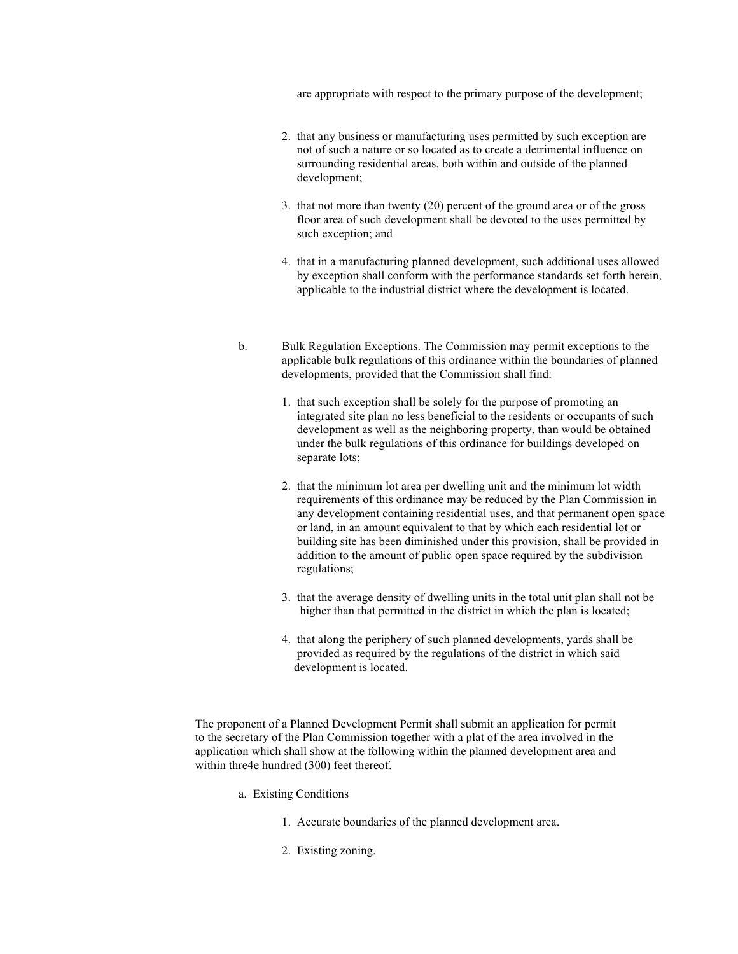are appropriate with respect to the primary purpose of the development;

- 2. that any business or manufacturing uses permitted by such exception are not of such a nature or so located as to create a detrimental influence on surrounding residential areas, both within and outside of the planned development;
- 3. that not more than twenty (20) percent of the ground area or of the gross floor area of such development shall be devoted to the uses permitted by such exception; and
- 4. that in a manufacturing planned development, such additional uses allowed by exception shall conform with the performance standards set forth herein, applicable to the industrial district where the development is located.
- b. Bulk Regulation Exceptions. The Commission may permit exceptions to the applicable bulk regulations of this ordinance within the boundaries of planned developments, provided that the Commission shall find:
	- 1. that such exception shall be solely for the purpose of promoting an integrated site plan no less beneficial to the residents or occupants of such development as well as the neighboring property, than would be obtained under the bulk regulations of this ordinance for buildings developed on separate lots;
	- 2. that the minimum lot area per dwelling unit and the minimum lot width requirements of this ordinance may be reduced by the Plan Commission in any development containing residential uses, and that permanent open space or land, in an amount equivalent to that by which each residential lot or building site has been diminished under this provision, shall be provided in addition to the amount of public open space required by the subdivision regulations;
	- 3. that the average density of dwelling units in the total unit plan shall not be higher than that permitted in the district in which the plan is located;
	- 4. that along the periphery of such planned developments, yards shall be provided as required by the regulations of the district in which said development is located.

The proponent of a Planned Development Permit shall submit an application for permit to the secretary of the Plan Commission together with a plat of the area involved in the application which shall show at the following within the planned development area and within thre4e hundred (300) feet thereof.

- a. Existing Conditions
	- 1. Accurate boundaries of the planned development area.
	- 2. Existing zoning.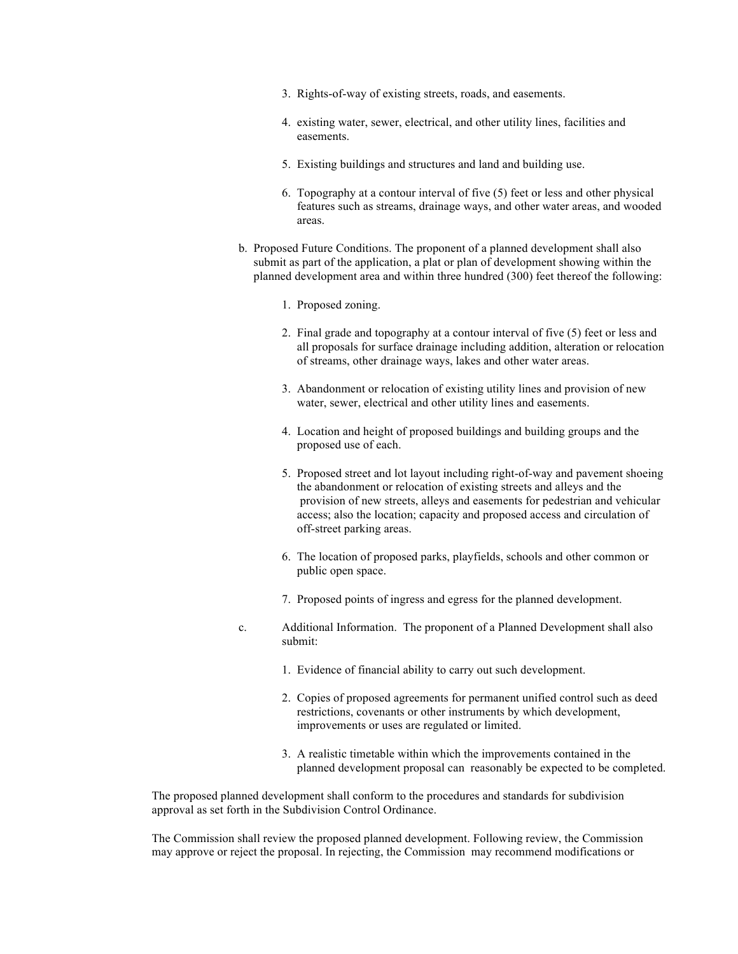- 3. Rights-of-way of existing streets, roads, and easements.
- 4. existing water, sewer, electrical, and other utility lines, facilities and easements.
- 5. Existing buildings and structures and land and building use.
- 6. Topography at a contour interval of five (5) feet or less and other physical features such as streams, drainage ways, and other water areas, and wooded areas.
- b. Proposed Future Conditions. The proponent of a planned development shall also submit as part of the application, a plat or plan of development showing within the planned development area and within three hundred (300) feet thereof the following:
	- 1. Proposed zoning.
	- 2. Final grade and topography at a contour interval of five (5) feet or less and all proposals for surface drainage including addition, alteration or relocation of streams, other drainage ways, lakes and other water areas.
	- 3. Abandonment or relocation of existing utility lines and provision of new water, sewer, electrical and other utility lines and easements.
	- 4. Location and height of proposed buildings and building groups and the proposed use of each.
	- 5. Proposed street and lot layout including right-of-way and pavement shoeing the abandonment or relocation of existing streets and alleys and the provision of new streets, alleys and easements for pedestrian and vehicular access; also the location; capacity and proposed access and circulation of off-street parking areas.
	- 6. The location of proposed parks, playfields, schools and other common or public open space.
	- 7. Proposed points of ingress and egress for the planned development.
- c. Additional Information. The proponent of a Planned Development shall also submit:
	- 1. Evidence of financial ability to carry out such development.
	- 2. Copies of proposed agreements for permanent unified control such as deed restrictions, covenants or other instruments by which development, improvements or uses are regulated or limited.
	- 3. A realistic timetable within which the improvements contained in the planned development proposal can reasonably be expected to be completed.

The proposed planned development shall conform to the procedures and standards for subdivision approval as set forth in the Subdivision Control Ordinance.

The Commission shall review the proposed planned development. Following review, the Commission may approve or reject the proposal. In rejecting, the Commission may recommend modifications or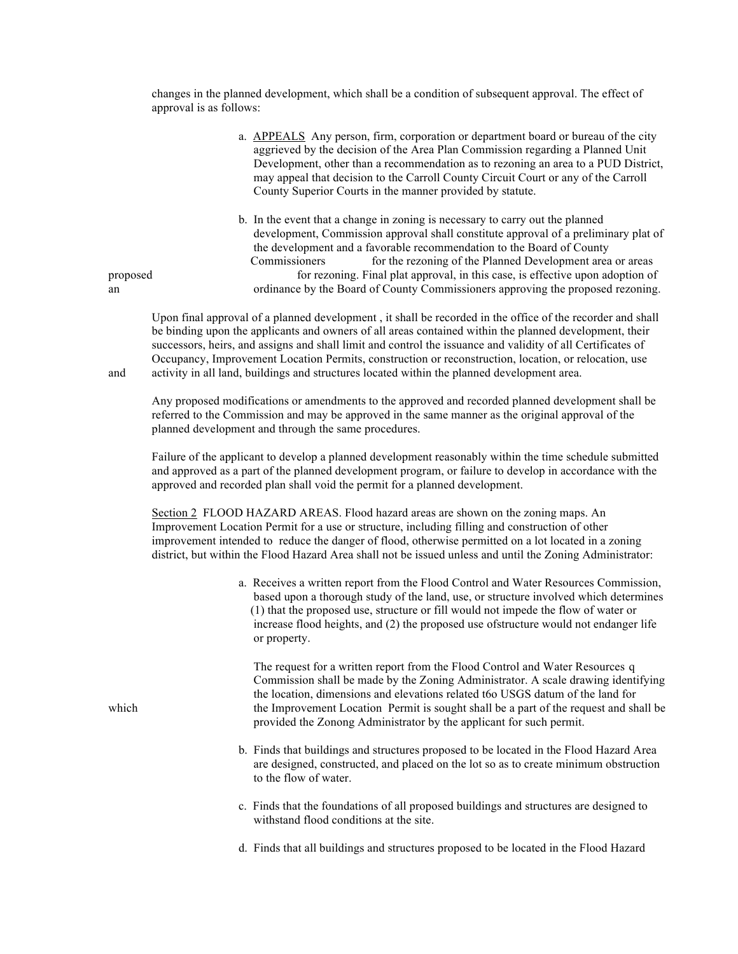changes in the planned development, which shall be a condition of subsequent approval. The effect of approval is as follows:

|                | a. APPEALS Any person, firm, corporation or department board or bureau of the city<br>aggrieved by the decision of the Area Plan Commission regarding a Planned Unit<br>Development, other than a recommendation as to rezoning an area to a PUD District,<br>may appeal that decision to the Carroll County Circuit Court or any of the Carroll<br>County Superior Courts in the manner provided by statute.                                                                                    |
|----------------|--------------------------------------------------------------------------------------------------------------------------------------------------------------------------------------------------------------------------------------------------------------------------------------------------------------------------------------------------------------------------------------------------------------------------------------------------------------------------------------------------|
| proposed<br>an | b. In the event that a change in zoning is necessary to carry out the planned<br>development, Commission approval shall constitute approval of a preliminary plat of<br>the development and a favorable recommendation to the Board of County<br>for the rezoning of the Planned Development area or areas<br>Commissioners<br>for rezoning. Final plat approval, in this case, is effective upon adoption of<br>ordinance by the Board of County Commissioners approving the proposed rezoning. |

Upon final approval of a planned development , it shall be recorded in the office of the recorder and shall be binding upon the applicants and owners of all areas contained within the planned development, their successors, heirs, and assigns and shall limit and control the issuance and validity of all Certificates of Occupancy, Improvement Location Permits, construction or reconstruction, location, or relocation, use and activity in all land, buildings and structures located within the planned development area.

Any proposed modifications or amendments to the approved and recorded planned development shall be referred to the Commission and may be approved in the same manner as the original approval of the planned development and through the same procedures.

Failure of the applicant to develop a planned development reasonably within the time schedule submitted and approved as a part of the planned development program, or failure to develop in accordance with the approved and recorded plan shall void the permit for a planned development.

Section 2 FLOOD HAZARD AREAS. Flood hazard areas are shown on the zoning maps. An Improvement Location Permit for a use or structure, including filling and construction of other improvement intended to reduce the danger of flood, otherwise permitted on a lot located in a zoning district, but within the Flood Hazard Area shall not be issued unless and until the Zoning Administrator:

> a. Receives a written report from the Flood Control and Water Resources Commission, based upon a thorough study of the land, use, or structure involved which determines (1) that the proposed use, structure or fill would not impede the flow of water or increase flood heights, and (2) the proposed use ofstructure would not endanger life or property.

 The request for a written report from the Flood Control and Water Resources q Commission shall be made by the Zoning Administrator. A scale drawing identifying the location, dimensions and elevations related t6o USGS datum of the land for which the Improvement Location Permit is sought shall be a part of the request and shall be provided the Zonong Administrator by the applicant for such permit.

- b. Finds that buildings and structures proposed to be located in the Flood Hazard Area are designed, constructed, and placed on the lot so as to create minimum obstruction to the flow of water.
- c. Finds that the foundations of all proposed buildings and structures are designed to withstand flood conditions at the site.
- d. Finds that all buildings and structures proposed to be located in the Flood Hazard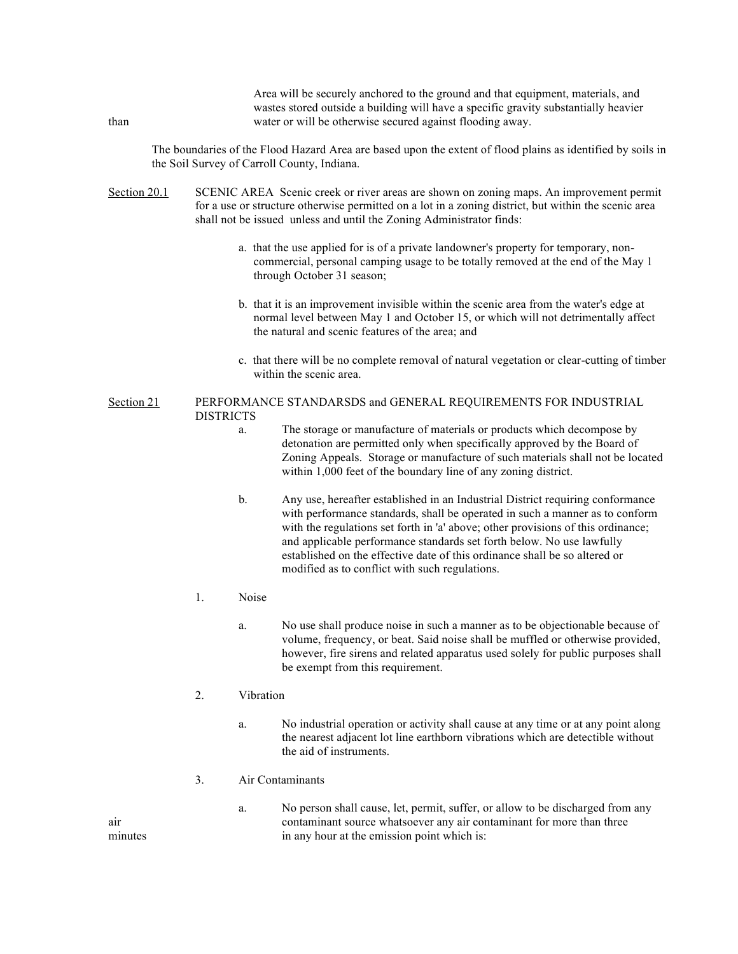| than         |                                                                                                                                                                                                                                                                         |       | wastes stored outside a building will have a specific gravity substantially heavier<br>water or will be otherwise secured against flooding away.                                                                                                                                                                                                                                                                                                            |  |  |  |
|--------------|-------------------------------------------------------------------------------------------------------------------------------------------------------------------------------------------------------------------------------------------------------------------------|-------|-------------------------------------------------------------------------------------------------------------------------------------------------------------------------------------------------------------------------------------------------------------------------------------------------------------------------------------------------------------------------------------------------------------------------------------------------------------|--|--|--|
|              |                                                                                                                                                                                                                                                                         |       | The boundaries of the Flood Hazard Area are based upon the extent of flood plains as identified by soils in<br>the Soil Survey of Carroll County, Indiana.                                                                                                                                                                                                                                                                                                  |  |  |  |
| Section 20.1 | SCENIC AREA Scenic creek or river areas are shown on zoning maps. An improvement permit<br>for a use or structure otherwise permitted on a lot in a zoning district, but within the scenic area<br>shall not be issued unless and until the Zoning Administrator finds: |       |                                                                                                                                                                                                                                                                                                                                                                                                                                                             |  |  |  |
|              |                                                                                                                                                                                                                                                                         |       | a. that the use applied for is of a private landowner's property for temporary, non-<br>commercial, personal camping usage to be totally removed at the end of the May 1<br>through October 31 season;                                                                                                                                                                                                                                                      |  |  |  |
|              |                                                                                                                                                                                                                                                                         |       | b. that it is an improvement invisible within the scenic area from the water's edge at<br>normal level between May 1 and October 15, or which will not detrimentally affect<br>the natural and scenic features of the area; and                                                                                                                                                                                                                             |  |  |  |
|              |                                                                                                                                                                                                                                                                         |       | c. that there will be no complete removal of natural vegetation or clear-cutting of timber<br>within the scenic area.                                                                                                                                                                                                                                                                                                                                       |  |  |  |
| Section 21   | <b>DISTRICTS</b>                                                                                                                                                                                                                                                        |       | PERFORMANCE STANDARSDS and GENERAL REQUIREMENTS FOR INDUSTRIAL                                                                                                                                                                                                                                                                                                                                                                                              |  |  |  |
|              |                                                                                                                                                                                                                                                                         | a.    | The storage or manufacture of materials or products which decompose by<br>detonation are permitted only when specifically approved by the Board of<br>Zoning Appeals. Storage or manufacture of such materials shall not be located<br>within 1,000 feet of the boundary line of any zoning district.                                                                                                                                                       |  |  |  |
|              |                                                                                                                                                                                                                                                                         | b.    | Any use, hereafter established in an Industrial District requiring conformance<br>with performance standards, shall be operated in such a manner as to conform<br>with the regulations set forth in 'a' above; other provisions of this ordinance;<br>and applicable performance standards set forth below. No use lawfully<br>established on the effective date of this ordinance shall be so altered or<br>modified as to conflict with such regulations. |  |  |  |
|              | 1.                                                                                                                                                                                                                                                                      | Noise |                                                                                                                                                                                                                                                                                                                                                                                                                                                             |  |  |  |
|              |                                                                                                                                                                                                                                                                         | a.    | No use shall produce noise in such a manner as to be objectionable because of<br>volume, frequency, or beat. Said noise shall be muffled or otherwise provided,<br>however, fire sirens and related apparatus used solely for public purposes shall<br>be exempt from this requirement.                                                                                                                                                                     |  |  |  |
|              | 2.                                                                                                                                                                                                                                                                      |       | Vibration                                                                                                                                                                                                                                                                                                                                                                                                                                                   |  |  |  |
|              |                                                                                                                                                                                                                                                                         | a.    | No industrial operation or activity shall cause at any time or at any point along<br>the nearest adjacent lot line earthborn vibrations which are detectible without<br>the aid of instruments.                                                                                                                                                                                                                                                             |  |  |  |
|              | 3.                                                                                                                                                                                                                                                                      |       | Air Contaminants                                                                                                                                                                                                                                                                                                                                                                                                                                            |  |  |  |
|              |                                                                                                                                                                                                                                                                         | a.    | No person shall cause, let, permit, suffer, or allow to be discharged from any                                                                                                                                                                                                                                                                                                                                                                              |  |  |  |

Area will be securely anchored to the ground and that equipment, materials, and

a. No person shall cause, let, permit, suffer, or allow to be discharged from any air contaminant source whatsoever any air contaminant for more than three minutes in any hour at the emission point which is: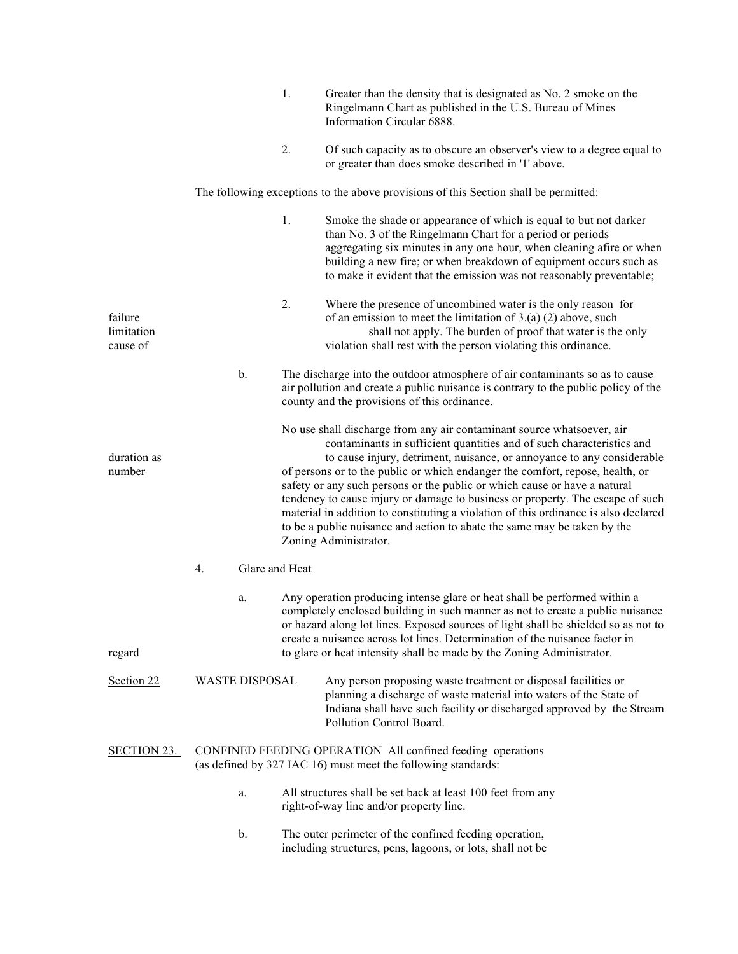|                                   |                       | 1.             | Greater than the density that is designated as No. 2 smoke on the<br>Ringelmann Chart as published in the U.S. Bureau of Mines<br>Information Circular 6888.                                                                                                                                                                                                                                                                                                                                                                                                                                                                                                          |
|-----------------------------------|-----------------------|----------------|-----------------------------------------------------------------------------------------------------------------------------------------------------------------------------------------------------------------------------------------------------------------------------------------------------------------------------------------------------------------------------------------------------------------------------------------------------------------------------------------------------------------------------------------------------------------------------------------------------------------------------------------------------------------------|
|                                   |                       | 2.             | Of such capacity as to obscure an observer's view to a degree equal to<br>or greater than does smoke described in '1' above.                                                                                                                                                                                                                                                                                                                                                                                                                                                                                                                                          |
|                                   |                       |                | The following exceptions to the above provisions of this Section shall be permitted:                                                                                                                                                                                                                                                                                                                                                                                                                                                                                                                                                                                  |
|                                   |                       | 1.             | Smoke the shade or appearance of which is equal to but not darker<br>than No. 3 of the Ringelmann Chart for a period or periods<br>aggregating six minutes in any one hour, when cleaning afire or when<br>building a new fire; or when breakdown of equipment occurs such as<br>to make it evident that the emission was not reasonably preventable;                                                                                                                                                                                                                                                                                                                 |
| failure<br>limitation<br>cause of |                       | 2.             | Where the presence of uncombined water is the only reason for<br>of an emission to meet the limitation of $3.(a) (2)$ above, such<br>shall not apply. The burden of proof that water is the only<br>violation shall rest with the person violating this ordinance.                                                                                                                                                                                                                                                                                                                                                                                                    |
|                                   | b.                    |                | The discharge into the outdoor atmosphere of air contaminants so as to cause<br>air pollution and create a public nuisance is contrary to the public policy of the<br>county and the provisions of this ordinance.                                                                                                                                                                                                                                                                                                                                                                                                                                                    |
| duration as<br>number             |                       |                | No use shall discharge from any air contaminant source whatsoever, air<br>contaminants in sufficient quantities and of such characteristics and<br>to cause injury, detriment, nuisance, or annoyance to any considerable<br>of persons or to the public or which endanger the comfort, repose, health, or<br>safety or any such persons or the public or which cause or have a natural<br>tendency to cause injury or damage to business or property. The escape of such<br>material in addition to constituting a violation of this ordinance is also declared<br>to be a public nuisance and action to abate the same may be taken by the<br>Zoning Administrator. |
|                                   | 4.                    | Glare and Heat |                                                                                                                                                                                                                                                                                                                                                                                                                                                                                                                                                                                                                                                                       |
| regard                            | a.                    |                | Any operation producing intense glare or heat shall be performed within a<br>completely enclosed building in such manner as not to create a public nuisance<br>or hazard along lot lines. Exposed sources of light shall be shielded so as not to<br>create a nuisance across lot lines. Determination of the nuisance factor in<br>to glare or heat intensity shall be made by the Zoning Administrator.                                                                                                                                                                                                                                                             |
| Section 22                        | <b>WASTE DISPOSAL</b> |                | Any person proposing waste treatment or disposal facilities or<br>planning a discharge of waste material into waters of the State of<br>Indiana shall have such facility or discharged approved by the Stream<br>Pollution Control Board.                                                                                                                                                                                                                                                                                                                                                                                                                             |
| <b>SECTION 23.</b>                |                       |                | CONFINED FEEDING OPERATION All confined feeding operations<br>(as defined by 327 IAC 16) must meet the following standards:                                                                                                                                                                                                                                                                                                                                                                                                                                                                                                                                           |
|                                   | a.                    |                | All structures shall be set back at least 100 feet from any<br>right-of-way line and/or property line.                                                                                                                                                                                                                                                                                                                                                                                                                                                                                                                                                                |
|                                   | b.                    |                | The outer perimeter of the confined feeding operation,<br>including structures, pens, lagoons, or lots, shall not be                                                                                                                                                                                                                                                                                                                                                                                                                                                                                                                                                  |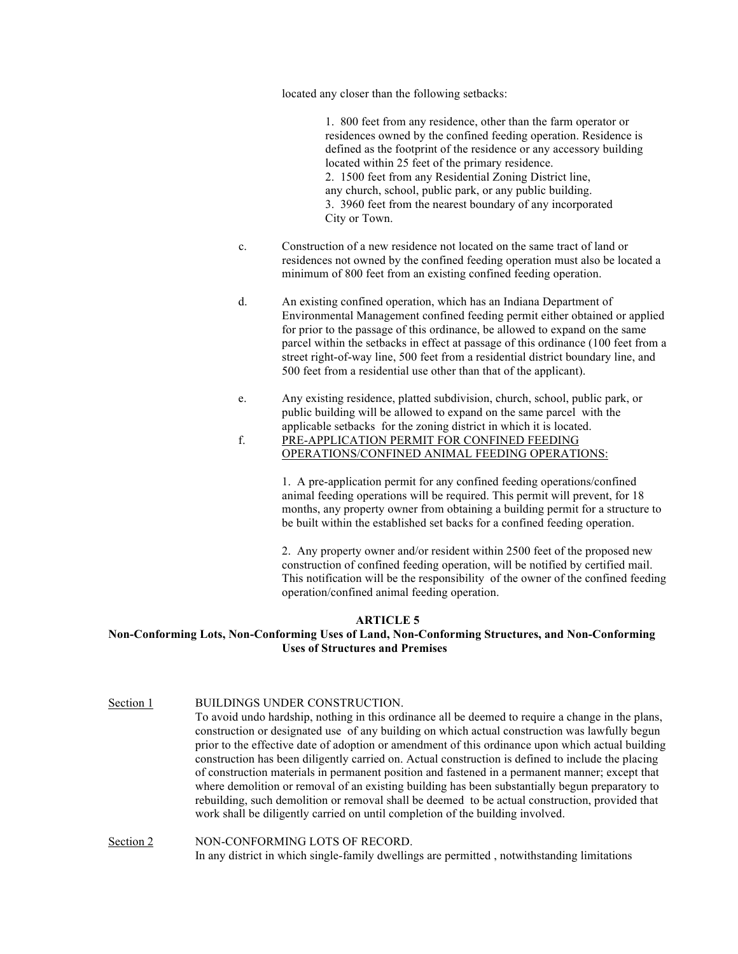located any closer than the following setbacks:

1. 800 feet from any residence, other than the farm operator or residences owned by the confined feeding operation. Residence is defined as the footprint of the residence or any accessory building located within 25 feet of the primary residence. 2. 1500 feet from any Residential Zoning District line, any church, school, public park, or any public building. 3. 3960 feet from the nearest boundary of any incorporated City or Town.

- c. Construction of a new residence not located on the same tract of land or residences not owned by the confined feeding operation must also be located a minimum of 800 feet from an existing confined feeding operation.
- d. An existing confined operation, which has an Indiana Department of Environmental Management confined feeding permit either obtained or applied for prior to the passage of this ordinance, be allowed to expand on the same parcel within the setbacks in effect at passage of this ordinance (100 feet from a street right-of-way line, 500 feet from a residential district boundary line, and 500 feet from a residential use other than that of the applicant).
- e. Any existing residence, platted subdivision, church, school, public park, or public building will be allowed to expand on the same parcel with the applicable setbacks for the zoning district in which it is located.
- f. PRE-APPLICATION PERMIT FOR CONFINED FEEDING OPERATIONS/CONFINED ANIMAL FEEDING OPERATIONS:

1. A pre-application permit for any confined feeding operations/confined animal feeding operations will be required. This permit will prevent, for 18 months, any property owner from obtaining a building permit for a structure to be built within the established set backs for a confined feeding operation.

2. Any property owner and/or resident within 2500 feet of the proposed new construction of confined feeding operation, will be notified by certified mail. This notification will be the responsibility of the owner of the confined feeding operation/confined animal feeding operation.

#### **ARTICLE 5**

## **Non-Conforming Lots, Non-Conforming Uses of Land, Non-Conforming Structures, and Non-Conforming Uses of Structures and Premises**

Section 1 BUILDINGS UNDER CONSTRUCTION. To avoid undo hardship, nothing in this ordinance all be deemed to require a change in the plans, construction or designated use of any building on which actual construction was lawfully begun prior to the effective date of adoption or amendment of this ordinance upon which actual building construction has been diligently carried on. Actual construction is defined to include the placing of construction materials in permanent position and fastened in a permanent manner; except that where demolition or removal of an existing building has been substantially begun preparatory to rebuilding, such demolition or removal shall be deemed to be actual construction, provided that work shall be diligently carried on until completion of the building involved.

Section 2 NON-CONFORMING LOTS OF RECORD. In any district in which single-family dwellings are permitted , notwithstanding limitations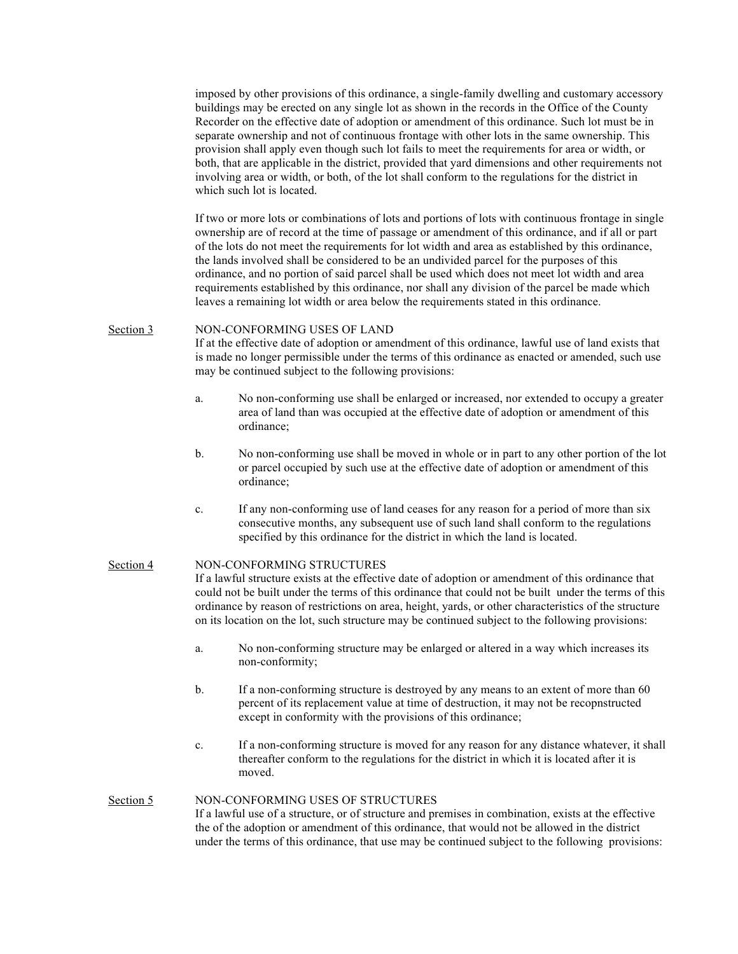imposed by other provisions of this ordinance, a single-family dwelling and customary accessory buildings may be erected on any single lot as shown in the records in the Office of the County Recorder on the effective date of adoption or amendment of this ordinance. Such lot must be in separate ownership and not of continuous frontage with other lots in the same ownership. This provision shall apply even though such lot fails to meet the requirements for area or width, or both, that are applicable in the district, provided that yard dimensions and other requirements not involving area or width, or both, of the lot shall conform to the regulations for the district in which such lot is located.

If two or more lots or combinations of lots and portions of lots with continuous frontage in single ownership are of record at the time of passage or amendment of this ordinance, and if all or part of the lots do not meet the requirements for lot width and area as established by this ordinance, the lands involved shall be considered to be an undivided parcel for the purposes of this ordinance, and no portion of said parcel shall be used which does not meet lot width and area requirements established by this ordinance, nor shall any division of the parcel be made which leaves a remaining lot width or area below the requirements stated in this ordinance.

#### Section 3 NON-CONFORMING USES OF LAND

If at the effective date of adoption or amendment of this ordinance, lawful use of land exists that is made no longer permissible under the terms of this ordinance as enacted or amended, such use may be continued subject to the following provisions:

- a. No non-conforming use shall be enlarged or increased, nor extended to occupy a greater area of land than was occupied at the effective date of adoption or amendment of this ordinance;
- b. No non-conforming use shall be moved in whole or in part to any other portion of the lot or parcel occupied by such use at the effective date of adoption or amendment of this ordinance;
- c. If any non-conforming use of land ceases for any reason for a period of more than six consecutive months, any subsequent use of such land shall conform to the regulations specified by this ordinance for the district in which the land is located.

### Section 4 NON-CONFORMING STRUCTURES

If a lawful structure exists at the effective date of adoption or amendment of this ordinance that could not be built under the terms of this ordinance that could not be built under the terms of this ordinance by reason of restrictions on area, height, yards, or other characteristics of the structure on its location on the lot, such structure may be continued subject to the following provisions:

- a. No non-conforming structure may be enlarged or altered in a way which increases its non-conformity;
- b. If a non-conforming structure is destroyed by any means to an extent of more than 60 percent of its replacement value at time of destruction, it may not be recopnstructed except in conformity with the provisions of this ordinance;
- c. If a non-conforming structure is moved for any reason for any distance whatever, it shall thereafter conform to the regulations for the district in which it is located after it is moved.

## Section 5 NON-CONFORMING USES OF STRUCTURES

If a lawful use of a structure, or of structure and premises in combination, exists at the effective the of the adoption or amendment of this ordinance, that would not be allowed in the district under the terms of this ordinance, that use may be continued subject to the following provisions: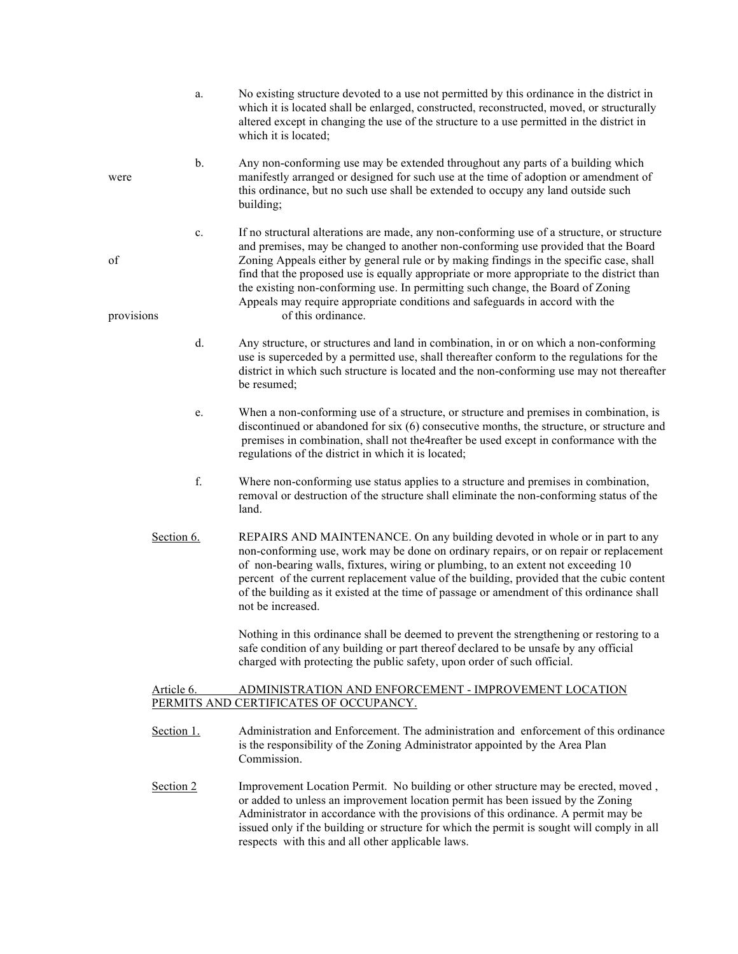a. No existing structure devoted to a use not permitted by this ordinance in the district in which it is located shall be enlarged, constructed, reconstructed, moved, or structurally altered except in changing the use of the structure to a use permitted in the district in which it is located; b. Any non-conforming use may be extended throughout any parts of a building which were manifestly arranged or designed for such use at the time of adoption or amendment of this ordinance, but no such use shall be extended to occupy any land outside such building; c. If no structural alterations are made, any non-conforming use of a structure, or structure and premises, may be changed to another non-conforming use provided that the Board of Zoning Appeals either by general rule or by making findings in the specific case, shall find that the proposed use is equally appropriate or more appropriate to the district than the existing non-conforming use. In permitting such change, the Board of Zoning Appeals may require appropriate conditions and safeguards in accord with the provisions of this ordinance. d. Any structure, or structures and land in combination, in or on which a non-conforming use is superceded by a permitted use, shall thereafter conform to the regulations for the district in which such structure is located and the non-conforming use may not thereafter be resumed; e. When a non-conforming use of a structure, or structure and premises in combination, is discontinued or abandoned for six (6) consecutive months, the structure, or structure and premises in combination, shall not the4reafter be used except in conformance with the regulations of the district in which it is located; f. Where non-conforming use status applies to a structure and premises in combination, removal or destruction of the structure shall eliminate the non-conforming status of the land. Section 6. REPAIRS AND MAINTENANCE. On any building devoted in whole or in part to any non-conforming use, work may be done on ordinary repairs, or on repair or replacement of non-bearing walls, fixtures, wiring or plumbing, to an extent not exceeding 10 percent of the current replacement value of the building, provided that the cubic content of the building as it existed at the time of passage or amendment of this ordinance shall not be increased. Nothing in this ordinance shall be deemed to prevent the strengthening or restoring to a safe condition of any building or part thereof declared to be unsafe by any official charged with protecting the public safety, upon order of such official.

## Article 6. ADMINISTRATION AND ENFORCEMENT - IMPROVEMENT LOCATION PERMITS AND CERTIFICATES OF OCCUPANCY.

- Section 1. Administration and Enforcement. The administration and enforcement of this ordinance is the responsibility of the Zoning Administrator appointed by the Area Plan **Commission**
- Section 2 Improvement Location Permit. No building or other structure may be erected, moved, or added to unless an improvement location permit has been issued by the Zoning Administrator in accordance with the provisions of this ordinance. A permit may be issued only if the building or structure for which the permit is sought will comply in all respects with this and all other applicable laws.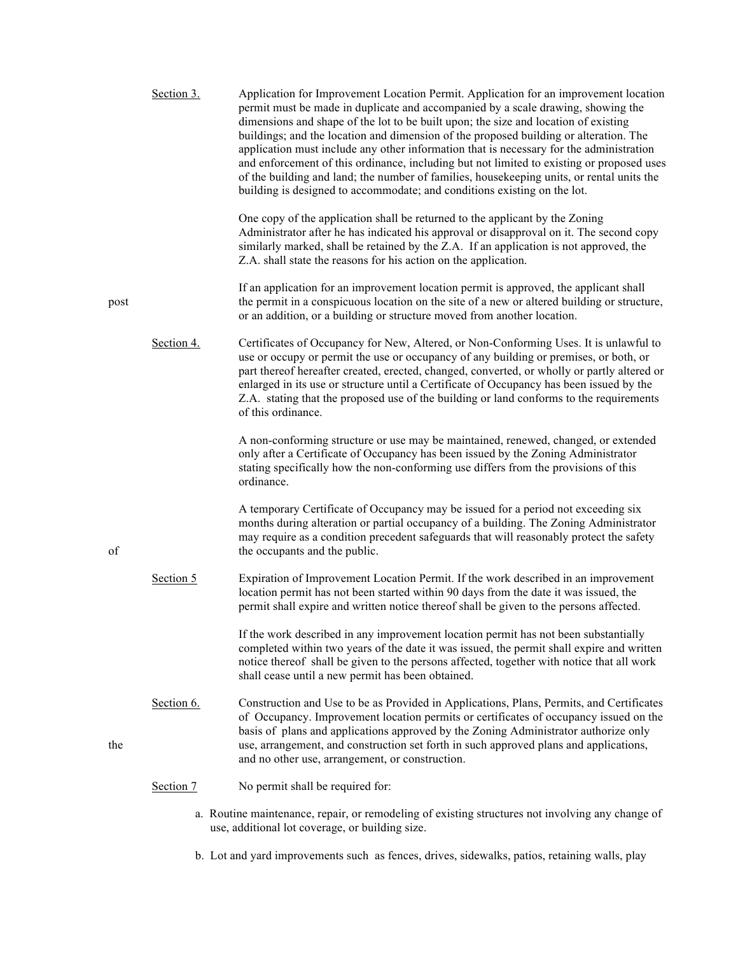|      | Section 3. | Application for Improvement Location Permit. Application for an improvement location<br>permit must be made in duplicate and accompanied by a scale drawing, showing the<br>dimensions and shape of the lot to be built upon; the size and location of existing<br>buildings; and the location and dimension of the proposed building or alteration. The<br>application must include any other information that is necessary for the administration<br>and enforcement of this ordinance, including but not limited to existing or proposed uses<br>of the building and land; the number of families, housekeeping units, or rental units the<br>building is designed to accommodate; and conditions existing on the lot. |
|------|------------|---------------------------------------------------------------------------------------------------------------------------------------------------------------------------------------------------------------------------------------------------------------------------------------------------------------------------------------------------------------------------------------------------------------------------------------------------------------------------------------------------------------------------------------------------------------------------------------------------------------------------------------------------------------------------------------------------------------------------|
|      |            | One copy of the application shall be returned to the applicant by the Zoning<br>Administrator after he has indicated his approval or disapproval on it. The second copy<br>similarly marked, shall be retained by the Z.A. If an application is not approved, the<br>Z.A. shall state the reasons for his action on the application.                                                                                                                                                                                                                                                                                                                                                                                      |
| post |            | If an application for an improvement location permit is approved, the applicant shall<br>the permit in a conspicuous location on the site of a new or altered building or structure,<br>or an addition, or a building or structure moved from another location.                                                                                                                                                                                                                                                                                                                                                                                                                                                           |
|      | Section 4. | Certificates of Occupancy for New, Altered, or Non-Conforming Uses. It is unlawful to<br>use or occupy or permit the use or occupancy of any building or premises, or both, or<br>part thereof hereafter created, erected, changed, converted, or wholly or partly altered or<br>enlarged in its use or structure until a Certificate of Occupancy has been issued by the<br>Z.A. stating that the proposed use of the building or land conforms to the requirements<br>of this ordinance.                                                                                                                                                                                                                                |
|      |            | A non-conforming structure or use may be maintained, renewed, changed, or extended<br>only after a Certificate of Occupancy has been issued by the Zoning Administrator<br>stating specifically how the non-conforming use differs from the provisions of this<br>ordinance.                                                                                                                                                                                                                                                                                                                                                                                                                                              |
| of   |            | A temporary Certificate of Occupancy may be issued for a period not exceeding six<br>months during alteration or partial occupancy of a building. The Zoning Administrator<br>may require as a condition precedent safeguards that will reasonably protect the safety<br>the occupants and the public.                                                                                                                                                                                                                                                                                                                                                                                                                    |
|      | Section 5  | Expiration of Improvement Location Permit. If the work described in an improvement<br>location permit has not been started within 90 days from the date it was issued, the<br>permit shall expire and written notice thereof shall be given to the persons affected.                                                                                                                                                                                                                                                                                                                                                                                                                                                      |
|      |            | If the work described in any improvement location permit has not been substantially<br>completed within two years of the date it was issued, the permit shall expire and written<br>notice thereof shall be given to the persons affected, together with notice that all work<br>shall cease until a new permit has been obtained.                                                                                                                                                                                                                                                                                                                                                                                        |
| the  | Section 6. | Construction and Use to be as Provided in Applications, Plans, Permits, and Certificates<br>of Occupancy. Improvement location permits or certificates of occupancy issued on the<br>basis of plans and applications approved by the Zoning Administrator authorize only<br>use, arrangement, and construction set forth in such approved plans and applications,<br>and no other use, arrangement, or construction.                                                                                                                                                                                                                                                                                                      |
|      | Section 7  | No permit shall be required for:                                                                                                                                                                                                                                                                                                                                                                                                                                                                                                                                                                                                                                                                                          |
|      |            | a. Routine maintenance, repair, or remodeling of existing structures not involving any change of<br>use, additional lot coverage, or building size.                                                                                                                                                                                                                                                                                                                                                                                                                                                                                                                                                                       |

b. Lot and yard improvements such as fences, drives, sidewalks, patios, retaining walls, play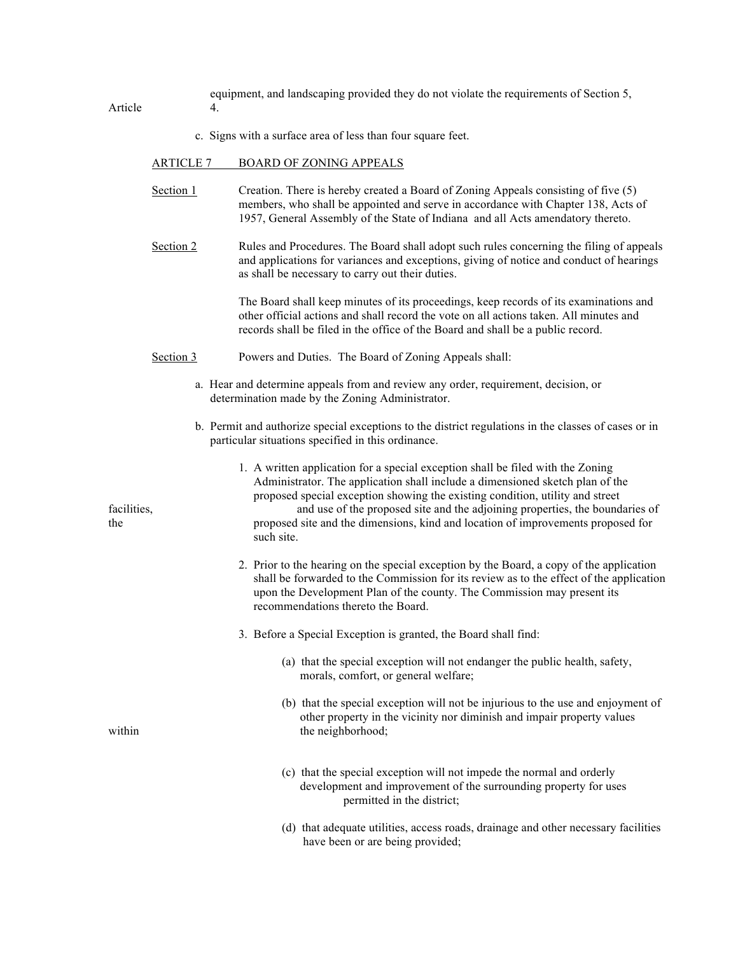|         | equipment, and landscaping provided they do not violate the requirements of Section 5, |
|---------|----------------------------------------------------------------------------------------|
| Article |                                                                                        |

c. Signs with a surface area of less than four square feet.

#### ARTICLE 7 BOARD OF ZONING APPEALS

- Section 1 Creation. There is hereby created a Board of Zoning Appeals consisting of five (5) members, who shall be appointed and serve in accordance with Chapter 138, Acts of 1957, General Assembly of the State of Indiana and all Acts amendatory thereto.
- Section 2 Rules and Procedures. The Board shall adopt such rules concerning the filing of appeals and applications for variances and exceptions, giving of notice and conduct of hearings as shall be necessary to carry out their duties.

The Board shall keep minutes of its proceedings, keep records of its examinations and other official actions and shall record the vote on all actions taken. All minutes and records shall be filed in the office of the Board and shall be a public record.

- Section 3 Powers and Duties. The Board of Zoning Appeals shall:
	- a. Hear and determine appeals from and review any order, requirement, decision, or determination made by the Zoning Administrator.
	- b. Permit and authorize special exceptions to the district regulations in the classes of cases or in particular situations specified in this ordinance.
		- 1. A written application for a special exception shall be filed with the Zoning Administrator. The application shall include a dimensioned sketch plan of the proposed special exception showing the existing condition, utility and street

facilities, and use of the proposed site and the adjoining properties, the boundaries of the proposed site and the dimensions, kind and location of improvements proposed for such site.

- 2. Prior to the hearing on the special exception by the Board, a copy of the application shall be forwarded to the Commission for its review as to the effect of the application upon the Development Plan of the county. The Commission may present its recommendations thereto the Board.
- 3. Before a Special Exception is granted, the Board shall find:
	- (a) that the special exception will not endanger the public health, safety, morals, comfort, or general welfare;
- (b) that the special exception will not be injurious to the use and enjoyment of other property in the vicinity nor diminish and impair property values within the neighborhood;
	- (c) that the special exception will not impede the normal and orderly development and improvement of the surrounding property for uses permitted in the district;
	- (d) that adequate utilities, access roads, drainage and other necessary facilities have been or are being provided;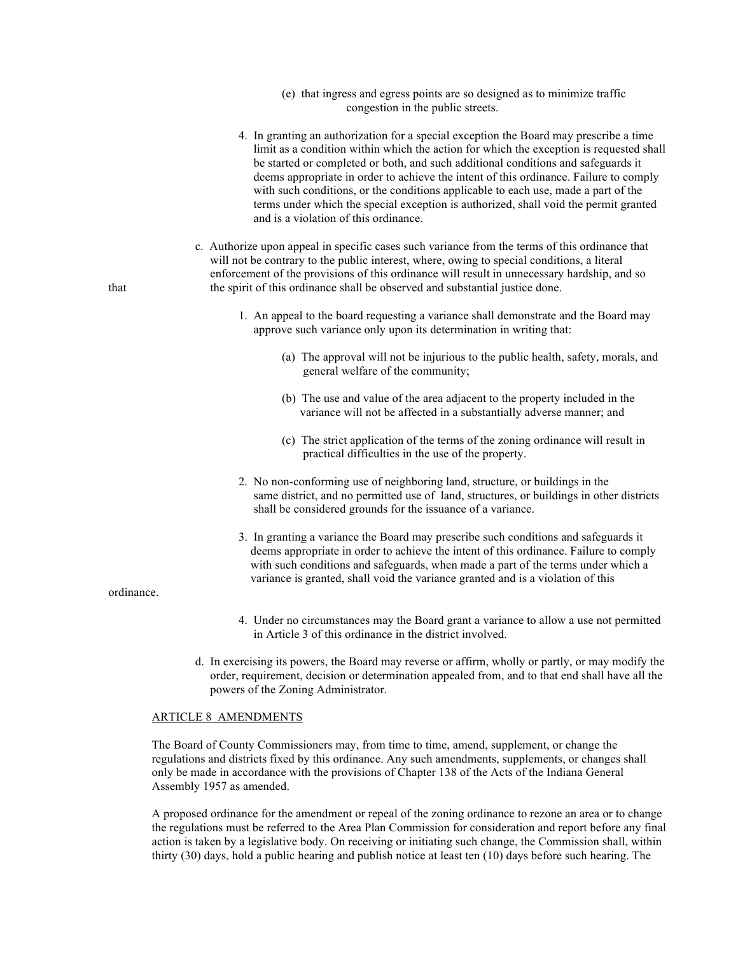- (e) that ingress and egress points are so designed as to minimize traffic congestion in the public streets.
- 4. In granting an authorization for a special exception the Board may prescribe a time limit as a condition within which the action for which the exception is requested shall be started or completed or both, and such additional conditions and safeguards it deems appropriate in order to achieve the intent of this ordinance. Failure to comply with such conditions, or the conditions applicable to each use, made a part of the terms under which the special exception is authorized, shall void the permit granted and is a violation of this ordinance.
- c. Authorize upon appeal in specific cases such variance from the terms of this ordinance that will not be contrary to the public interest, where, owing to special conditions, a literal enforcement of the provisions of this ordinance will result in unnecessary hardship, and so that the spirit of this ordinance shall be observed and substantial justice done.
	- 1. An appeal to the board requesting a variance shall demonstrate and the Board may approve such variance only upon its determination in writing that:
		- (a) The approval will not be injurious to the public health, safety, morals, and general welfare of the community;
		- (b) The use and value of the area adjacent to the property included in the variance will not be affected in a substantially adverse manner; and
		- (c) The strict application of the terms of the zoning ordinance will result in practical difficulties in the use of the property.
	- 2. No non-conforming use of neighboring land, structure, or buildings in the same district, and no permitted use of land, structures, or buildings in other districts shall be considered grounds for the issuance of a variance.
	- 3. In granting a variance the Board may prescribe such conditions and safeguards it deems appropriate in order to achieve the intent of this ordinance. Failure to comply with such conditions and safeguards, when made a part of the terms under which a variance is granted, shall void the variance granted and is a violation of this

ordinance.

- 4. Under no circumstances may the Board grant a variance to allow a use not permitted in Article 3 of this ordinance in the district involved.
- d. In exercising its powers, the Board may reverse or affirm, wholly or partly, or may modify the order, requirement, decision or determination appealed from, and to that end shall have all the powers of the Zoning Administrator.

#### ARTICLE 8 AMENDMENTS

The Board of County Commissioners may, from time to time, amend, supplement, or change the regulations and districts fixed by this ordinance. Any such amendments, supplements, or changes shall only be made in accordance with the provisions of Chapter 138 of the Acts of the Indiana General Assembly 1957 as amended.

A proposed ordinance for the amendment or repeal of the zoning ordinance to rezone an area or to change the regulations must be referred to the Area Plan Commission for consideration and report before any final action is taken by a legislative body. On receiving or initiating such change, the Commission shall, within thirty (30) days, hold a public hearing and publish notice at least ten (10) days before such hearing. The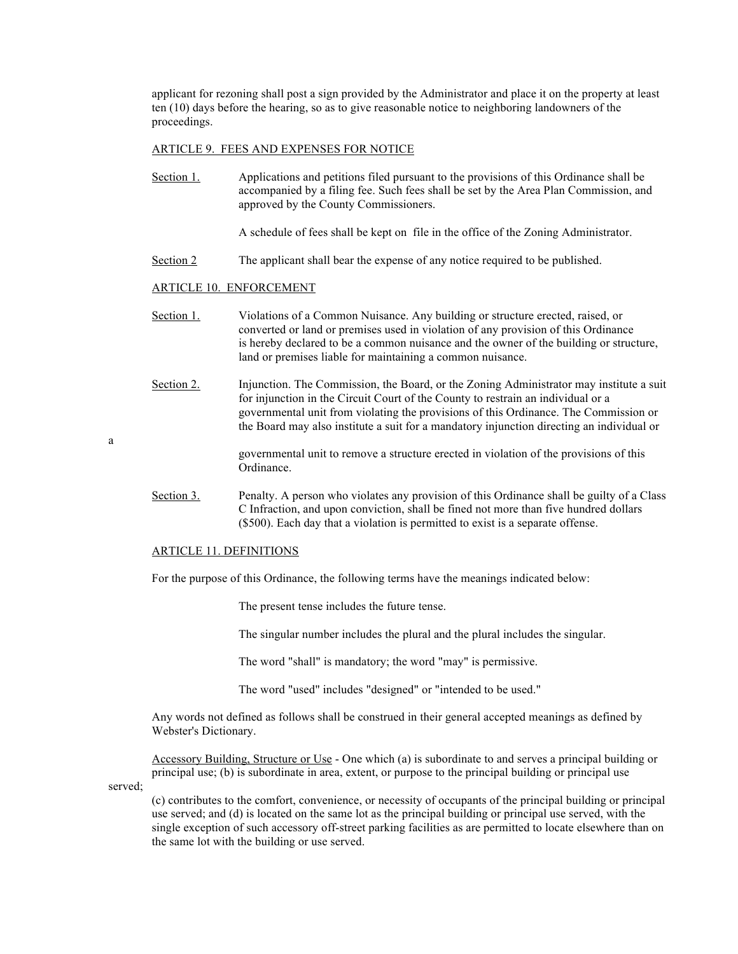applicant for rezoning shall post a sign provided by the Administrator and place it on the property at least ten (10) days before the hearing, so as to give reasonable notice to neighboring landowners of the proceedings.

#### ARTICLE 9. FEES AND EXPENSES FOR NOTICE

Section 1. Applications and petitions filed pursuant to the provisions of this Ordinance shall be accompanied by a filing fee. Such fees shall be set by the Area Plan Commission, and approved by the County Commissioners.

A schedule of fees shall be kept on file in the office of the Zoning Administrator.

Section 2 The applicant shall bear the expense of any notice required to be published.

#### ARTICLE 10. ENFORCEMENT

- Section 1. Violations of a Common Nuisance. Any building or structure erected, raised, or converted or land or premises used in violation of any provision of this Ordinance is hereby declared to be a common nuisance and the owner of the building or structure, land or premises liable for maintaining a common nuisance.
- Section 2. Injunction. The Commission, the Board, or the Zoning Administrator may institute a suit for injunction in the Circuit Court of the County to restrain an individual or a governmental unit from violating the provisions of this Ordinance. The Commission or the Board may also institute a suit for a mandatory injunction directing an individual or

governmental unit to remove a structure erected in violation of the provisions of this Ordinance.

Section 3. Penalty. A person who violates any provision of this Ordinance shall be guilty of a Class C Infraction, and upon conviction, shall be fined not more than five hundred dollars (\$500). Each day that a violation is permitted to exist is a separate offense.

## ARTICLE 11. DEFINITIONS

For the purpose of this Ordinance, the following terms have the meanings indicated below:

The present tense includes the future tense.

The singular number includes the plural and the plural includes the singular.

The word "shall" is mandatory; the word "may" is permissive.

The word "used" includes "designed" or "intended to be used."

Any words not defined as follows shall be construed in their general accepted meanings as defined by Webster's Dictionary.

Accessory Building, Structure or Use - One which (a) is subordinate to and serves a principal building or principal use; (b) is subordinate in area, extent, or purpose to the principal building or principal use

served;

a

(c) contributes to the comfort, convenience, or necessity of occupants of the principal building or principal use served; and (d) is located on the same lot as the principal building or principal use served, with the single exception of such accessory off-street parking facilities as are permitted to locate elsewhere than on the same lot with the building or use served.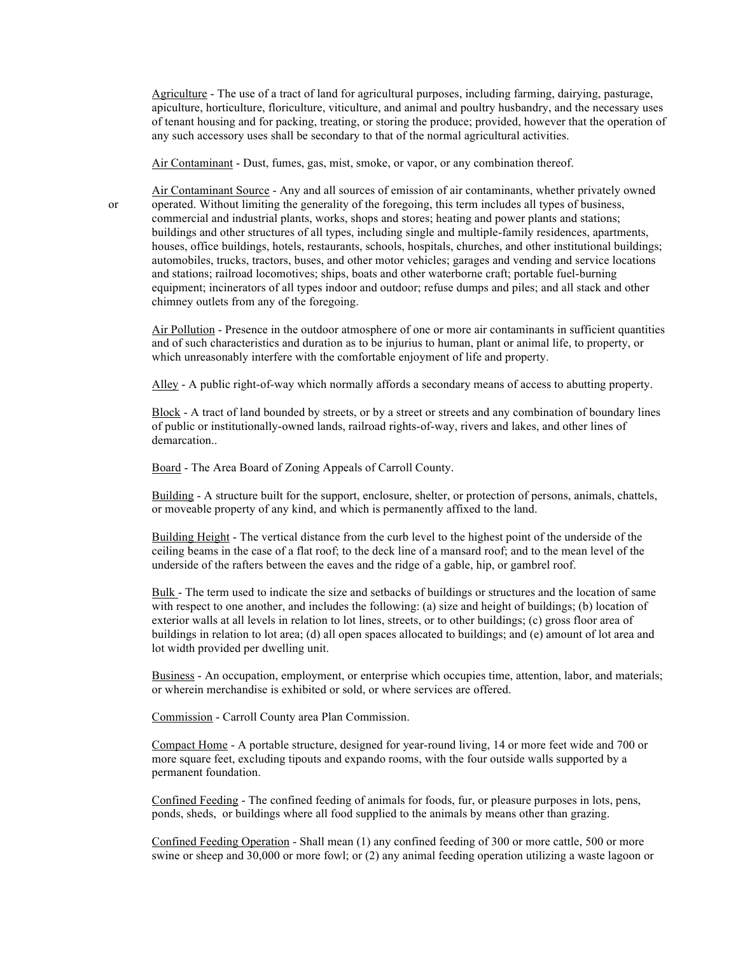Agriculture - The use of a tract of land for agricultural purposes, including farming, dairying, pasturage, apiculture, horticulture, floriculture, viticulture, and animal and poultry husbandry, and the necessary uses of tenant housing and for packing, treating, or storing the produce; provided, however that the operation of any such accessory uses shall be secondary to that of the normal agricultural activities.

Air Contaminant - Dust, fumes, gas, mist, smoke, or vapor, or any combination thereof.

Air Contaminant Source - Any and all sources of emission of air contaminants, whether privately owned or operated. Without limiting the generality of the foregoing, this term includes all types of business, commercial and industrial plants, works, shops and stores; heating and power plants and stations; buildings and other structures of all types, including single and multiple-family residences, apartments, houses, office buildings, hotels, restaurants, schools, hospitals, churches, and other institutional buildings; automobiles, trucks, tractors, buses, and other motor vehicles; garages and vending and service locations and stations; railroad locomotives; ships, boats and other waterborne craft; portable fuel-burning equipment; incinerators of all types indoor and outdoor; refuse dumps and piles; and all stack and other chimney outlets from any of the foregoing.

Air Pollution - Presence in the outdoor atmosphere of one or more air contaminants in sufficient quantities and of such characteristics and duration as to be injurius to human, plant or animal life, to property, or which unreasonably interfere with the comfortable enjoyment of life and property.

Alley - A public right-of-way which normally affords a secondary means of access to abutting property.

Block - A tract of land bounded by streets, or by a street or streets and any combination of boundary lines of public or institutionally-owned lands, railroad rights-of-way, rivers and lakes, and other lines of demarcation..

Board - The Area Board of Zoning Appeals of Carroll County.

Building - A structure built for the support, enclosure, shelter, or protection of persons, animals, chattels, or moveable property of any kind, and which is permanently affixed to the land.

Building Height - The vertical distance from the curb level to the highest point of the underside of the ceiling beams in the case of a flat roof; to the deck line of a mansard roof; and to the mean level of the underside of the rafters between the eaves and the ridge of a gable, hip, or gambrel roof.

Bulk - The term used to indicate the size and setbacks of buildings or structures and the location of same with respect to one another, and includes the following: (a) size and height of buildings; (b) location of exterior walls at all levels in relation to lot lines, streets, or to other buildings; (c) gross floor area of buildings in relation to lot area; (d) all open spaces allocated to buildings; and (e) amount of lot area and lot width provided per dwelling unit.

Business - An occupation, employment, or enterprise which occupies time, attention, labor, and materials; or wherein merchandise is exhibited or sold, or where services are offered.

Commission - Carroll County area Plan Commission.

Compact Home - A portable structure, designed for year-round living, 14 or more feet wide and 700 or more square feet, excluding tipouts and expando rooms, with the four outside walls supported by a permanent foundation.

Confined Feeding - The confined feeding of animals for foods, fur, or pleasure purposes in lots, pens, ponds, sheds, or buildings where all food supplied to the animals by means other than grazing.

Confined Feeding Operation - Shall mean (1) any confined feeding of 300 or more cattle, 500 or more swine or sheep and 30,000 or more fowl; or (2) any animal feeding operation utilizing a waste lagoon or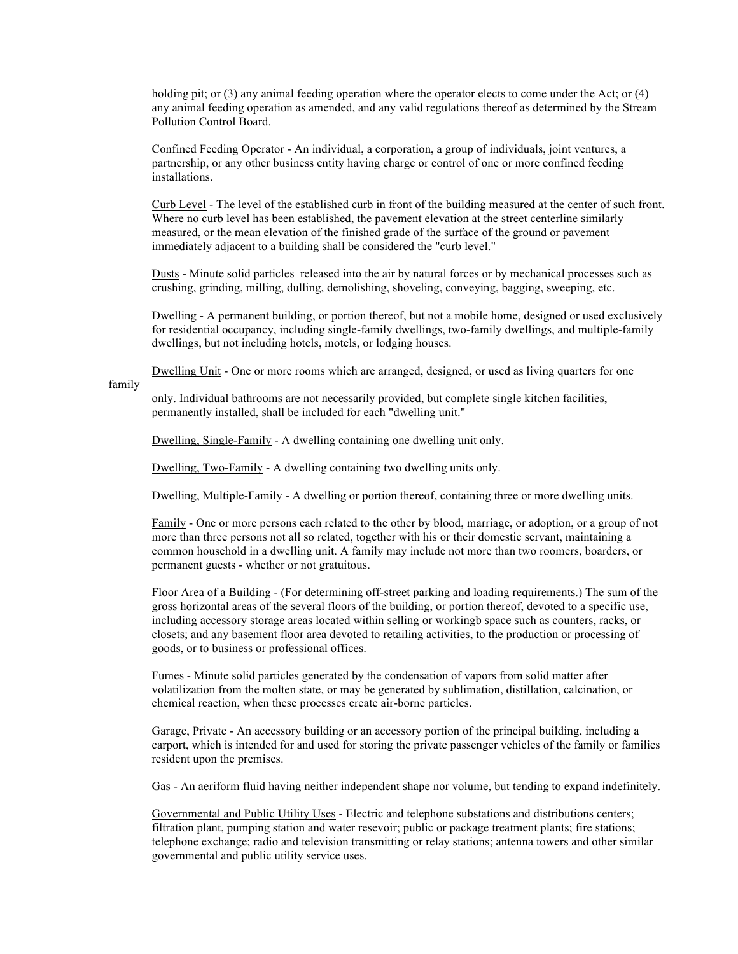holding pit; or (3) any animal feeding operation where the operator elects to come under the Act; or (4) any animal feeding operation as amended, and any valid regulations thereof as determined by the Stream Pollution Control Board.

Confined Feeding Operator - An individual, a corporation, a group of individuals, joint ventures, a partnership, or any other business entity having charge or control of one or more confined feeding installations.

Curb Level - The level of the established curb in front of the building measured at the center of such front. Where no curb level has been established, the pavement elevation at the street centerline similarly measured, or the mean elevation of the finished grade of the surface of the ground or pavement immediately adjacent to a building shall be considered the "curb level."

Dusts - Minute solid particles released into the air by natural forces or by mechanical processes such as crushing, grinding, milling, dulling, demolishing, shoveling, conveying, bagging, sweeping, etc.

Dwelling - A permanent building, or portion thereof, but not a mobile home, designed or used exclusively for residential occupancy, including single-family dwellings, two-family dwellings, and multiple-family dwellings, but not including hotels, motels, or lodging houses.

Dwelling Unit - One or more rooms which are arranged, designed, or used as living quarters for one

family

only. Individual bathrooms are not necessarily provided, but complete single kitchen facilities, permanently installed, shall be included for each "dwelling unit."

Dwelling, Single-Family - A dwelling containing one dwelling unit only.

Dwelling, Two-Family - A dwelling containing two dwelling units only.

Dwelling, Multiple-Family - A dwelling or portion thereof, containing three or more dwelling units.

Family - One or more persons each related to the other by blood, marriage, or adoption, or a group of not more than three persons not all so related, together with his or their domestic servant, maintaining a common household in a dwelling unit. A family may include not more than two roomers, boarders, or permanent guests - whether or not gratuitous.

Floor Area of a Building - (For determining off-street parking and loading requirements.) The sum of the gross horizontal areas of the several floors of the building, or portion thereof, devoted to a specific use, including accessory storage areas located within selling or workingb space such as counters, racks, or closets; and any basement floor area devoted to retailing activities, to the production or processing of goods, or to business or professional offices.

Fumes - Minute solid particles generated by the condensation of vapors from solid matter after volatilization from the molten state, or may be generated by sublimation, distillation, calcination, or chemical reaction, when these processes create air-borne particles.

Garage, Private - An accessory building or an accessory portion of the principal building, including a carport, which is intended for and used for storing the private passenger vehicles of the family or families resident upon the premises.

Gas - An aeriform fluid having neither independent shape nor volume, but tending to expand indefinitely.

Governmental and Public Utility Uses - Electric and telephone substations and distributions centers; filtration plant, pumping station and water resevoir; public or package treatment plants; fire stations; telephone exchange; radio and television transmitting or relay stations; antenna towers and other similar governmental and public utility service uses.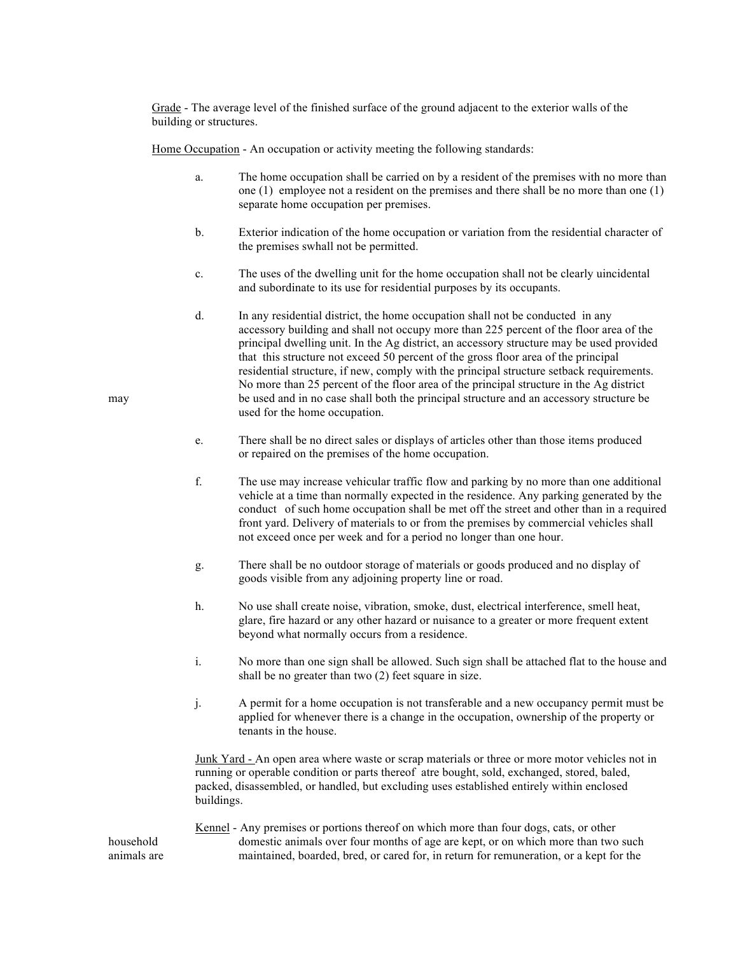Grade - The average level of the finished surface of the ground adjacent to the exterior walls of the building or structures.

Home Occupation - An occupation or activity meeting the following standards:

- a. The home occupation shall be carried on by a resident of the premises with no more than one (1) employee not a resident on the premises and there shall be no more than one (1) separate home occupation per premises.
- b. Exterior indication of the home occupation or variation from the residential character of the premises swhall not be permitted.
- c. The uses of the dwelling unit for the home occupation shall not be clearly uincidental and subordinate to its use for residential purposes by its occupants.
- d. In any residential district, the home occupation shall not be conducted in any accessory building and shall not occupy more than 225 percent of the floor area of the principal dwelling unit. In the Ag district, an accessory structure may be used provided that this structure not exceed 50 percent of the gross floor area of the principal residential structure, if new, comply with the principal structure setback requirements. No more than 25 percent of the floor area of the principal structure in the Ag district may be used and in no case shall both the principal structure and an accessory structure be used for the home occupation.
	- e. There shall be no direct sales or displays of articles other than those items produced or repaired on the premises of the home occupation.
	- f. The use may increase vehicular traffic flow and parking by no more than one additional vehicle at a time than normally expected in the residence. Any parking generated by the conduct of such home occupation shall be met off the street and other than in a required front yard. Delivery of materials to or from the premises by commercial vehicles shall not exceed once per week and for a period no longer than one hour.
	- g. There shall be no outdoor storage of materials or goods produced and no display of goods visible from any adjoining property line or road.
	- h. No use shall create noise, vibration, smoke, dust, electrical interference, smell heat, glare, fire hazard or any other hazard or nuisance to a greater or more frequent extent beyond what normally occurs from a residence.
	- i. No more than one sign shall be allowed. Such sign shall be attached flat to the house and shall be no greater than two (2) feet square in size.
	- j. A permit for a home occupation is not transferable and a new occupancy permit must be applied for whenever there is a change in the occupation, ownership of the property or tenants in the house.

Junk Yard - An open area where waste or scrap materials or three or more motor vehicles not in running or operable condition or parts thereof atre bought, sold, exchanged, stored, baled, packed, disassembled, or handled, but excluding uses established entirely within enclosed buildings.

Kennel - Any premises or portions thereof on which more than four dogs, cats, or other household domestic animals over four months of age are kept, or on which more than two such animals are maintained, boarded, bred, or cared for, in return for remuneration, or a kept for the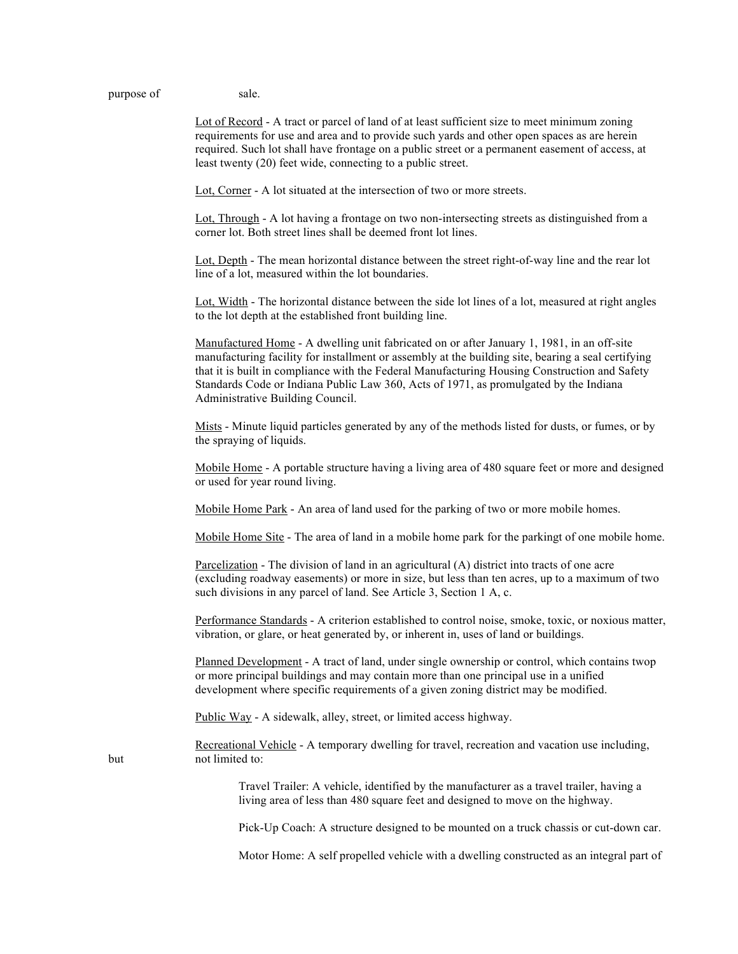purpose of sale.

Lot of Record - A tract or parcel of land of at least sufficient size to meet minimum zoning requirements for use and area and to provide such yards and other open spaces as are herein required. Such lot shall have frontage on a public street or a permanent easement of access, at least twenty (20) feet wide, connecting to a public street.

Lot, Corner - A lot situated at the intersection of two or more streets.

Lot, Through - A lot having a frontage on two non-intersecting streets as distinguished from a corner lot. Both street lines shall be deemed front lot lines.

Lot, Depth - The mean horizontal distance between the street right-of-way line and the rear lot line of a lot, measured within the lot boundaries.

Lot, Width - The horizontal distance between the side lot lines of a lot, measured at right angles to the lot depth at the established front building line.

Manufactured Home - A dwelling unit fabricated on or after January 1, 1981, in an off-site manufacturing facility for installment or assembly at the building site, bearing a seal certifying that it is built in compliance with the Federal Manufacturing Housing Construction and Safety Standards Code or Indiana Public Law 360, Acts of 1971, as promulgated by the Indiana Administrative Building Council.

Mists - Minute liquid particles generated by any of the methods listed for dusts, or fumes, or by the spraying of liquids.

Mobile Home - A portable structure having a living area of 480 square feet or more and designed or used for year round living.

Mobile Home Park - An area of land used for the parking of two or more mobile homes.

Mobile Home Site - The area of land in a mobile home park for the parkingt of one mobile home.

Parcelization - The division of land in an agricultural (A) district into tracts of one acre (excluding roadway easements) or more in size, but less than ten acres, up to a maximum of two such divisions in any parcel of land. See Article 3, Section 1 A, c.

Performance Standards - A criterion established to control noise, smoke, toxic, or noxious matter, vibration, or glare, or heat generated by, or inherent in, uses of land or buildings.

Planned Development - A tract of land, under single ownership or control, which contains twop or more principal buildings and may contain more than one principal use in a unified development where specific requirements of a given zoning district may be modified.

Public Way - A sidewalk, alley, street, or limited access highway.

Recreational Vehicle - A temporary dwelling for travel, recreation and vacation use including, but not limited to:

> Travel Trailer: A vehicle, identified by the manufacturer as a travel trailer, having a living area of less than 480 square feet and designed to move on the highway.

Pick-Up Coach: A structure designed to be mounted on a truck chassis or cut-down car.

Motor Home: A self propelled vehicle with a dwelling constructed as an integral part of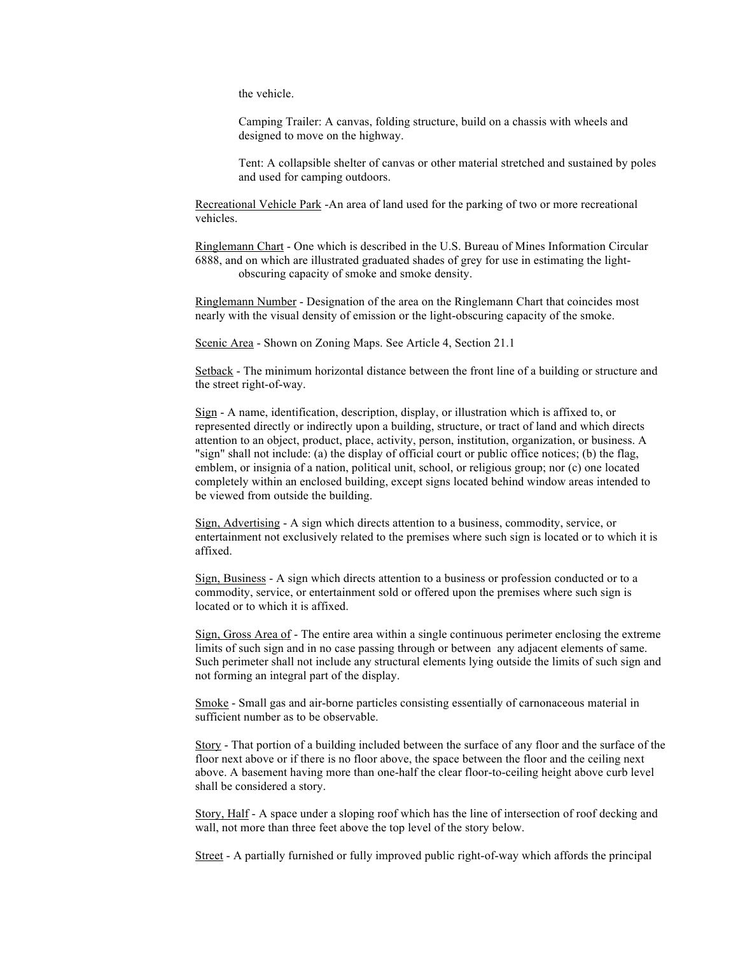the vehicle.

Camping Trailer: A canvas, folding structure, build on a chassis with wheels and designed to move on the highway.

Tent: A collapsible shelter of canvas or other material stretched and sustained by poles and used for camping outdoors.

Recreational Vehicle Park -An area of land used for the parking of two or more recreational vehicles.

Ringlemann Chart - One which is described in the U.S. Bureau of Mines Information Circular 6888, and on which are illustrated graduated shades of grey for use in estimating the lightobscuring capacity of smoke and smoke density.

Ringlemann Number - Designation of the area on the Ringlemann Chart that coincides most nearly with the visual density of emission or the light-obscuring capacity of the smoke.

Scenic Area - Shown on Zoning Maps. See Article 4, Section 21.1

Setback - The minimum horizontal distance between the front line of a building or structure and the street right-of-way.

Sign - A name, identification, description, display, or illustration which is affixed to, or represented directly or indirectly upon a building, structure, or tract of land and which directs attention to an object, product, place, activity, person, institution, organization, or business. A "sign" shall not include: (a) the display of official court or public office notices; (b) the flag, emblem, or insignia of a nation, political unit, school, or religious group; nor (c) one located completely within an enclosed building, except signs located behind window areas intended to be viewed from outside the building.

Sign, Advertising - A sign which directs attention to a business, commodity, service, or entertainment not exclusively related to the premises where such sign is located or to which it is affixed.

Sign, Business - A sign which directs attention to a business or profession conducted or to a commodity, service, or entertainment sold or offered upon the premises where such sign is located or to which it is affixed.

Sign, Gross Area of - The entire area within a single continuous perimeter enclosing the extreme limits of such sign and in no case passing through or between any adjacent elements of same. Such perimeter shall not include any structural elements lying outside the limits of such sign and not forming an integral part of the display.

Smoke - Small gas and air-borne particles consisting essentially of carnonaceous material in sufficient number as to be observable.

Story - That portion of a building included between the surface of any floor and the surface of the floor next above or if there is no floor above, the space between the floor and the ceiling next above. A basement having more than one-half the clear floor-to-ceiling height above curb level shall be considered a story.

Story, Half - A space under a sloping roof which has the line of intersection of roof decking and wall, not more than three feet above the top level of the story below.

Street - A partially furnished or fully improved public right-of-way which affords the principal